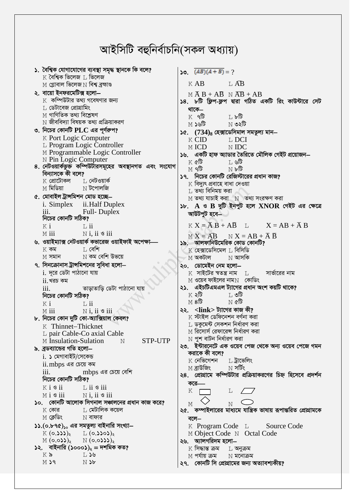## আইসিটি বহুনিৰ্বাচনি(সকল অধ্যায়)

| ১. বৈশ্বিক যোগাযোগের ব্যবস্থা সমৃদ্ধ স্থানকে কি বলে?<br>$\boldsymbol{\mathrm{K}}$ বৈশ্বিক ভিলেজ $\boldsymbol{\mathrm{L}}$ ভিলেজ | $\sqrt{(AB)(A+B)} = ?$                                                                                              |
|---------------------------------------------------------------------------------------------------------------------------------|---------------------------------------------------------------------------------------------------------------------|
| $M$ গ্লোবাল ভিলেজ $N$ বিশ্ব ব্রহ্মাণ্ড                                                                                          | $K \, AB$ $L \, AB$                                                                                                 |
|                                                                                                                                 |                                                                                                                     |
| ২. বায়ো ইনফরমেটিক্স হলো—<br>$\boldsymbol{\mathrm{K}}$ কম্পিউটার তথ্য গবেষণার জন্য                                              | $M \overline{A} B + A \overline{B} M \overline{A} B + A B$<br>১৪. ৮টি ফ্লিপ-ফ্লপ দ্বারা গঠিত একটি রিং কাউন্টারে সেট |
| $\;$ ্র ডেটাবেজ প্রোগ্রামিং                                                                                                     |                                                                                                                     |
| $\,\mathrm{M}$ গাণিতিক তথ্য বিশ্লেষণ                                                                                            | থাকে—                                                                                                               |
| $\,\mathrm{N}$ জীববিদ্যা বিষয়ক তথ্য প্রক্রিয়াকরণ                                                                              | $K$ ৭টি $\blacksquare$<br>M ১৬টি সা<br>$\mathbb N$ ৩২টি                                                             |
| ৩. নিচের কোনটি $PLC$ এর পূর্ণরূপ?                                                                                               |                                                                                                                     |
| K Port Logic Computer                                                                                                           | ১৫. $(734)_8$ হেক্সাডেসিমাল সমতুল্য মান-                                                                            |
| L Program Logic Controller                                                                                                      | K CID<br>L DCI<br>M ICD<br>N <b>IDC</b>                                                                             |
| M Programmable Logic Controller                                                                                                 |                                                                                                                     |
| N Pin Logic Computer                                                                                                            | ১৬. একটি হাফ অ্যাডার তৈরিতে মৌলিক গেইট প্রয়োজন–<br>$K$ ৫টি বিভাগ<br>⊥ ৬টি                                          |
| ৪. নেটওয়ার্কভুক্ত কম্পিউটারসমূহের অবস্থানগত এবং সংযোগ                                                                          | $M$ ੧টি যোৱা<br>$\mathbb N$ ৮টি                                                                                     |
| বিন্যাসকে কী বলে?                                                                                                               | ১৭. নিচের কোনটি রেজিস্টারের প্রধান কাজ?                                                                             |
| $K$ প্রোটোকল $\quad\blacksquare$ নেটওয়ার্ক                                                                                     | $\boldsymbol{\mathrm{K}}$ বিদ্যুৎ প্ৰবাহে বাধা দেওয়া                                                               |
| $M$ মিডিয়া $N$ টপোলজি                                                                                                          | $\,$ তথ্য বিনিময় করা                                                                                               |
| ৫. মোবাইল ট্ৰান্সমিশন মোড হচ্ছে—                                                                                                | $M$ তথ্য যাচাই করা $M$ তথ্য সংরক্ষণ করা                                                                             |
| i. Simplex ii. Half Duplex                                                                                                      | $\mathcal{F}$ : A ও B দুটি ইনপুট হলে XNOR গেইট এর ক্ষেত্রে                                                          |
| $\overline{\text{iii.}}$<br>Full-Duplex                                                                                         | আউটপুট হবে—                                                                                                         |
| নিচের কোনটি সঠিক?                                                                                                               |                                                                                                                     |
| $K$ i<br>$\Box$ ii                                                                                                              | $K X = \overline{A} B + A \overline{B}$ L $X = AB + \overline{A} B$                                                 |
| $N$ i, ii $\circ$ iii<br>$M$ iii                                                                                                | $M X = \overline{AB}$ $N X = AB + \overline{A} \overline{B}$                                                        |
| ৬. ওয়াইম্যাক্স নেটওয়ার্ক কভারেজ ওয়াইফাই অপেক্ষা-                                                                             | ১৯.   আলফানিউমেরিক কোড কোনটি?                                                                                       |
| ∐ বেশি<br>$K$ কম                                                                                                                | $\,$ (হেক্সাডেসিমেল $\,$ বিসিডি                                                                                     |
| $M$ সমান $N$ কম বেশি উভয়ে                                                                                                      | $\le$ অকটাল<br>$\hbox{N}$ আসকি                                                                                      |
| ৭. সিনক্রোনাস ট্রান্সমিশনের সুবিধা হলো—                                                                                         | ২০. ডোমেইন নেম হলো–                                                                                                 |
| $i$ . দূরে ডেটা পাঠানো যায়                                                                                                     | $K$ সাইটের স্বতন্ত্র নাম $L$<br>সার্ভারের নাম                                                                       |
|                                                                                                                                 |                                                                                                                     |
| $ii.$ খরচ কম                                                                                                                    | $\rm M$ ওয়েব ফাইলের নাম $\rm N$ কোডিং                                                                              |
| তাড়াতাড়ি ডেটা পাঠানো যায়<br>iii.                                                                                             | ২১. এইচটিএমএল ট্যাগের প্রধান অংশ কয়টি থাকে?                                                                        |
| নিচের কোনটি সঠিক?                                                                                                               | $K \triangleleft \mathbf{\widehat{b}}$<br>$\mathbb L$ ৩টি                                                           |
| $\Box$ ii<br>$K$ i                                                                                                              | $M$ 8টি $M$<br>$N$ ৫টি                                                                                              |
| $M$ iii $N$ i, ii $\circ$ iii                                                                                                   | ২২. <link/> ট্যাগের কাজ কী?                                                                                         |
| ৮. নিচের কোন দুটি কো-অ্যাক্সিয়াল কেবল?                                                                                         | $\boldsymbol{\mathrm{K}}$ স্টাইল ডেফিনেশন বৰ্ণনা করা                                                                |
| K Thinnet-Thicknet                                                                                                              | $\,$ ডকুমেন্ট সেকশন নির্ধারণ করা                                                                                    |
| L pair Cable-Co axial Cable                                                                                                     | $M$ রিসোর্স রেফারেন্স নির্ধারণ করা                                                                                  |
| <b>STP-UTP</b><br>M Insulation-Sulation N                                                                                       | $\,\mathrm{N}\,$ পুশ বাটন নির্ধারণ করা                                                                              |
| ৯. ব্রডব্যান্ডের গতি হলো–                                                                                                       | ২৩.  ইন্টারনেটে এক ওয়েব পেজ থেকে অন্য ওয়েব পেজে গমন                                                               |
| $i.$ ১ মেগাবাইট/সেকেন্ড                                                                                                         | করাকে কী বলে?                                                                                                       |
| ii.mbps এর চেয়ে কম                                                                                                             | $K$ নেভিগেশন<br>L ট্ৰাভেলিং                                                                                         |
|                                                                                                                                 | $M$ ব্ৰাউজিং $N$ সৰ্টিং                                                                                             |
| নিচের কোনটি সঠিক?                                                                                                               | ২৪. প্রোগ্রামে কম্পিউটার প্রক্রিয়াকরণের চিহ্ন হিসেবে প্রদর্শন                                                      |
| $K i$ s ii $L ii$ s iii                                                                                                         | করে—<br>K<br>L.                                                                                                     |
| $M i$ s iii $N i$ , ii s iii                                                                                                    |                                                                                                                     |
| ১০. কোনটি আলোক সিগনাল সঞ্চালনের প্রধান কাজ করে?                                                                                 | $\mathbf N$<br>M                                                                                                    |
| −−−−− ⊥ মেটালিক কয়েল<br>$K$ কোর                                                                                                | ২৫.  কম্পাইলারের মাধ্যমে যান্ত্রিক ভাষায় রূপান্তরিত প্রোগ্রামকে                                                    |
| $M$ ক্লেডিং<br>$\hbox{N}$ বাফার                                                                                                 | বলে $-$                                                                                                             |
| ১১. $(o.b q)$ <sub>১০</sub> এর সমতুল্য বাইনারি সংখ্যা—                                                                          | K Program Code L Source Code                                                                                        |
| $K(0.333)_{x}$ $L(0.3303)_{x}$                                                                                                  | M Object Code N Octal Code                                                                                          |
| $M(0.033)$ <sub>2</sub> $N(0.0333)$ <sub>2</sub>                                                                                | ২৬.   অ্যালগরিদম হলো—                                                                                               |
| ১২.   বাইনারি (১০০০১) $_2$ = দশমিক কত?                                                                                          | $K$ সিদ্ধান্ত ক্ৰম $\hskip10mm L$ অনুক্ৰম                                                                           |
| $K$ ৯<br>া চা ১৬<br>PZ<br>$N$ $\delta b$                                                                                        | $M$ পর্যায় ক্রম $N$ মনোক্রম<br>২৭.   কোনটি সি প্রোগ্রামের জন্য অত্যাবশ্যকীয়?                                      |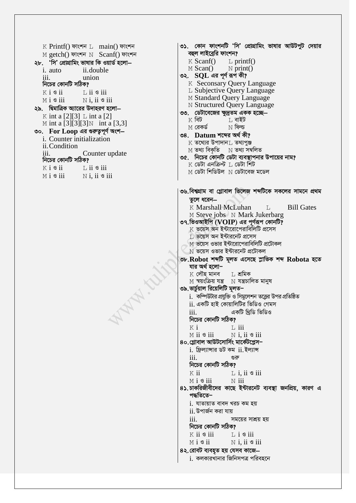$K$  Printf() ফাংশন  $L$  main() ফাংশন M getch() ফাংশন N Scanf() ফাংশন  $K$  Scanf() ২৮. 'সি' প্রোগ্রামিং ভাষার কি ওয়ার্ড হলো—  $M\$ {Scan}() *i* auto ii.double union  $\overline{111}$ . নিচের কোনটি সঠিক?  $K$  i  $\mathcal{S}$  ii  $\overline{1}$ , ii  $\overline{9}$  iii  $M i$  s iii  $N$  i. ii  $\mathcal S$  iii ২৯. দ্বিমাত্রিক অ্যারের উদাহরণ হলো— K int a  $[2][3]$  L int a  $[2]$  $K$  বিট M int a  $\overline{3}$ [3][3]N int a [3,3]  $M$  রেকর্ড ৩০. For Loop এর গুরুতুপূর্ণ অংশ $$ i. Counter initialization ii. Condition iii. Counter update নিচের কোনটি সঠিক?  $K$  i  $S$  ii  $\overline{1}$ , ii  $\overline{9}$  iii  $M i S ii$  $N$  i. ii  $\circ$  iii তুলে ধরেন-WHAN.  $iii$  $K$  i  $M$  ii  $\mathcal S$  iii  $\mathbf{iii}$ নিচের কোনটি সঠিক? K ii  $M i$  s iii পদ্ধতিতে–  $iii.$ 

- ৩১. কোন ফাংশনটি 'সি' প্রোগ্রামিং ভাষার আউটপুট দেয়ার বহুল লাইব্রেরি ফাংশন?
	- $L$  printf()
	- $\mathbb N$  print()

```
৩২. SQL এর পূর্ণ রূপ কী?
```
- K Seconsary Query Language
- L Subjective Ouery Language
- M Standard Query Language
- N Structured Query Language
- ৩৩. ডেটাবেজের ক্ষুদ্রতম একক হচ্ছে—
	- ⊺, বাইট
	- $N$  ফিল্ড
- ৩৪. Datum শব্দের অর্থ কী?  $K$  তথ্যের উপাদান $L$  তথ্যপুঞ্জ
	- $M$  তথ্য বিকৃতি  $N$  তথ্য সম্বলিত
- ৩৫. নিচের কোনটি ডেটা ব্যবস্থাপনার উপায়ের নাম?
	- $\,$ K ডেটা এনক্ৰিপ্ট $\,$   $\,$  L ডেটা শিট
	- M ডেটা শিডিউল N ডেটাবেজ মডেল
- ৩৬.বিশ্বগ্রাম বা গ্লোবাল ভিলেজ শব্দটিকে সকলের সামনে প্রথম
	- K Marshall McLuhan **Bill Gates**  $\mathsf{T}_{\perp}$ M Steve jobs N Mark Jukerbarg
- ৩৭.ভিওআইপি (VOIP) এর পূর্ণরূপ কোনটি?
	- $\kappa$  ভয়েস অন ইন্টারোপেরাবিলিটি প্রসেস
	- $\rm L$  ভয়েস অন ইন্টারনেট প্রসেস
	- $M$  ভয়েস ওভার ইন্টারোপেরাবিলিটি প্রটোকল
	- $\overline{\rm N}$  ভয়েস ওভার ইন্টারনেট প্রটোকল
- ৩৮.Robot শব্দটি মূলত এসেছে স্লাভিক শব্দ Robota হতে যার অর্থ হলো−
	- $L$  শ্ৰমিক  $\boldsymbol{\mathrm{K}}$  লৌহ মানব
	- $M$  স্বয়ংক্রিয় যন্ত্র  $N$  যন্ত্রচালিত মানুষ
- ৩৯.ভার্চুয়াল রিয়েলিটি মূলত–
	- $i$ . কম্পিউটার প্রযুক্তি ও সিমুলেশন তত্ত্বের উপর প্রতিষ্ঠিত
	- ii. একটি হাই কোয়ালিটির ভিডিও গেমস
	- একটি থিডি ভিডিও
	- নিচের কোনটি সঠিক?
	- $\overline{1}$ , iii
	- $N$  i, ii  $\circ$  iii
- 80.গ্লোবাল আউটসোর্সিং মার্কেটপ্লেস–
	- $i.$  ফ্রিল্যান্সার ডট কম  $ii.$  ইল্যান্স ংগ্রু
	- - $L$  i, ii  $\circ$  iii
		- $\overline{N}$  iii
- ৪১.চাকরিজীবীদের কাছে ইন্টারনেট ব্যবস্থা জনপ্রিয়, কারণ এ
	- i. যাতায়াত বাবদ খরচ কম হয়
	- $ii$ , উপাৰ্জন করা যায়
	- সময়ের সাশ্রয় হয়
	- নিচের কোনটি সঠিক?
	- $K$  ii  $\mathcal S$  iii
	- $L$  i  $\circ$  iii
- $M i$  s ii  $N$  i, ii  $\circ$  iii ৪২.রোবট ব্যবহৃত হয় যেসব কাজে–
	- <u>i.</u> কলকারখানার জিনিসপত্র পরিবহনে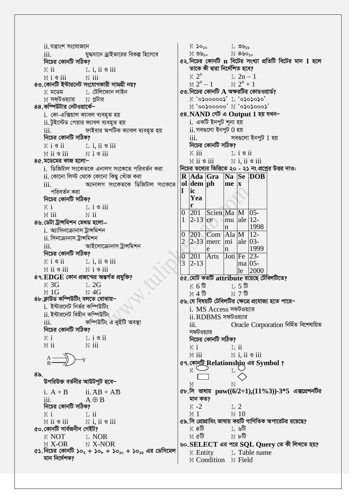$L$  ৩৬ $s$ ৬ ii. যন্ত্ৰাংশ সংযোজনে  $K$   $30<sub>30</sub>$  $M$  ৩৬ $_{50}$  $N880$ যুদ্ধযানে ড্রাইভারের বিকল্প হিসেবে iii.  $\alpha$ ২. নিচের কোনটি n বিটের সংখ্যা প্রতিটি বিটের মান 1 হলে নিচের কোনটি সঠিক? তাকে কী দ্বারা নির্দেশিত হবে?  $K$  ii  $L$  i. ii  $\circ$  iii  $\kappa$   $2^n$  $T_1$  2n – 1 Misii  $N$  iii  $M 2^n - 1$  $N$  2<sup>n</sup> + 1 ৪৩.কোনটি ইন্টারনেট সংযোগকারী সামগ্রী নয়?  $\infty$  নিচের কোনটি  $A$  অক্ষরটির কোডওয়ার্ড? ⊺, টেলিফোন লাইন  $K$  মডেম Κ '0λορορολ' Τ, '0λολολο' M সফটওয়্যার  $N$  প্লটার  $M$  '00 $\sim$ 000000'  $N$  '0 $\sim$ 000000'  $M$ ৪৪.কম্পিউটার নেটওয়ার্কে– i. কো-এক্সিয়াল ক্যাবল ব্যবহৃত হয় ৫৪. NAND গেট এ Output 1 হয় যখন− i. একটি ইনপুট শূন্য হয় ii. টুইস্টেড পেয়ার ক্যাবল ব্যবহৃত হয় ফাইবার অপটিক ক্যাবল ব্যবহৃত হয়  $\,$ ii. সবগুলো ইনপুট  $0$  হয় iii. নিচের কোনটি সঠিক? সবগুলো ইনপুট 1 হয়  $\mathbf{iii}$ নিচের কোনটি সঠিক?  $K$  i  $\mathcal{S}$  ii  $L$  i, ii  $\circ$  iii  $M$  ii  $\mathcal S$  iii  $K$  iii  $N$  i  $\mathcal S$  iii  $\overline{1}$ ,  $i \otimes ii$  $N$  i, ii  $\circ$  iii ৪৫.মডেমের কাজ হলো– M ii 9 iii i. ডিজিটাল সংকেতকে এনালগ সংকেতে পরিবর্তন করা নিচের তথ্যের ভিত্তিতে ২০ - ২১ নং প্রশ্নের উত্তর দাও: ii. কোনো লিস্ট থেকে কোনো কিছু খোঁজ করা R Ada Gra Na Se DOB  $ol$  dem ph অ্যানালগ সংকেতকে ডিজিটাল সংকেতে  $\mathbf{m}\mathbf{e} \mid \mathbf{x}$  $\overline{111}$ . ic 1 পরিবর্তন করা Yea নিচের কোনটি সঠিক? r  $K$  i  $L$  i  $\circ$  iii Scien Ma M  $\overline{0}$ 201  $05 -$ M iii  $\overline{N}$  ii  $mu$  ale  $12$ - $\mathbf{1}$  $2-13$  ce ৪৬.ডেটা ট্ৰান্সমিশন মেথড হলো— 1998 i. অ্যাসিনক্রোনাস ট্রান্সমিশন  $\overline{0}$ 201  $Com$  Ala $M$  $12$ ii. সিনক্রোনাস ট্রান্সমিশন  $\overline{2}$ 2-13 merc  $\vert$ mi  $\vert$ ale  $\vert$ 03iii. আইসোক্ৰোনাস ট্ৰান্সমিশন 1999 e n নিচের কোনটি সঠিক? 201  $23-$ Joti Fe  $\Omega$ Arts  $K$  i  $\mathcal S$  ii  $L$  i. ii  $\circ$  iii 3  $2 - 13$  $ma$  0.5- $N$  i  $\mathcal S$  iii  $M$  ii  $\mathcal S$  iii 2000  $le$ ৪৭.EDGE কোন প্রজন্মের অন্তর্গত প্রযুক্তি? ৫৫.মোট কতটি attribute রয়েছে টেবিলটিতে?  $K \overline{3}G$  $L2G$  $K$  6 টি  $T, 5$ t  $M<sub>1</sub>G$  $\overline{M}$  4G  $M_4$  हि 8৮.ক্লাউড কম্পিউটিং বলতে বোঝায়– ৫৬.যে বিষয়টি টেবিলটির ক্ষেত্রে প্রযোজ্য হতে পারে− i. ইন্টারনেট নির্ভর কম্পিউটিং i. MS Access সফটওয়্যার ii. ইন্টারনেট বিহীন কম্পিউটিং ii. RDBMS সফটওয়্যার  $iii$ কম্পিউটিং এ দুইটি অবস্থা  $\dddot{\mathbf{i}}$ Oracle Corporation নিৰ্মিত বিশেষায়িত নিচের কোনটি সঠিক? সফটওয়াার  $K$  i  $\overline{1}$ ,  $\overline{1}$   $\overline{3}$   $\overline{1}$ নিচের কোনটি সঠিক?  $M$  ii  $N$  iii  $K$  i  $\overline{1}$ , ii  $N$  i, ii  $\circ$  iii  $M$  iii ৫৭. কোনটি Relationship এর Symbol? K  $\mathsf{T}$  $8<sub>o</sub>$ উপরিউক্ত বর্তনীর আউটপুট হবে−  $\mathbf{M}$ M ৫৮.সি ভাষায়  $pow((6/2+1),(11\%3))$ -3\*5 এক্সপ্রেশনটির  $ii. \overline{AB} + \overline{AB}$ i.  $A + B$ মান কত?  $A \oplus B$ iii. নিচের কোনটি সঠিক?  $K - 2$  $T<sub>1</sub>$  2  $K$  i  $\mathbf{L}$  ii  $M<sub>1</sub>$  $\ge 10$  $N$  i. ii  $\mathcal S$  iii ৫৯.সি প্রোগ্রামিং ভাষায় কয়টি গাণিতিক অপারেটর রয়েছে?  $M$  ii  $\mathcal S$  iii ৫০.কোনটি সার্বজনীন গেইট?  $K8\overline{b}$ া, ৬টি  $K$  NOT **T. NOR**  $M$  ৫টি  $\mathbb N$  ৮টি  $M X-OR$ N X-NOR ৬০. $SELECT$  এর পরে  $SQL$   $Query$  তে কী লিখতে হয়? ৫১.নিচের কোনটি ১০<sub>২</sub> + ১০<sub>৮</sub> + ১০<sub>১০</sub> + ১০<sub>১৬</sub> এর ডেসিমেল L Table name  $K$  Entity মান নিৰ্দেশক? M Condition N Field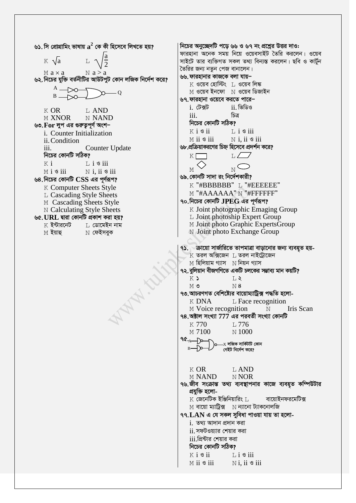৬১. সি প্রোগ্রামিং ভাষায়  $\mathbf{a}^2$  কে কী হিসেবে লিখতে হয়? নিচের অনুচ্ছেদটি পডে ৬৬ ও ৬৭ নং প্রশ্নের উত্তর দাও: ফারহানা অনেক সময় নিয়ে ওয়েবসাইট তৈরি করলেন। ওয়েব  $K \sqrt{a}$ সাইটে তার ব্যক্তিগত সকল তথ্য বিন্যস্ত করলেন। ছবি ও কার্টন তৈরির জন্য নতন পেজ বানালেন।  $M$  a  $\times$  a  $N a > a$ ৬৬. ফারহানার কাজকে বলা যায়– ৬২. নিচের যুক্তি বর্তনীটির আউটপুট কোন লজিক নির্দেশ করে?  $\boldsymbol{\mathrm{K}}$  ওয়েব হোস্টিং  $\boldsymbol{\mathrm{L}}$  ওয়েব লিঙ্ক  $A \rightarrow \infty$ M ওয়েব ইনফো N ওয়েব ডিজাইন  $\overline{O}$  $B =$  $\sim$ ৬৭.ফারহানা ওয়েবে করতে পারে– i. টেক্সট ii ভিডিও  $K$  OR L AND চিত্ৰ  $\ddot{i}$ N NAND M XNOR নিচের কোনটি সঠিক? ৬৩. For লুপ এর গুরুতুপূর্ণ অংশ–  $K$  i  $S$  ii  $\overline{1}$ . i  $\overline{9}$  iii i. Counter Initialization  $M$  ii  $\mathcal S$  iii  $N$  i. ii  $\circ$  iii ii. Condition ৬৮.প্রক্রিয়াকরণের চিহ্ন হিসেবে প্রদর্শন করে? iii. **Counter Update** নিচের কোনটি সঠিক? K I  $L \angle$  $K_i$  $\overline{1}$ ,  $\overline{1}$   $\overline{3}$  iii  $\overline{N}$ M  $M$  i  $\mathcal S$  iii  $N$  i. ii  $\mathcal S$  iii ৬৯. কোনটি সাদা রং নির্দেশকারী? ৬৪.নিচের কোনটি CSS এর পূর্ণরূপ? K "#BBBBBBB" L "#EEEEEE" **K** Computer Sheets Style M "#AAAAAA" N "#FFFFFF" L Cascading Style Sheets ৭০.নিচের কোনটি  $JPEC$  এর পূর্ণরূপ? M Cascading Sheets Style K Joint photographic Emaging Group N Calculating Style Sheets L Joint photoship Expert Group ৬৫.URL দ্বারা কোনটি প্রকাশ করা হয়? M Joint photo Graphic ExpertsGroup  $K$  ইন্টারনেট ∐ ডোমেইন নাম N Joint photo Exchange Group  $M$  ইয়াহু  $\rm N$  ফেইসবুক ৭১. ক্রায়ো সার্জারিতে তাপমাত্রা বাড়ানোর জন্য ব্যবহৃত হয়- $K$  তরল অক্সিজেন  $L$  তরল নাইট্রোজেন  $M$  হিলিয়াম গ্যাস  $N$  নিয়ন গ্যাস ৭২. বুলিয়ান বীজগণিতে একটি চলকের সম্ভাব্য মান কয়টি? WHAN.  $K$  $T_{1}$  $M$  $N8$ ৭৩.আচরণগত বেশিষ্ট্যের বায়োম্যাট্রিক্স পদ্ধতি হলো- $L$  Face recognition K DNA Iris Scan M Voice recognition  $\mathbb N$ ৭৪.অক্টাল সংখ্যা  $777$  এর পরবর্তী সংখ্যা কোনটি  $K$  770 **T.776**  $M7100$  $\overline{N}$  1000  $90.4 - D$  $-x$  লজিক সার্কিটটি কোন Tτ গেইট নির্দেশ করে?  $K$  OR L AND **M NAND** N NOR ৭৬.জীব সংক্রান্ত তথ্য ব্যবস্থাপনার কাজে ব্যবহৃত কম্পিউটার প্ৰযুক্তি হলো- $K$  জেনেটিক ইঞ্জিনিয়ারিং  $L$ বায়োইনফরমেটিক্স  $M$  বায়ো ম্যাট্রিক্স  $M$  ন্যানো ট্যাকনোলজি  $99. LAN$  এ যে সকল সুবিধা পাওয়া যায় তা হলোi. তথ্য আদান প্ৰদান করা ii. সফটওয়্যার শেয়ার করা  $\overline{\textrm{iii}}$ প্রিন্টার শেয়ার করা নিচের কোনটি সঠিক?  $K$  i  $\mathcal{S}$  ii  $Li$   $\sigma$  iii  $M$  ii  $\mathcal S$  iii  $N$ i. ii  $\mathcal S$  iii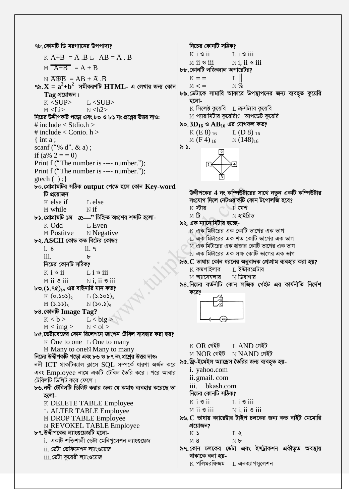৭৮.কোনটি ডি মরগ্যানের উপপাদ্য?  $K$  i  $\mathcal S$  ii  $K\overline{A+B} = \overline{A} \cdot \overline{B} \cdot \overline{A} \cdot \overline{B} = \overline{A} \cdot \overline{B}$  $M$  ii  $\mathcal S$  iii  $M \overline{A+B} = A+B$  $N \overline{A \oplus B} = AB + \overline{A} \cdot \overline{B}$  $K = 1$ ৭৯. $\mathbf{X} = \mathbf{a}^2 + \mathbf{b}^2$  সমীকরণটি  $\mathbf{HTML}$ - এ লেখার জন্য কোন  $M < 1$  $Taq$  প্রয়োজন। হলো- $K <$ SUP>  $L <$ SUB $>$  $M < i >$  $N < h2$ নিচের উদ্দীপকটি পডো এবং ৮০ ও ৮১ নং প্রশ্লের উত্তর দাও: # include  $\langle$  Stdio.h  $\rangle$ # include < Conio.  $h >$  $K(E8)_{16}$ M  $(F4)_{16}$  $\{$  int a : scanf ("% d", & a);  $\delta$ . if  $(a\% 2 = 0)$ Print f ("The number is ---- number."); Print f ("The number is ---- number.");  $\text{gtech}(\ )$ ; ৮০.প্ৰোগ্ৰামটিৰ সঠিক output পেতে হলে কোন Key-word টি প্ৰয়োজন K else if L else  $K$  স্টার M while  $N$  if  $M$   $\mathbf{\widehat{G}}$  $b$ ১.প্রোগ্রামটি ১ম  $x$  -  $x$  চিহ্নিত অংশের শব্দটি হলো- $K$  Odd L Even M Postitve N Negative  $b$ ২. $\bf ASCII}$  কোড কত বিটের কোড?  $\frac{1}{1}$  8  $ii$   $9$  $\overline{111}$ .  $\mathbf{h}$ নিচের কোনটি সঠিক?  $\boldsymbol{\mathrm{K}}$  কমপাইলার  $K$  i  $S$  ii  $Li$   $\circ$  iii M **অ্যাসেম্বলার**  $M$  ii  $\mathcal S$  iii  $N$ i. ii  $\mathcal S$  iii  $\mathbf{b}$ ৩.(১.৭৫) $_{\text{so}}$  এর বাইনারি মান কত? করে?  $K(\circ . \circ \circ)$  $L(3.505)$  $M(5.55)$  $N(\text{so.})_8$ ৮৪.কোনট Image Tag?  $L <$ big >  $K < h >$  $M < img >$  $N < o l >$ ৮৫.ডেটাবেজের কোন রিলেশনে জাংশন টেবিল ব্যবহার করা হয়?  $K$  One to one L One to many  $K$  OR গেইট M Many to one N Many to many নিচের উদ্দীপকটি পড়ো এবং ৮৬ ও ৮৭ নং প্রশ্নের উত্তর দাও: নদী ICT প্রাকটিক্যাল ক্লাসে  $SOL$  সম্পর্কে ধারণা অর্জন করে i. vahoo.com এবং Employee নামে একটি টেবিল তৈরি করে। পরে আবার ii. gmail. com টেবিলটি ডিলিট করে ফেলে। ৮৬.নদী টেবিলটি ডিলিট করার জন্য যে কমাণ্ড ব্যবহার করেছে তা হলো- $K$  i  $S$  ii K DELETE TABLE Employee  $M$  ii  $S$  iii L ALTER TABLE Employee M DROP TABLE Employee **N REVOKEL TABLE Employee** প্রয়োজন? ৮৭.উদ্দীপকের ল্যাংগুয়েজটি হলো- $K$ i. একটি শক্তিশালী ডেটা মেনিপুলেশন ল্যাংগুয়েজ  $M8$ ii. ডেটা ডেফিনেশন ল্যাংগুয়েজ থাকাকে বলা হয় $iii$ .ডেটা কুয়েরী ল্যাংগুয়েজ  $K$  পলিমরফিজম  $L$  এনক্যাপসুলেশন

নিচের কোনটি সঠিক?  $Li$   $\ddot{\circ}$  iii  $N$ i. ii  $\mathcal S$  iii ৮৮.কোনটি লজিক্যাল অপারেটর? l I  $\mathbb{N}$  % ৮৯.ডেটাকে সামারি আকারে উপস্থাপনের জন্য ব্যবহৃত কুয়েরি  $K$  সিলেক্ট কয়েরি  $L$  ক্রসট্যাব কয়েরি  $M$  প্যারামিটার কুয়েরি $N$  আপডেট কুয়েরি ৯০. $3D_{16}$  ও  $AB_{16}$  এর যোগফল কত?  $L(D8)_{16}$  $N(148)_{16}$ উদ্দীপকের 4 নং কম্পিউটারের সাথে নতুন একটি কম্পিউটার সংযোগ দিলে নেটওয়ার্কটি কোন টপোলজি হবে?  $\top$ , মেশ  $N$  হাইবিড ৯২. এক ন্যানোমিটার হচ্ছে- $\,$  এক মিটারের এক কোটি ভাগের এক ভাগ ।, এক মিটারের এক শত কোটি ভাগের এক ভাগ  $\overline{\rm M}$  এক মিটারের এক হাজার কোটি ভাগের এক ভাগ  $\overline{\rm N}$  এক মিটারের এক লক্ষ কোটি ভাগের এক ভাগ ৯৩.  $C$  ভাষায় কোন ধরনের অনুবাদক প্রোগ্রাম ব্যবহার করা হয়? ∐ ইন্টারপ্রেটার  $\,\mathrm{N}$  ডিবাগার ৯৪.নিচের বর্তনীটি কোন লজিক গেইট এর কার্যনীতি নির্দেশ  $<sub>I</sub>$  AND গেইট</sub>  $M$  NOR গেইট  $N$  NAND গেইট ৯৫.ফ্রি-ইমেইল অ্যাড্রেস তৈরির জন্য ব্যবহৃত হয়iii. bkash.com নিচের কোনটি সঠিক?  $Li$   $S$  iii  $N$  i. ii  $\mathcal S$  iii ৯৬. C ভাষায় ক্যারেক্টার টাইপ চলকের জন্য কত বাইট মেমোরি  $T.S$ 

 $N$ *b* 

৯৭.কোন চলকের ডেটা এবং ইন্ট্রাকশন একীভূত অবস্থায়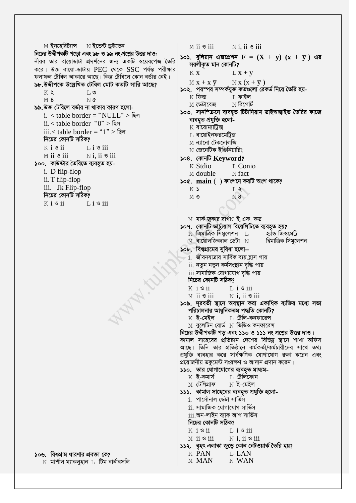M ইনহেরিট্যান্স N ইন্ডেন্ট ড্রইন্ডেন  $M$  ii  $\mathcal S$  iii  $N$  i. ii  $\mathcal S$  iii নিচের উদ্দীপকটি পডো এবং ৯৮ ও ৯৯ নং প্রশ্রের উত্তর দাও: ১০১. বুলিয়ান এক্সপ্রেশন  $\mathbf{F} = (\mathbf{X} + \mathbf{y}) (\mathbf{x} + \mathbf{y})$  এর নীরব তার বায়োডাটা প্রদর্শনের জন্য একটি ওয়েবপেজ তৈরি সরলীকৃত মান কোনটি? করে। উক্ত বায়ো-ডাটায় PEC থেকে SSC পর্যন্ত পরীক্ষার  $K \times$  $L x + v$ ফলাফল টেবিল আকারে আছে। কিন্তু টেবিলে কোন বর্ডার নেই।  $N x (x + \overline{y})$  $M x + x \nabla$ ৯৮.উদ্দীপকে উল্লেখিত টেবিল মোট কতটি সারি আছে? ১০২. পরস্পর সম্পর্কযুক্ত কতগুলো রেকর্ড নিয়ে তৈরি হয়- $T_{1}$   $\circ$  $K$   $\geq$  $K$  ফিল্ড  $\mathbb L$  ফাইল  $M8$ N¢  $M$  ডেটাবেজ  $\,\mathrm{N}$  রিপোর্ট ৯৯.উক্ত টেবিলে বর্ডার না থাকার কারণ হলো-১০৩. সানস্ক্রিনে ব্যবহৃত টিটানিয়াম ডাইঅক্সাইড তৈরির কাজে i. < table border = "NULL" > ছিল ব্যবহৃত প্ৰযুক্তি হলো $ii <$  table border " $0$ " > ছিল  $K$  বায়োম্যাটিক্স iii.< table border = "1" > ছিল  $\;$ া বায়োইনফরমেট্রিক্স নিচের কোনটি সঠিক? M ন্যানো টেকনোলজি  $K$  i  $\mathcal S$  ii  $L$  i  $\circ$  iii  $\,\mathrm{N}\,$  জেনেটিক ইঞ্জিনিয়ারিং  $M$  ii  $\mathcal S$  iii  $N$  i. ii  $\mathcal S$  iii ১০৪. কোনট Keyword? ১০০. কাউন্টার তৈরিতে ব্যবহৃত হয়-K Stdio L. Conio i. D flip-flop M double  $N$  fact ii. T flip-flop ১০৫. main () ফাংশনে কয়টি অংশ থাকে? iii. Jk Flip-flop K) LR নিচের কোনটি সঠিক?  $M$   $\circ$  $N8$  $K$  i  $S$  ii  $\overline{1}$ ,  $\overline{1}$   $\overline{3}$  iii  $M$  মার্ক জুকার বার্গ $N$  ই.এফ. কড ১০৭. কোনটি ভাৰ্চ্যয়াল ৱিয়েলিটিতে ব্যবহত হয়?  $\rm K$  ত্রিমাত্রিক সিমুলেশন  $\rm ~L$ হ্যান্ড জিওমেট্ৰি  $M$  বায়োলজিক্যাল ডেটা  $N$ দ্বিমাত্ৰিক সিম্বলেশন ১০৮. বিশ্বগ্রামের সুবিধা হলো $i$ . জীবনযাত্রার সার্বিক ব্যয়ঞ্জাস পায় ii. নতুন নতুন কৰ্মসংস্থান বৃদ্ধি পায় WHAT ! <u>iii.সামাজিক যোগাযোগ বন্ধি পায়</u> নিচের কোনটি সঠিক?  $K$  i  $\mathcal{S}$  ii  $L$  i  $\mathcal S$  iii  $M$  ii  $\mathcal S$  iii  $N$  i, ii  $\circ$  iii ১০৯. দূরবর্তী স্থানে অবস্থান করা একাধিক ব্যক্তির মধ্যে সভা পরিচালনার আধুনিকতম পদ্ধতি কোনটি? ⊺, টেলি-কনফারেন্স  $K$  ই-মেইল  $\overline{M}$  বলেটিন বোর্ড  $\overline{N}$  ভিডিও কনফারেন্স নিচের উদ্দীপকটি পড় এবং ১১০ ও ১১১ নং প্রশ্নের উত্তর দাও। কামাল সাহেবের প্রতিষ্ঠান দেশের বিভিন্ন স্থানে শাখা অফিস আছে। তিনি তার প্রতিষ্ঠানে কর্মকর্তা/কর্মচারীদের সাথে তথ্য প্রযুক্তি ব্যবহার করে সার্বক্ষণিক যোগাযোগ রক্ষা করেন এবং প্রয়োজনীয় ডকুমেন্ট সংরক্ষণ ও আদান প্রদান করেন। ১১০. তার যোগাযোগের ব্যবহুত মাধ্যম- $K$  ই-কমাৰ্স  $L$  টেলিফোন M **টেলিগ্ৰাফ**  $\,\mathrm{N}\,$  ই-মেইল ১১১. কামাল সাহেবের ব্যবহৃত প্রযুক্তি হলো-<u>i. পার্সোনাল ডেটা সার্ভিস</u> ii. সামাজিক যোগাযোগ সার্ভিস iii.অন-লাইন ব্যাক আপ সাৰ্ভিস নিচের কোনটি সঠিক?  $K$  is  $i$  $\overline{1}$  i  $\overline{3}$  iii  $M$  ii  $\mathcal{I}$  iii  $\mathbb N$  i, ii  $\mathscr G$  iii ১১২. বৃহৎ এলাকা জুড়ে কোন নেটওয়ার্ক তৈরি হয়? K PAN L LAN ১০৬. বিশ্বগ্রাম ধারণার প্রবক্তা কে? M MAN  $K$  মার্শাল ম্যাকলহান । টিম বার্নারসলি N WAN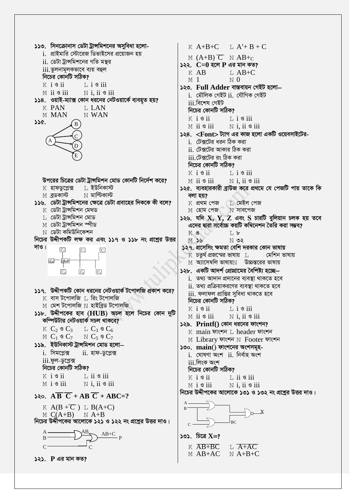১১৩. সিনক্রোনাস ডেটা ট্রান্সমিশনের অসুবিধা হলো-K  $A+B+C$  L  $A'+B+C$ <u>i. প্রাইমারি স্টোরেজ ডিভাইসের প্রয়োজন হয়</u> M  $(A+B)$   $\overline{C}$  N  $AB+c$ ii. ডেটা ট্রান্সমিশনের গতি মন্থর  $522.$   $C=0$  হলে  $P$  এর মান কত? iii.তুলনামূলকভাবে ব্যয় বহুল  $K$  AB  $L$  AB+C নিচের কোনটি সঠিক?  $M<sub>1</sub>$  $\overline{M}$  0  $K$  is  $i$  $L$  i  $\circ$  iii ১২৩. Full Adder বাস্তবায়ন গেইট হলো—  $M$  ii  $\circ$  iii  $N$  i, ii  $\circ$  iii i. মৌলিক গেইট ii. যৌগিক গেইট ১১৪. ওয়াই-ম্যাক্স কোন ধরনের নেটওয়ার্কে ব্যবহৃত হয়? iii বিশেষ গেইট **K PAN** L LAN নিচের কোনটি সঠিক? N WAN M MAN K i sii  $L$  i  $\mathcal S$  iii  $356.$  $\overline{B}$  $M$  ii  $\mathcal S$  iii  $N$  i, ii  $\circ$  iii i. টেক্সটের ধরন ঠিক করা ii. টেক্সটের আকার ঠিক করা <u>iii টেক্সটের রং ঠিক করা</u> নিচের কোনটি সঠিক?  $K$  i  $S$  ii  $\overline{1}$ ,  $\overline{1}$   $\overline{9}$  iii উপরের চিত্রের ডেটা ট্রান্সমিশন মোড কোনটি নির্দেশ করে?  $N$  i. ii  $\mathcal S$  iii  $M$  ii  $\mathcal S$  iii ⊺, ইউনিকাস্ট K **হাফডপ্লেক্স**  $N$  মাল্টিকাস্ট  $M$  ব্ৰডকাস্ট বলা হয়? ১১৬. ডেটা ট্রান্সমিশনের ক্ষেত্রে ডেটা প্রবাহের দিককে কী বলে?  $K$  প্ৰথম পেজ  $\top$ , মেইল পেজ  $K$  ডেটা ট্ৰান্সমিশন মেথড  $M$  হোম পেজ  $N$  সাবপেজ  $\;$ ্ৰভেটা ট্ৰান্সমিশন মোড  $M$  ডেটা ট্ৰান্সমিশন স্পীড  $N$  ডেটা কমিউনিকেশন **K8**  $T_{\perp}$  b নিচের উদ্দীপকটি লক্ষ কর এবং ১১৭ ও ১১৮ নং প্রশ্নের উত্তর  $N$  02  $M$   $S$ দাও।  $C_1$  $C_7$  $\rm K$  চতুর্থ প্রজন্মের ভাষায়  $\rm ~L$  $C_2$ Hub  $C_3$  $C<sub>4</sub>$  $C_6$ ১১৭. উদ্দীপকটি কোন ধরনের নেটওয়ার্ক টপোলজি প্রকাশ করে?  $K$  বাস টপোলজি । রিং টপোলজি নিচের কোনটি সঠিক?  $M$  মেশ টপোলজি  $N$  হাইব্রিড টপোলজি  $K$  is  $i$  $L$  i  $\mathcal{S}$  iii ১১৮. উদ্দীপকের হাব ( $HUB$ ) অচল হলে নিচের কোন দুটি M ii siii  $N$  i, ii  $\circ$  iii কম্পিউটার নেটওয়ার্ক সচল থাকবে? ১২৯. Printf() কোন ধরনের ফাংশন? K  $C_2 \circ C_3$  L  $C_3 \circ C_6$  $M$   $C_1$   $\circ$   $C_7$  $N C_5$   $C_7$ ১১৯. ইউনিকাস্ট ট্রান্সমিশন মোড হলো— ১৩০. main() ফাংশনের অংশসমূহ $i.$  সিমপ্লেক্স ii. হাফ-ডুপ্লেক্স i. ঘোষণা অংশ ii. নিৰ্বাহ অংশ  $iii$ .ফুল-ডুপ্লেক্স  $iii.$ লিংক অংশ নিচের কোনটি সঠিক? নিচের কোনটি সঠিক?  $K$  i  $\mathfrak{g}$  ii  $L$  ii  $\circ$  iii  $K$  i  $S$  ii  $\overline{1}$ , ii  $\overline{9}$  iii  $N$  i. ii  $\mathcal S$  iii  $M$  i  $S$  iii  $M$  i  $S$  iii  $N$  i, ii  $\circ$  iii Seo.  $\overline{AB} \ \overline{C} + \overline{AB} \ \overline{C} + \overline{ABC} = ?$ K  $A(B+C)$  L  $B(A+C)$  $M (A+B)$   $N A+B$ নিচের উদ্দীপকের আলোকে ১২১ ও ১২২ নং প্রশ্নের উত্তর দাও।  $\mathcal{C}$  $\infty$ ). চিত্রে  $X = ?$  $\mathbf{R}$  $K$   $\overline{AB+BC}$  $L$   $A+AC$  $\mathcal{C}$ M AB+AC  $N$  A+B+C  $525.$   $P$  এর মান কত?

১২৪. <Font> ট্যাগ এর কাজ হলো একটি ওয়েবসাইটের-১২৫. ব্যবহারকারী ব্রাউজ করে প্রথমে যে পেজটি পায় তাকে কি ১২৬. যদি  $X, Y, Z$  এবং S চারটি বুলিয়ান চলক হয় তবে এদের দ্বারা সর্বোচ্চ কয়টি কম্বিনেশন তৈরি করা সম্ভব? ১২৭. প্রসেসিং ক্ষমতা বেশি দরকার কোন ভাষায় মেশিন ভাষায়  $M$  অ্যাসেম্বলি ভাষায় $N$  উচ্চস্তরের ভাষায় ১২৮. একটি আদর্শ প্রোগ্রামের বৈশিষ্ট্য হচ্ছে  $i$ . তথ্য আদান প্ৰদানের ব্যবস্থা থাকতে হবে  $ii.$  তথ্য প্রক্রিয়াকরণের ব্যবস্থা থাকতে হবে <u>iii. ফলাফল প্রাপ্তির সুবিধা থাকতে হবে</u> K main ফাংশন L header ফাংশন M Library ফাংশন N Footer ফাংশন নিচের উদ্দীপকের আলোকে ১৩১ ও ১৩২ নং প্রশ্নের উত্তর দাও।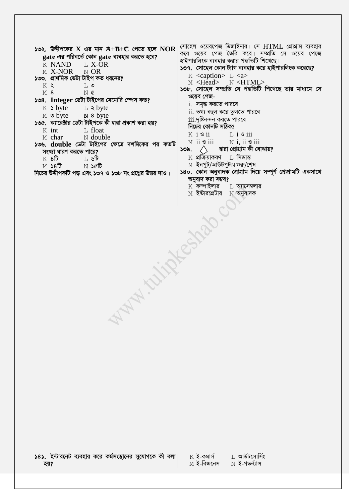| করে ওয়েব পেজ তৈরি করে। সম্প্রতি সে ওয়েব পেজে<br>gate এর পরিবর্তে কোন gate ব্যবহার করতে হবে?<br>হাইপারলিংক ব্যবহার করার পদ্ধতিটি শিখেছে।<br>K NAND<br>L X-OR<br>১৩৭. সোহেল কোন ট্যাগ ব্যবহার করে হাইপারলিংক করেছে?<br>M X-NOR N OR<br>K <caption> L <a><br/>১৩৩. প্রাথমিক ডেটা টাইপ কত ধরনের?<br/>M <head> N <html><br/>K &gt;<br/><math>L</math> ৩<br/>১৩৮. সোহেল সম্প্রতি যে পদ্ধতিটি শিখেছে তার মাধ্যমে সে<br/>M8<br/>N¢<br/>ওয়েব পেজ-<br/>১৩৪. Integer ডেটা টাইপের মেমোরি স্পেস কত?<br/><math>i</math>. সমৃদ্ধ করতে পারবে<br/><math>K</math> &gt; byte <math>L</math> &gt; byte<br/>ii. তথ্য বহুল করে তুলতে পারবে<br/>M o byte N 8 byte<br/><math>iii.</math>দৃষ্টিনন্দন করতে পারবে<br/>১৩৫. ক্যারেক্টার ডেটা টাইপকে কী দ্বারা প্রকাশ করা হয়?<br/>নিচের কোনটি সঠিক?<br/><math>K</math> int<br/><math>L</math> float<br/><math>K</math> i <math>\mathcal{S}</math> ii <math>\Box</math> i <math>\mathcal{S}</math> iii<br/>M char M double<br/><math>M</math> ii <math>\bullet</math> iii <math>N</math> i, ii <math>\bullet</math> iii<br/>১৩৬. double ডেটা টাইপের ক্ষেত্রে দশমিকের পর কতটি<br/>দ্বারা প্রোগ্রাম কী বোঝায়?<br/>১৩৯.<br/>সংখ্যা ধারণ করতে পারে?<br/><math>\boldsymbol{\mathrm{K}}</math> প্রক্রিয়াকরণ <math>\hskip10pt\,\mathrm{L}</math> সিদ্ধান্ত<br/><math>K</math> 8টি<br/>া ∟ ৬টি<br/><math>\text{M}</math> ইনপুট/আউটপুট<math>\text{N}</math> শুরু/শেষ<br/><math>M</math> <math>\delta</math> <math>\theta</math> <math>N</math> <math>\delta</math> <math>\theta</math><br/>১৪০. কোন অনুবাদক প্ৰোগ্ৰাম দিয়ে সম্পূৰ্ণ প্ৰোগ্ৰামটি একসাথে<br/>নিচের উদ্দীপকটি পড় এবং ১৩৭ ও ১৩৮ নং প্রশ্নের উত্তর দাও।<br/>অনুবাদ করা সম্ভব?<br/><math>K</math> কম্পাইলার <math>L</math> অ্যাসেম্বলার<br/><math>M</math> ইন্টারপ্রেটার <math>N</math> অনুবাদক<br/><b>NATIONAL CARD</b></html></head></a></caption> | ১৩২. উদ্দীপকের X এর মান $A+B+C$ পেতে হলে $NOR$ | সোহেল ওয়েবপেজ ডিজাইনার। সে HTML প্রোগ্রাম ব্যবহার |  |  |
|---------------------------------------------------------------------------------------------------------------------------------------------------------------------------------------------------------------------------------------------------------------------------------------------------------------------------------------------------------------------------------------------------------------------------------------------------------------------------------------------------------------------------------------------------------------------------------------------------------------------------------------------------------------------------------------------------------------------------------------------------------------------------------------------------------------------------------------------------------------------------------------------------------------------------------------------------------------------------------------------------------------------------------------------------------------------------------------------------------------------------------------------------------------------------------------------------------------------------------------------------------------------------------------------------------------------------------------------------------------------------------------------------------------------------------------------------------------------------------------------------------------------------------------------------------------------------------------------------------------------------------------------------------------------------------------------------------------------------------------------------------------------------------------------------------------------------------|------------------------------------------------|----------------------------------------------------|--|--|
|                                                                                                                                                                                                                                                                                                                                                                                                                                                                                                                                                                                                                                                                                                                                                                                                                                                                                                                                                                                                                                                                                                                                                                                                                                                                                                                                                                                                                                                                                                                                                                                                                                                                                                                                                                                                                                 |                                                |                                                    |  |  |
|                                                                                                                                                                                                                                                                                                                                                                                                                                                                                                                                                                                                                                                                                                                                                                                                                                                                                                                                                                                                                                                                                                                                                                                                                                                                                                                                                                                                                                                                                                                                                                                                                                                                                                                                                                                                                                 |                                                |                                                    |  |  |
|                                                                                                                                                                                                                                                                                                                                                                                                                                                                                                                                                                                                                                                                                                                                                                                                                                                                                                                                                                                                                                                                                                                                                                                                                                                                                                                                                                                                                                                                                                                                                                                                                                                                                                                                                                                                                                 |                                                |                                                    |  |  |
|                                                                                                                                                                                                                                                                                                                                                                                                                                                                                                                                                                                                                                                                                                                                                                                                                                                                                                                                                                                                                                                                                                                                                                                                                                                                                                                                                                                                                                                                                                                                                                                                                                                                                                                                                                                                                                 |                                                |                                                    |  |  |
|                                                                                                                                                                                                                                                                                                                                                                                                                                                                                                                                                                                                                                                                                                                                                                                                                                                                                                                                                                                                                                                                                                                                                                                                                                                                                                                                                                                                                                                                                                                                                                                                                                                                                                                                                                                                                                 |                                                |                                                    |  |  |
|                                                                                                                                                                                                                                                                                                                                                                                                                                                                                                                                                                                                                                                                                                                                                                                                                                                                                                                                                                                                                                                                                                                                                                                                                                                                                                                                                                                                                                                                                                                                                                                                                                                                                                                                                                                                                                 |                                                |                                                    |  |  |
|                                                                                                                                                                                                                                                                                                                                                                                                                                                                                                                                                                                                                                                                                                                                                                                                                                                                                                                                                                                                                                                                                                                                                                                                                                                                                                                                                                                                                                                                                                                                                                                                                                                                                                                                                                                                                                 |                                                |                                                    |  |  |
|                                                                                                                                                                                                                                                                                                                                                                                                                                                                                                                                                                                                                                                                                                                                                                                                                                                                                                                                                                                                                                                                                                                                                                                                                                                                                                                                                                                                                                                                                                                                                                                                                                                                                                                                                                                                                                 |                                                |                                                    |  |  |
|                                                                                                                                                                                                                                                                                                                                                                                                                                                                                                                                                                                                                                                                                                                                                                                                                                                                                                                                                                                                                                                                                                                                                                                                                                                                                                                                                                                                                                                                                                                                                                                                                                                                                                                                                                                                                                 |                                                |                                                    |  |  |
|                                                                                                                                                                                                                                                                                                                                                                                                                                                                                                                                                                                                                                                                                                                                                                                                                                                                                                                                                                                                                                                                                                                                                                                                                                                                                                                                                                                                                                                                                                                                                                                                                                                                                                                                                                                                                                 |                                                |                                                    |  |  |
|                                                                                                                                                                                                                                                                                                                                                                                                                                                                                                                                                                                                                                                                                                                                                                                                                                                                                                                                                                                                                                                                                                                                                                                                                                                                                                                                                                                                                                                                                                                                                                                                                                                                                                                                                                                                                                 |                                                |                                                    |  |  |
|                                                                                                                                                                                                                                                                                                                                                                                                                                                                                                                                                                                                                                                                                                                                                                                                                                                                                                                                                                                                                                                                                                                                                                                                                                                                                                                                                                                                                                                                                                                                                                                                                                                                                                                                                                                                                                 |                                                |                                                    |  |  |
|                                                                                                                                                                                                                                                                                                                                                                                                                                                                                                                                                                                                                                                                                                                                                                                                                                                                                                                                                                                                                                                                                                                                                                                                                                                                                                                                                                                                                                                                                                                                                                                                                                                                                                                                                                                                                                 |                                                |                                                    |  |  |
|                                                                                                                                                                                                                                                                                                                                                                                                                                                                                                                                                                                                                                                                                                                                                                                                                                                                                                                                                                                                                                                                                                                                                                                                                                                                                                                                                                                                                                                                                                                                                                                                                                                                                                                                                                                                                                 |                                                |                                                    |  |  |
|                                                                                                                                                                                                                                                                                                                                                                                                                                                                                                                                                                                                                                                                                                                                                                                                                                                                                                                                                                                                                                                                                                                                                                                                                                                                                                                                                                                                                                                                                                                                                                                                                                                                                                                                                                                                                                 |                                                |                                                    |  |  |
|                                                                                                                                                                                                                                                                                                                                                                                                                                                                                                                                                                                                                                                                                                                                                                                                                                                                                                                                                                                                                                                                                                                                                                                                                                                                                                                                                                                                                                                                                                                                                                                                                                                                                                                                                                                                                                 |                                                |                                                    |  |  |
|                                                                                                                                                                                                                                                                                                                                                                                                                                                                                                                                                                                                                                                                                                                                                                                                                                                                                                                                                                                                                                                                                                                                                                                                                                                                                                                                                                                                                                                                                                                                                                                                                                                                                                                                                                                                                                 |                                                |                                                    |  |  |
|                                                                                                                                                                                                                                                                                                                                                                                                                                                                                                                                                                                                                                                                                                                                                                                                                                                                                                                                                                                                                                                                                                                                                                                                                                                                                                                                                                                                                                                                                                                                                                                                                                                                                                                                                                                                                                 |                                                |                                                    |  |  |
|                                                                                                                                                                                                                                                                                                                                                                                                                                                                                                                                                                                                                                                                                                                                                                                                                                                                                                                                                                                                                                                                                                                                                                                                                                                                                                                                                                                                                                                                                                                                                                                                                                                                                                                                                                                                                                 |                                                |                                                    |  |  |
|                                                                                                                                                                                                                                                                                                                                                                                                                                                                                                                                                                                                                                                                                                                                                                                                                                                                                                                                                                                                                                                                                                                                                                                                                                                                                                                                                                                                                                                                                                                                                                                                                                                                                                                                                                                                                                 |                                                |                                                    |  |  |
|                                                                                                                                                                                                                                                                                                                                                                                                                                                                                                                                                                                                                                                                                                                                                                                                                                                                                                                                                                                                                                                                                                                                                                                                                                                                                                                                                                                                                                                                                                                                                                                                                                                                                                                                                                                                                                 |                                                |                                                    |  |  |
|                                                                                                                                                                                                                                                                                                                                                                                                                                                                                                                                                                                                                                                                                                                                                                                                                                                                                                                                                                                                                                                                                                                                                                                                                                                                                                                                                                                                                                                                                                                                                                                                                                                                                                                                                                                                                                 |                                                |                                                    |  |  |
|                                                                                                                                                                                                                                                                                                                                                                                                                                                                                                                                                                                                                                                                                                                                                                                                                                                                                                                                                                                                                                                                                                                                                                                                                                                                                                                                                                                                                                                                                                                                                                                                                                                                                                                                                                                                                                 |                                                |                                                    |  |  |
|                                                                                                                                                                                                                                                                                                                                                                                                                                                                                                                                                                                                                                                                                                                                                                                                                                                                                                                                                                                                                                                                                                                                                                                                                                                                                                                                                                                                                                                                                                                                                                                                                                                                                                                                                                                                                                 |                                                |                                                    |  |  |
|                                                                                                                                                                                                                                                                                                                                                                                                                                                                                                                                                                                                                                                                                                                                                                                                                                                                                                                                                                                                                                                                                                                                                                                                                                                                                                                                                                                                                                                                                                                                                                                                                                                                                                                                                                                                                                 |                                                |                                                    |  |  |
|                                                                                                                                                                                                                                                                                                                                                                                                                                                                                                                                                                                                                                                                                                                                                                                                                                                                                                                                                                                                                                                                                                                                                                                                                                                                                                                                                                                                                                                                                                                                                                                                                                                                                                                                                                                                                                 |                                                |                                                    |  |  |
|                                                                                                                                                                                                                                                                                                                                                                                                                                                                                                                                                                                                                                                                                                                                                                                                                                                                                                                                                                                                                                                                                                                                                                                                                                                                                                                                                                                                                                                                                                                                                                                                                                                                                                                                                                                                                                 |                                                |                                                    |  |  |
|                                                                                                                                                                                                                                                                                                                                                                                                                                                                                                                                                                                                                                                                                                                                                                                                                                                                                                                                                                                                                                                                                                                                                                                                                                                                                                                                                                                                                                                                                                                                                                                                                                                                                                                                                                                                                                 |                                                |                                                    |  |  |
|                                                                                                                                                                                                                                                                                                                                                                                                                                                                                                                                                                                                                                                                                                                                                                                                                                                                                                                                                                                                                                                                                                                                                                                                                                                                                                                                                                                                                                                                                                                                                                                                                                                                                                                                                                                                                                 |                                                |                                                    |  |  |
|                                                                                                                                                                                                                                                                                                                                                                                                                                                                                                                                                                                                                                                                                                                                                                                                                                                                                                                                                                                                                                                                                                                                                                                                                                                                                                                                                                                                                                                                                                                                                                                                                                                                                                                                                                                                                                 |                                                |                                                    |  |  |
|                                                                                                                                                                                                                                                                                                                                                                                                                                                                                                                                                                                                                                                                                                                                                                                                                                                                                                                                                                                                                                                                                                                                                                                                                                                                                                                                                                                                                                                                                                                                                                                                                                                                                                                                                                                                                                 |                                                |                                                    |  |  |
|                                                                                                                                                                                                                                                                                                                                                                                                                                                                                                                                                                                                                                                                                                                                                                                                                                                                                                                                                                                                                                                                                                                                                                                                                                                                                                                                                                                                                                                                                                                                                                                                                                                                                                                                                                                                                                 |                                                |                                                    |  |  |
|                                                                                                                                                                                                                                                                                                                                                                                                                                                                                                                                                                                                                                                                                                                                                                                                                                                                                                                                                                                                                                                                                                                                                                                                                                                                                                                                                                                                                                                                                                                                                                                                                                                                                                                                                                                                                                 |                                                |                                                    |  |  |
|                                                                                                                                                                                                                                                                                                                                                                                                                                                                                                                                                                                                                                                                                                                                                                                                                                                                                                                                                                                                                                                                                                                                                                                                                                                                                                                                                                                                                                                                                                                                                                                                                                                                                                                                                                                                                                 |                                                |                                                    |  |  |
|                                                                                                                                                                                                                                                                                                                                                                                                                                                                                                                                                                                                                                                                                                                                                                                                                                                                                                                                                                                                                                                                                                                                                                                                                                                                                                                                                                                                                                                                                                                                                                                                                                                                                                                                                                                                                                 |                                                |                                                    |  |  |
|                                                                                                                                                                                                                                                                                                                                                                                                                                                                                                                                                                                                                                                                                                                                                                                                                                                                                                                                                                                                                                                                                                                                                                                                                                                                                                                                                                                                                                                                                                                                                                                                                                                                                                                                                                                                                                 |                                                |                                                    |  |  |
|                                                                                                                                                                                                                                                                                                                                                                                                                                                                                                                                                                                                                                                                                                                                                                                                                                                                                                                                                                                                                                                                                                                                                                                                                                                                                                                                                                                                                                                                                                                                                                                                                                                                                                                                                                                                                                 |                                                |                                                    |  |  |

১৪১. ইন্টারনেট ব্যবহার করে কর্মসংস্থানের সুযোগকে কী বলা L আউটসোর্সিং K **ই-কমাৰ্স**  $\le$  ই-বিজনেস  $\rm N$  ই-গভৰ্ন্যাঙ্গ হয়?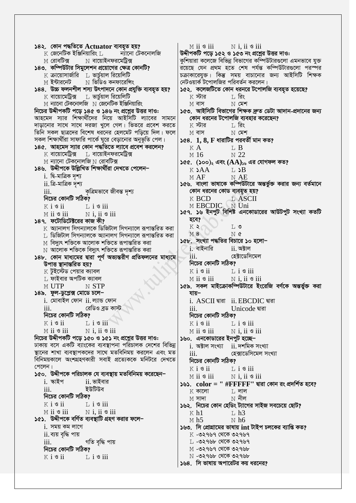১৪২. কোন পদ্ধতিতে Actuator ব্যবহৃত হয়?  $\rm K$  জেনেটিক ইঞ্জিনিয়ারিং  $\rm L$ ন্যানো টেকনোলজি M রোবটিক্স  $\,\mathrm{N}\,$  বায়োইনফরমেট্রিক্স ১৪৩. কম্পিউটার সিমুলেশন প্রয়োগের ক্ষেত্র কোনটি?  $K$  ক্রায়োসার্জারি  $L$  ভার্চয়াল রিয়েলিটি  $\,\mathrm{N}\,$  ভিডিও কনফারেঙ্গিং M ইন্টারনেট ১৪৪. উচ্চ ফলনশীল শস্য উৎপাদনে কোন প্রযুক্তি ব্যবহৃত হয়?  $K$  বায়োমেট্রিক্স  $L$  ভার্চুয়াল রিয়েলিটি  $M$  ন্যানো টেকনোলজি  $N$  জেনেটিক ইঞ্জিনিয়ারিং নিচের উদ্দীপকটি পড়ে ১৪৫ ও ১৪৬ নং প্রশ্নের উত্তর দাও: আহমেদ স্যার শিক্ষার্থীদের নিয়ে আইসিটি ল্যাবের সামনে দাড়ানোর সাথে সাথে দরজা খুলে গেল। ভিতরে প্রবেশ করতে তিনি সকল ছাত্রদের বিশেষ ধরনের হেলমেট পড়িয়ে দিল। ফলে সকল শিক্ষার্থীরা সাফারি পার্কে ঘুরে বেড়ানোর অনুভূতি পেল। ১৪৫. আহমেদ স্যার কোন পদ্ধতিতে ল্যাবে প্রবেশ করলেন?  $\boldsymbol{\mathrm{K}}$  বায়োমেট্রিক্স ⊥ বায়োইনফরমেট্রিক্স  $M$  ন্যানো টেকনোলজি  $N$  রোবটিক্স ১৪৬. উদ্দীপকে উল্লিখিত শিক্ষাৰ্থীরা দেখতে পেলেন– i. দ্বি-মাত্ৰিক দৃশ্য  $ii$ . ত্রি-মাত্রিক দৃশ্য iii. কৃত্ৰিমভাবে জীবন্ত দৃশ্য নিচের কোনটি সঠিক?  $K$  i  $\mathcal{S}$  ii  $\overline{1}$ ,  $\overline{1}$   $\overline{9}$  iii M ii *s* iii  $N$  i, ii  $\circ$  iii ১৪৭. ফটোডিটেক্টরের কাজ কী?  $\boldsymbol{\mathrm{K}}$  অ্যানালগ সিগন্যালকে ডিজিটাল সিগন্যালে রূপান্তরিত করা  $\;$  ডিজিটাল সিগন্যালকে অ্যানালগ সিগন্যালে রূপান্তরিত করা  $\,\mathbb{M}\,$  বিদ্যুৎ শক্তিকে আলোক শক্তিতে রূপান্তরিত করা  $\,\mathrm{N}\,$  আলোক শক্তিকে বিদ্যুৎ শক্তিতে রূপান্তরিত করা ১৪৮. কোন মাধ্যমের দ্বারা পূর্ণ অভ্যন্তরীণ প্রতিফলনের মাধ্যমে উপাত্ত স্থানান্তরিত হয়?  $K$  টুইস্টেড পেয়ার ক্যাবল  $\;$  $\;$  ফাইবার অপটিক ক্যাবল M UTP N STP ১৪৯. ফুল-ডুপ্লেক্স মোডে চলে−  $i$ . মোবাইল ফোন  $ii$ . ল্যান্ড ফোন iii. রেডিও ব্রড কাস্ট নিচের কোনটি সঠিক?  $K$  i  $\mathcal S$  ii  $L$  i  $\mathcal{S}$  iii M ii <sup>s</sup> iii  $N$  i, ii  $\circ$  iii নিচের উদ্দীপকটি পড়ে ১৫০ ও ১৫১ নং প্রশ্নের উত্তর দাও: ঢাকায় বসে একটি ব্যাংকের ব্যবস্থাপনা পরিচালক দেশের বিভিন্ন স্থানের শাখা ব্যবস্থাপকদের সাথে মতবিনিময় করলেন এবং মত বিনিময়কালে অংশগ্রহণকারী সবাই প্রত্যেককে মনিটরে দেখতে পেলেন। ১৫০. উদ্দীপকে পরিচালক যে ব্যবস্থায় মতবিনিময় করেছেন–  $i.$  ক্ষাইপ  $ii.$  ভাইবার ইউটিউব iii. নিচের কোনটি সঠিক?  $K$  i  $\mathcal S$  ii  $L$  i  $\circ$  iii  $M$  ii  $\mathcal S$  iii  $N$  i, ii  $\circ$  iii ১৫১. উদ্দীপকে বর্ণিত ব্যবস্থাটি গ্রহণ করার ফলে–  $i$ . সময় কম লাগে ii. ব্যয় বৃদ্ধি পায় iii. গতি বৃদ্ধি পায় নিচের কোনটি সঠিক?  $K$  i  $\mathcal{B}$  ii  $\perp$  i  $\circ$  iii

 $M$  ii  $\mathcal S$  iii  $N$  i, ii  $\circ$  iii উদ্দীপকটি পড়ে ১৫২ ও ১৫৩ নং প্রশ্নের উত্তর দাও: কুশিয়ারা কলেজে বিভিন্ন বিভাগের কম্পিউটারগুলো এমনভাবে যুক্ত রয়েছে যেন প্রথম হতে শেষ পর্যন্ত কম্পিউটারগুলো পরস্পর চক্রাকারেযুক্ত। কিন্তু সময় বাচানোর জন্য আইসিটি শিক্ষক নেটওয়ার্ক টপোলজির পরিবর্তন করলেন। ১৫২. কলেজটিতে কোন ধরনরে টপোলজি ব্যবহৃত হয়েছে?  $\boldsymbol{\mathrm{K}}$  স্টার ⊺, রিং  $M$  বাস  $N$  মেশ ১৫৩. আইসিটি বিভাগের শিক্ষক দ্রুত ডেটা আদান-প্রদানের জন্য কোন ধরনের টপোলজি ব্যবহার করেছেন?  $\boldsymbol{\mathrm{K}}$  স্টার া, রিং  $M$  বাস  $N$  মেশ ১৫৪.  $1, 8, F$  ধারাটির পরবর্তী মান কত? KA  $T \cdot B$  $M<sub>16</sub>$  $N<sub>22</sub>$ ১৫৫. (১০০), এবং  $(AA)_{xy}$  এর যোগফল কত?  $K$  SAA  $L$   $\Delta$ **B**  $MAF$ N AE ১৫৬. বাংলা ভাষাকে কম্পিউটারে অন্তর্ভুক্ত করার জন্য বর্তমানে কোন ধরনের কোড ব্যবহৃত হয়? H SUPERCOLO N IT ১৫৭. ১৬ ইনপুট বিশিষ্ট এনকোডারের আউটপুট সংখ্যা কতটি হবে?  $K$  2  $T_{1}$   $\circ$ **M8** N¢ ১৫৮. সংখ্যা পদ্ধতির বিচারে ১০ হলো– <u>i, বাইনারি</u> ii. অক্টাল হেক্টাডেসিমেল iii. নিচের কোনটি সঠিক?  $K$  i  $\mathcal{S}$  ii  $L$  i  $\mathcal{S}$  iii  $M$  ii  $\mathcal S$  iii  $N$  i, ii  $\circ$  iii ১৫৯. সকল মাইক্রোকম্পিউটারে ইংরেজি বর্ণকে অন্তর্ভুক্ত করা যায– i. ASCII बाबा ii. EBCDIC बाबा  $\overline{111}$ . Unicode দ্বারা নিচের কোনটি সঠিক?  $K$  i  $\mathcal{S}$  ii  $L$  i  $\mathcal{S}$  iii M ii 9 iii  $N$  i, ii  $\mathcal S$  iii ১৬০. এনকোডারের ইনপুট হচ্ছে– i. অক্টাল সংখ্যা ii. দশমিক সংখ্যা হেক্সাডেসিমেল সংখ্যা iii. নিচের কোনটি সঠিক?  $K$  i  $S$  ii  $L$  i  $\circ$  iii  $N$  i, ii  $\circ$  iii  $M$  ii  $\mathcal S$  iii ১৬১.  $color = " \#FFFFF"$  দ্বারা কোন রং প্রদর্শিত হবে?  $K$  কালো  $L$  লাল  $M$  সাদা  $\rm N$  নীল ১৬২. নিচের কোন হেডিং ট্যাগের সাইজ সবচেয়ে ছোট?  $K$  h<sub>1</sub>  $\bar{L}$  h<sub>3</sub>  $N$  h6  $M<sub>h5</sub>$ ১৬৩. সি প্রোগ্রামের ভাষায় int টাইপ চলকের ব্যাপ্তি কত?  $K$  -৩২৭৬৭ থেকে ৩২৭৬৭ L -**৩২৭৬৮ থেকে ৩২৭৬৭** M -৩২৭৬৭ থেকে ৩২৭৬৮  $N$  -৩২৭৬৮ থেকে ৩২৭৬৮ ১৬৪. সি ভাষায় অপারেটর কয় ধরনের?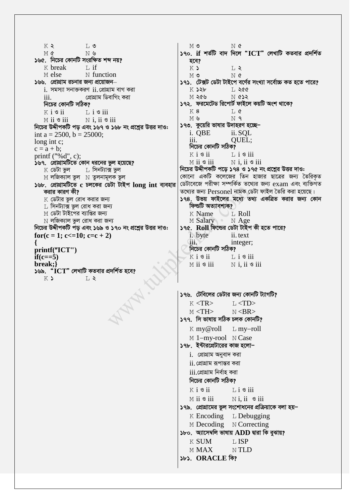$K$   $\geq$  $L$  ৩ M¢  $N$   $\mathcal{Y}$ ১৬৫. নিচের কোনটি সংরক্ষিত শব্দ নয়?  $K$  break  $T$ , if M else N function ১৬৬. প্রোগ্রাম রচনার জন্য প্রয়োজন–  $i$  সমস্যা সনাক্তকরণ  $ii$  প্রোগ্রাম বাগ করা প্রোগ্রাম ডিবাগিং করা  $\overline{111}$ . নিচের কোনটি সঠিক?  $K$  i  $\mathcal{S}$  ii  $\overline{1}$ , i  $\overline{3}$  iii  $M$  ii  $\circ$  iii  $N$  i, ii  $\circ$  iii নিচের উদ্দীপকটি পড় এবং ১৬৭ ও ১৬৮ নং প্রশ্নের উত্তর দাও: int a = 2500, b = 25000; long int c;  $c = a + b$ ; printf  $("%d", c);$ ১৬৭. প্রোগ্রামটিতে কোন ধরনের ভুল হয়েছে? ∐ সিনট্যাক্স ভুল  $\boldsymbol{\mathrm{K}}$  ডেটা ভুল M লজিক্যাল ভুল N তুলনামূলক ভুল ১৬৮. প্রোগ্রামটিতে c চলকের ডেটা টাইপ long int ব্যবহার করার কারণ কী?  $K$  ডেটার ভুল রোধ করার জন্য ⊺, সিনট্যাক্স ভুল রোধ করা জন্য  $M$  ডেটা টাইপের ব্যাপ্তির জন্য  $\overline{\rm N}$  লজিক্যাল ভুল রোধ করা জন্য নিচের উদ্দীপকটি পড় এবং ১৬৯ ও ১৭০ নং প্রশ্নের উত্তর দাও:  $for(c = 1; c \leq 10; c = c + 2)$  $\mathbf{I}$ printf("ICT")  $if(c==5)$ break;} ১৬৯.  $\cdot$  $\rm ICT$ " লেখাটি কতবার প্রদর্শিত হবে?  $L$   $\lambda$ K)

 $M$  ৩ N¢ ১৭০. if শর্তটি বাদ দিলে "ICT" লেখাটি কতবার প্রদর্শিত হবে? K) L 2  $M$  ৩ N¢ ১৭১. টেক্সট ডেটা টাইপে বর্ণের সংখ্যা সর্বোচ্চ কত হতে পারে?  $K$   $S$ s $h$  $I, 200$  $M$  200  $N$   $633$ ১৭২. ফরমেটেড রিপোর্ট ফাইলে কয়টি অংশ থাকে?  $K8$  $T_{1}$   $\alpha$ M in  $N<sub>q</sub>$ ১৭৩. কুয়েরি ভাষার উদাহরণ হচ্ছে– i. QBE ii. SQL QUEL; iii. নিচের কোনটি সঠিক?  $K$  i  $\mathcal{S}$  ii  $L$  i  $\circ$  iii  $N$  i. ii  $\circ$  iii  $M$  ii  $\mathcal S$  iii নিচের উদ্দীপকটি পড়ে ১৭৪ ও ১৭৫ নং প্রশ্নের উত্তর দাও: কোনো একটি কলেজের তিন হাজার ছাত্রের জন্য তৈরিকৃত ডেটাবেজে পরীক্ষা সম্পর্কিত তথ্যের জন্য exam এবং ব্যক্তিগত তথ্যের জন্য Personel নামক ডেটা ফাইল তৈরি করা হয়েছে। ১৭৪. উভয় ফাইলের মধ্যে তথ্য একত্রিত করার জন্য কোন ফিল্ডটি অত্যাবশ্যক? K Name  $T_{\perp}$  Roll M Salary  $N$  Age ১৭৫. Roll ফিল্ডের ডেটা টাইপ কী হতে পারে? *i*. byte ii. text integer; iii. নিচের কোনটি সঠিক?  $K$  i  $\mathcal{S}$  ii  $\overline{1}$ , i  $\overline{9}$  iii  $M$  ii  $\mathcal S$  iii  $N$  i, ii  $\circ$  iii ১৭৬. টেবিলের ডেটার জন্য কোনটি ট্যাগটি?  $K < TR$  $L <$ TD>  $M < TH$  $N <$ BR $>$ ১৭৭. সি ভাষায় সঠিক চলক কোনটি? K my@roll  $L$  my-roll M 1-my-rool N Case ১৭৮. ইন্টারপ্রেটারের কাজ হলো− i. প্ৰোগ্ৰাম অনুবাদ করা  $ii$  প্রোগ্রাম রূপান্তর করা iii.প্ৰোগ্ৰাম নিৰ্বাহ করা নিচের কোনটি সঠিক?  $K$  i  $\mathcal{S}$  ii  $L$  i  $\circ$  iii  $M$  ii  $\mathcal S$  iii  $N$  i, ii  $\circ$  iii ১৭৯. প্রোগ্রামের ভুল সংশোধনের প্রক্রিয়াকে বলা হয়−  $K$  Encoding  $L$  Debugging M Decoding N Correcting ১৮০. অ্যাসেম্বলি ভাষায় ADD দ্বারা কি বুঝায়? **K SUM T. ISP MMAX**  $N$  TLD ১৮১. ORACLE কি?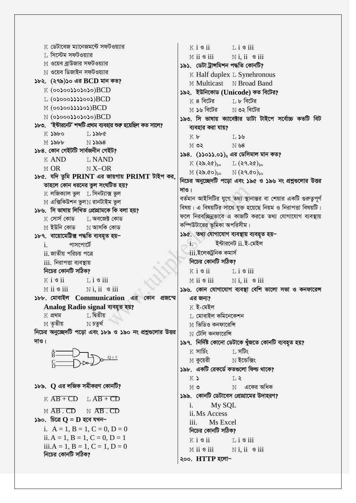$\,$  ডেটাবেজ ম্যানেজমন্টে সফটওয়্যার  $K$  i  $\mathcal{S}$  ii  $\overline{1}$  i  $\overline{3}$  iii  $\;$  সিস্টেম সফটওয়্যার  $M$  ii  $\mathcal S$  iii  $N$  i. ii  $\circ$  iii <u> M ওয়েব বাউজার সফটওয়াার</u> ১৯১ ডেটা ট্ৰান্সমিশন পদ্ধতি কোনটি? N **ওয়েব ডিজাইন সফটওয়াার** K Half duplex L Synehronous ১৮২. (২৭৯)১০ এর BCD মান কত? M Multicast N Broad Band  $K$  (00)00))0)0)0) $BCD$ ১৯২. ইউনিকোড (Unicode) কত বিটের?  $L$  (0)000)))  $BCD$  $K$  ৪ বিটের া, ৮ বিটের  $M$  (00)00)))  $BCD$  $\hbox{N}$  ৩২ বিটের M **১৬ বিটের**  $N$  (0)000))0)0)0) $BCD$ ১৯৩. সি ভাষায় ক্যাবেক্টার ডাটা টাইপে সর্বোচ্চ কতটি বিট ১৮৩. 'ইন্টারনেট' শব্দটি প্রথম ব্যবহার শুরু হয়েছিল কত সালে? ব্যবহার করা যায়?  $K$   $S$  $b$ bo  $I.$  $S$ b $C$  $K$  b  $T, 36$  $M$   $\delta b$  $N$  ১৯৯৪  $M$  ৩২ N ৬8 ১৮৪. কোন গেইটটি সার্বজনীন গেইট? ১৯৪. (১১০১১.০১), এর ডেসিমাল মান কত?  $K$  AND **LNAND**  $K(32.30)$  $L$  (২৭.২৫) $_{50}$  $M$  OR  $N X - OR$  $M(28.00)_{50}$   $N(29.00)_{50}$ ১৮৫. যদি তুমি PRINT এর জায়গায় PRIMT টাইপ কর, নিচের অনচ্ছেদটি পডো এবং ১৯৫ ও ১৯৬ নং প্রশ্নগুলোর উত্তর তাহলে কোন ধরনের ভুল সংঘটিত হয়?  $M_8$  $K$  লজিক্যাল ভল  $\top$ , সিনট্যাক্স ভল বর্তমান আইসিটির যুগে তথ্য স্থানান্তর বা শেয়ার একটি গুরুতুপূর্ণ  $M$  এক্সিকিউশন ভুল $N$  রানটাইম ভুল বিষয়। এ বিষয়টির সাথে যুক্ত হয়েছে নিয়ম ও নিরাপত্তা বিষয়টি। ১৮৬. সি ভাষায় লিখিত প্ৰোগ্ৰামকে কি বলা হয়? ফলে নিরবচ্ছিন্নভাবে এ কাজটি করতে তথ্য যোগাযোগ ব্যবস্থায় κ সোর্স কোড । অবজেক্ট কোড কম্পিউটারের ভূমিকা অপরিসীম।  $M$  ইউনি কোড  $N$  আসকি কোড ১৯৫. তথ্য যোগাযোগ ব্যবস্থায় ব্যবহৃত হয়-১৮৭. বায়োমেট্টিক্স পদ্ধতি ব্যবহৃত হয়– ইন্টারনেট ii. ই-মেইল পাসপোর্টে in.  $\mathbf{i}$ . iii ইলেকটনিক কমাৰ্স ii জাতীয় পরিচয় পত্রে নিচের কোনটি সঠিক? iii. নিরাপত্তা ব্যবস্থায় নিচের কোনটি সঠিক?  $K$  i  $\mathcal{S}$  ii  $L$  i  $\mathcal S$  iii  $K$  i  $\mathcal S$  ii  $Li$   $\sigma$  iii  $M$  ii  $\mathcal S$  iii  $N$  i. ii  $\mathcal S$  iii  $M$  ii  $\mathcal S$  iii  $N$  i, ii  $\circ$  iii ১৯৬. কোন যোগাযোগ ব্যবস্থা বেশি ভালো সভা ও কনফারেন্স ১৮৮. মোবাইল Communication এর কোন প্রজন্মে এর জন্য Analog Radio signal ব্যবহৃত হয়?  $K$  ই-মেইল ⊺, দ্বিতীয়  $K$  প্ৰথম  $\,$  মোবাইল কমিনেকেশন  $N$  চতুৰ্থ  $M$  তৃতীয় M ভিডিও কনফারেন্সি নিচের অনুচ্ছেদটি পড়ো এবং ১৮৯ ও ১৯০ নং প্রশ্নগুলোর উত্তর  $\overline{N}$  টেলি কনফারেন্সি  $M_8$ । ১৯৭. নির্দিষ্ট কোনো ডেটাকে খুঁজতে কোনটি ব্যবহৃত হয়?  $K$  সার্চিং ⊺, সটিং  $\le$  কয়েরী  $\hbox{N}$  ইন্ডেক্সিং ১৯৮. একটি রেকর্ডে কতগুলো ফিল্ড থাকে? K)  $L$  $\delta$ ৮৯.  $Q$  এর লজিক সমীকরণ কোনটি?  $\,$ N $\,$  একের অধিক MO. ১৯৯. কোনটি ডেটাবেস প্রোগ্রামের উদাহরণ?  $K$   $AB + CD$   $L$   $AB + CD$  $\mathbf{i}$ . My SQL  $M$   $\overline{AB}$   $\overline{CD}$   $N$   $\overline{AB}$   $\overline{CD}$ ii. Ms Access ১৯০. চিত্ৰে  $\mathbf{Q} = \mathbf{D}$  হবে যখন– Ms Excel  $iii$ i.  $A = 1$ ,  $B = 1$ ,  $C = 0$ ,  $D = 0$ নিচের কোনটি সঠিক? ii.  $A = 1$ ,  $B = 1$ ,  $C = 0$ ,  $D = 1$  $Li$   $\ddot{\circ}$  iii  $K$  i  $\mathcal S$  ii iii. $A = 1$ ,  $B = 1$ ,  $C = 1$ ,  $D = 0$  $N$ **i**, ii  $\circ$  iii  $M$  ii  $\mathcal S$  iii নিচের কোনটি সঠিক? ২০০. HTTP হলো-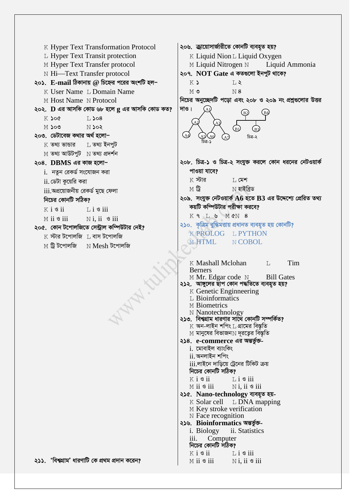| K Hyper Text Transformation Protocol                                                       | ২০৬.  জ্রায়োসার্জারীতে কোনটি ব্যবহৃত হয়?                                                                                                                                                                                                                                                                                                                                                                                                                                                                                                                                                                                                                                                                                                                                                                              |  |  |
|--------------------------------------------------------------------------------------------|-------------------------------------------------------------------------------------------------------------------------------------------------------------------------------------------------------------------------------------------------------------------------------------------------------------------------------------------------------------------------------------------------------------------------------------------------------------------------------------------------------------------------------------------------------------------------------------------------------------------------------------------------------------------------------------------------------------------------------------------------------------------------------------------------------------------------|--|--|
| L Hyper Text Transit protection                                                            | K Liquid Nion L Liquid Oxygen                                                                                                                                                                                                                                                                                                                                                                                                                                                                                                                                                                                                                                                                                                                                                                                           |  |  |
| M Hyper Text Transfer protocol                                                             | M Liquid Nitrogen N Liquid Ammonia                                                                                                                                                                                                                                                                                                                                                                                                                                                                                                                                                                                                                                                                                                                                                                                      |  |  |
| N Hi-Text Transfer protocol                                                                | ২০৭. NOT Gate এ কতগুলো ইনপুট থাকে?                                                                                                                                                                                                                                                                                                                                                                                                                                                                                                                                                                                                                                                                                                                                                                                      |  |  |
| ২০১. $\,$ E-mail ঠিকানায় $\,\omega$ চিহ্নের পরের অংশটি হল $-$                             | K)<br>$L$ $\lambda$                                                                                                                                                                                                                                                                                                                                                                                                                                                                                                                                                                                                                                                                                                                                                                                                     |  |  |
| K User Name L Domain Name                                                                  | N8<br>M O                                                                                                                                                                                                                                                                                                                                                                                                                                                                                                                                                                                                                                                                                                                                                                                                               |  |  |
| M Host Name N Protocol                                                                     | নিচের অনুচ্ছেদটি পড়ো এবং ২০৮ ও ২০৯ নং প্রশ্নগুলোর উত্তর                                                                                                                                                                                                                                                                                                                                                                                                                                                                                                                                                                                                                                                                                                                                                                |  |  |
| ২০২. $\bf{D}$ এর আসকি কোড ৬৮ হলে $\bf{g}$ এর আসকি কোড কত?                                  | দাও।                                                                                                                                                                                                                                                                                                                                                                                                                                                                                                                                                                                                                                                                                                                                                                                                                    |  |  |
| $L$ $>08$<br>$K$ Soc                                                                       |                                                                                                                                                                                                                                                                                                                                                                                                                                                                                                                                                                                                                                                                                                                                                                                                                         |  |  |
| $N$ sos<br>$M$ ১০৩                                                                         | (B]                                                                                                                                                                                                                                                                                                                                                                                                                                                                                                                                                                                                                                                                                                                                                                                                                     |  |  |
| ২০৩. ডেটাবেজ কথার অর্থ হলো−                                                                | চিত্ৰ-২                                                                                                                                                                                                                                                                                                                                                                                                                                                                                                                                                                                                                                                                                                                                                                                                                 |  |  |
| $K$ তথ্য ভান্ডার $L$ তথ্য ইনপুট                                                            |                                                                                                                                                                                                                                                                                                                                                                                                                                                                                                                                                                                                                                                                                                                                                                                                                         |  |  |
| $M$ তথ্য আউটপুট $N$ তথ্য প্ৰদৰ্শন                                                          |                                                                                                                                                                                                                                                                                                                                                                                                                                                                                                                                                                                                                                                                                                                                                                                                                         |  |  |
| $\cos$ . DBMS এর কাজ হলো-                                                                  | ২০৮. চিত্র-১ ও চিত্র-২ সংযুক্ত করলে কোন ধরনের নেটওয়ার্ক                                                                                                                                                                                                                                                                                                                                                                                                                                                                                                                                                                                                                                                                                                                                                                |  |  |
| i. নতুন রেকর্ড সংযোজন করা                                                                  | পাওয়া যাবে?                                                                                                                                                                                                                                                                                                                                                                                                                                                                                                                                                                                                                                                                                                                                                                                                            |  |  |
| $ii$ . ডেটা কুয়েরি করা                                                                    | $K$ স্টার<br>া মেশ                                                                                                                                                                                                                                                                                                                                                                                                                                                                                                                                                                                                                                                                                                                                                                                                      |  |  |
| <u>iii.অপ্রয়োজনীয় রেকর্ড মুছে ফেলা</u>                                                   | МÜ<br>$N$ হাইব্ৰিড                                                                                                                                                                                                                                                                                                                                                                                                                                                                                                                                                                                                                                                                                                                                                                                                      |  |  |
| নিচের কোনটি সঠিক?                                                                          | ২০৯. সংযুক্ত নেটওয়ার্ক $A6$ হতে $B3$ এর উদ্দেশ্যে প্রেরিত তথ্য                                                                                                                                                                                                                                                                                                                                                                                                                                                                                                                                                                                                                                                                                                                                                         |  |  |
| $K i$ s ii<br>$\overline{1}$ , $\overline{1}$ $\overline{9}$ $\overline{1}$ $\overline{1}$ | কয়টি কম্পিউটার পরীক্ষা করবে?                                                                                                                                                                                                                                                                                                                                                                                                                                                                                                                                                                                                                                                                                                                                                                                           |  |  |
| $N$ i, ii $\circ$ iii<br>$M$ ii $\circ$ iii                                                | K 9 L & M &N 8                                                                                                                                                                                                                                                                                                                                                                                                                                                                                                                                                                                                                                                                                                                                                                                                          |  |  |
| ২০৫. কোন টপোলজিতে সেন্ট্রাল কম্পিউটার নেই?                                                 | ২১০.  কৃত্রিম বুদ্ধিমত্তায় প্রধানত ব্যবহৃত হয় কোনটি?                                                                                                                                                                                                                                                                                                                                                                                                                                                                                                                                                                                                                                                                                                                                                                  |  |  |
| $\boldsymbol{\mathrm{K}}$ স্টার টপোলজি $\boldsymbol{\mathrm{L}}$ বাস টপোলজি                | K PROLOG L PYTHON                                                                                                                                                                                                                                                                                                                                                                                                                                                                                                                                                                                                                                                                                                                                                                                                       |  |  |
| $M$ ট্রি টপোলজি $N$ Mesh টপোলজি                                                            | M HTML<br>N COBOL                                                                                                                                                                                                                                                                                                                                                                                                                                                                                                                                                                                                                                                                                                                                                                                                       |  |  |
|                                                                                            | K Mashall Mclohan<br>Tim<br>$\mathsf{T}_{\perp}$<br><b>Berners</b>                                                                                                                                                                                                                                                                                                                                                                                                                                                                                                                                                                                                                                                                                                                                                      |  |  |
|                                                                                            | M Mr. Edgar code N Bill Gates<br>২১২.  আঙ্গুলের ছাপ কোন পদ্ধতিতে ব্যবহৃত হয়?<br>K Genetic Enginneering<br>L Bioinformatics<br>M Biometrics<br>N Nanotechnology<br>২১৩.  বিশ্বগ্রাম ধারণার সাথে কোনটি সম্পর্কিত?<br>$\rm K$ অন-লাইন শপিং $\rm L$ গ্রামের বিস্তৃতি<br>$\le$ মানুষের বিভাজন $\le$ দূরত্বের বিস্তৃতি<br>২১৪. e-commerce এর অন্তর্ভুক্ত-<br>i. মোবাইল ব্যাংকিং<br>$ii$ . অনলাইন শপিং<br>iii.লাইনে দাড়িয়ে ট্রেনের টিকিট ক্রয়<br>নিচের কোনটি সঠিক?<br>$K$ i $\mathcal S$ ii<br>$\mathbb{L}$ i $\mathcal{S}$ iii<br>$M$ ii $\mathcal S$ iii<br>$N$ i, ii $\mathcal S$ iii<br>২১৫.   Nano-technology ব্যবহুত হয়-<br>$K$ Solar cell $L$ DNA mapping<br>M Key stroke verification<br>N Face recognition<br>২১৬.   Bioinformatics অভৰ্ভুক্ত-<br>i. Biology<br>ii. Statistics<br>Computer<br>$\overline{111}$ . |  |  |
| ২১১. 'বিশ্বগ্রাম' ধারণাটি কে প্রথম প্রদান করেন?                                            | নিচের কোনটি সঠিক?<br>$K i$ s ii $L i$ s iii<br>$M$ ii $\mathcal S$ iii<br>$N$ i, ii $\circ$ iii                                                                                                                                                                                                                                                                                                                                                                                                                                                                                                                                                                                                                                                                                                                         |  |  |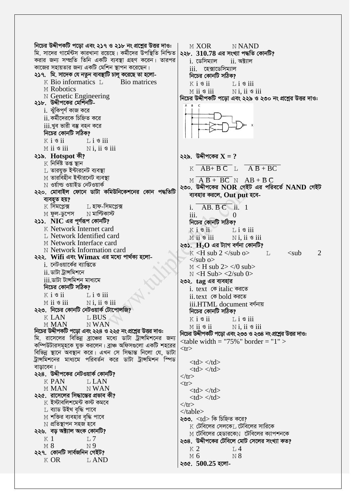নিচের উদ্দীপকটি পড়ো এবং ২১৭ ও ২১৮ নং প্রশ্লের উত্তর দাও: M XOR **NNAND** মি. সাদের গার্মেন্টস কারখানা রয়েছে। কর্মীদের উপস্থিতি নিশ্চিত ২২৮.  $310.78$  এর সংখ্যা পদ্ধতি কোনটি? করার জন্য সম্প্রতি তিনি একটি ব্যবস্থা গ্রহণ করেন। তারপর i ডেসিম্যাল  $ii.$  অক্ট্যাল কাজের সহায়তার জন্য একটি মেশিন স্থাপন করেছেন। iii. হেক্সাডেসিম্যাল ২১৭. মি. সাদেক যে নতুন ব্যবস্থাটি চালু করেছে তা হলো-নিচের কোনটি সঠিক?  $K$  Bio informatics  $L$ Bio matrices  $Li$   $\sigma$  iii  $K$  i  $S$  ii M Robotics  $N$ i, ii  $\mathcal S$  iii  $M$  ii  $\mathcal S$  iii N Genetic Engineering নিচের উদ্দীপকটি পড়ো এবং ২২৯ ও ২৩০ নং প্রশ্নের উত্তর দাও: ২১৮. উদ্দীপকের মেশিনটিi. ঝুঁকিপূর্ণ কাজ করে  $ii$  কর্মীদেরকে চিহ্নিত করে iii.খব ভারী বম্ভ বহন করে নিচের কোনটি সঠিক?  $K$  i  $\mathcal S$  ii  $L$  i  $\circ$  iii  $M$  ii  $\mathcal S$  iii  $N$  i. ii  $\circ$  iii ২১৯. Hotspot কী? ২২৯. উদ্দীপকের  $X = ?$  $K$  নিৰ্দিষ্ট তপ্ত স্থান  $K \overline{AB + BC}$   $\overline{AB + BC}$ ∐ তারযুক্ত ইন্টারনেট ব্যবস্থা M তারবিহীন ইন্টারনেট ব্যবস্<del>ঠা</del>  $M \overline{AB + BC}$   $N \overline{AB + BC}$  $N$  ওর্য়াল্ড ওয়াইড নেটওয়ার্ক ২৩০. উদ্দীপকের  $NOR$  গেইট এর পরিবর্তে  $NAND$  গেইট ২২০. মোবাইল ফোনে ডাটা কমিউনিকেশনের কোন পদ্ধতিটি ব্যবহার করলে, Out put হবে-ব্যবহৃত হয়?  $K$  সিমপ্লেক্স ⊺। হাফ-সিমপ্লেক্স  $AB, BC$  ii. 1  $\mathbf{i}$ M ফুল-ডুপেস  $\hbox{N}$  মাল্টিকাস্ট  $\overline{111}$  $\Omega$ ২১১.  $\overline{\rm NIC}$  এর পূর্ণরূপ কোনটি? নিচের কোনটি সঠিক? K Network Internet card  $K$  i  $S$  ii  $\overline{1}$ ,  $\overline{1}$   $\overline{9}$  iii L Network Identified card M ii 9 iii  $N$  i. ii  $\circ$  iii M Network Interface card ২৩১.  $\rm\,H_{2}O$  এর ট্যাগ বর্ণনা কোনটি? N Network Information card  $K < H$  sub 2  $\lt$ /sub  $\Omega$  $\lt$ sub  $\overline{2}$  $\top$ . ২২২. Wifi এবং Wimax এর মধ্যে পার্থক্য হলো- $\langle$ sub o $\rangle$ i. নেটওয়ার্কের ব্যাপ্তিতে  $M < H$  sub 2> </0 sub> ii, ডাটা ট্রান্সমিশনে  $N < H$  Sub $> <2$ /sub 0 $>$ iii ডাটা টান্সমিশন মাধ্যমে ২৩২. tag এর ব্যবহার নিচের কোনটি সঠিক? i. text কে italic করতে  $K$  i  $\mathcal S$  ii  $Li$   $\circ$  iii ii.text কে bold করতে  $M$  ii  $\mathcal S$  iii  $N$  i, ii  $\circ$  iii iii.HTML document বৰ্ণনায় ২২৩. নিচের কোনটি নেটওয়ার্ক টোপোলজি? নিচের কোনটি সঠিক? **KLAN** L BUS  $K$  i  $\mathcal S$  ii  $\mathbb{L}$  i  $\mathcal{S}$  iii **MMAN** N WAN  $M$  ii  $\mathcal S$  ii  $N$ i. ii  $\mathcal S$  iii নিচের উদ্দীপকটি পড়ো এবং ২২৪ ও ২২৫ নং প্রশ্নের উত্তর দাও: নিচের উদ্দীপকটি পড়ো এবং ২৩৩ ও ২৩৪ নং প্রশ্লের উত্তর দাও: মি. রাসেলের বিভিন্ন ব্রাঞ্চের মধ্যে ডাটা ট্রান্সমিশনের জন্য  $\lt$ table width = "75%" border = "1" > কম্পিউটারসমূহকে যুক্ত করলেন। ব্রাঞ্চ অফিসগুলো একটি শহরের  $<$ tr $>$ বিভিন্ন স্থানে অবস্থান করে। এখন সে সিদ্ধান্ত নিলো যে, ডাটা ট্রান্সমিশনের মাধ্যমে পরিবর্তন করে ডাটা ট্রান্সমিশন স্পিড  $<$ td $>$   $<$ /td $>$ বাড়াবেন।  $<$ td $>$   $<$ /td $>$ ২২৪. উদ্দীপকের নেটওয়ার্ক কোনটি?  $\langle tr \rangle$ **K PAN LLAN**  $<$ tr $>$ N WAN **MMAN**  $<$ td> $<$ /td> ২২৫. রাসেলের সিদ্ধান্তের প্রভাব কী?  $<$ td $>$   $<$ /td $>$  $\,$  ইস্টাবলিশমেন্ট কস্ট কমবে  $\langle$ /tr $\rangle$  $\;$ ্ৰ ব্যাড উইথ বৃদ্ধি পাবে  $\langle$  table $\rangle$  $\,\mathbb{M}$  শক্তির ব্যবহার বৃদ্ধি পাবে **২৩৩.**  $td> 7 $q$  of  $5<sup>5</sup>$  of  $5<sup>6</sup>$$  $\,\mathrm{N}\,$  প্ৰতিস্থাপন সহজ হবে  $\,$  টেবিলের সেলকে $\,$ ্রটেবিলের সারিকে ২২৬. বড় অক্ট্যাল অংক কোনটি?  $M$  টেবিলের হেডারকে $N$  টেবিলের ক্যাপশনকে  $K<sub>1</sub>$  $L7$ ২৩৪. উদ্দীপকের টেবিলে মোট সেলের সংখ্যা কত?  $N<sub>9</sub>$  $M8$  $K<sub>2</sub>$  $L<sub>4</sub>$ ২২৭. কোনটি সার্বজনিন গেইট?  $M<sub>6</sub>$  $N<sub>8</sub>$  $K$  OR L AND ২৩৫. 500.25 হলো-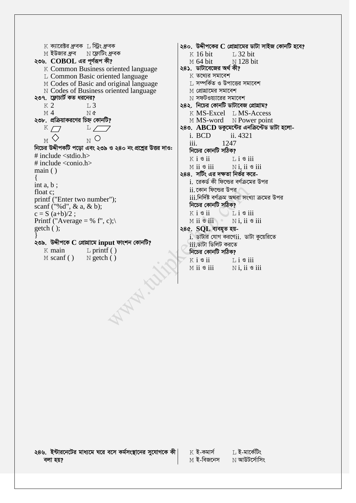$K$  ক্যারেক্টর ধ্রুবক $L$  স্ট্রিং ধ্রুবক ২৩৬.  $\bf COBOL$  এর পূর্ণরূপ কী? K Common Business oriented language L Common Basic oriented language M Codes of Basic and original language N Codes of Business oriented language ২৩৭. ফ্লোচার্ট কত ধরনের?  $K<sub>2</sub>$  $L3$  $M<sub>4</sub>$  $N$   $\alpha$ ২৩৮. প্রক্রিয়াকরণের চিহ্ন কোনটি?  $K \mathcal{L}$  $L$   $\sqrt{ }$  $_{\rm N}$  O  $\langle \rangle$ M নিচের উদ্দীপকটি পড়ো এবং ২৩৯ ও ২৪০ নং প্রশ্নের উত্তর দাও: # include  $\le$ stdio.h  $>$ # include  $\langle$ conio.h $>$  $main()$  $\{$ int  $a, b$ ; float c; printf ("Enter two number"); scanf ("%d",  $\&$  a,  $\&$  b);  $c = S (a+b)/2$ ; Printf ("Average = % f", c);  $getch()$ ; ২৩৯. উদ্দীপকে  $\mathbf C$  প্রোগ্রামে input ফাংশন কোনটি?  $K$  main  $L$  printf ()  $M$  scanf()  $N$  getch  $()$ **WAN.C.** 

২৪০. উদ্দীপকের  $C$  প্রোগ্রামের ডাটা সাইজ কোনটি হবে?  $K$  16 bit T. 32 hit  $M$  64 bit N 128 bit ২৪১. ডাটাবেজের অর্থ কী?  $K$  তথোর সমাবেশ ।. সম্পর্কিত ও উপাত্তের সমাবেশ M প্রোগ্রামের সমাবেশ  $\overline{\rm N}$  সফটওয়্যারের সমাবেশ ২৪২. নিচের কোনটি ডাটাবেজ প্রোগ্রাম? K MS-Excel L MS-Access M MS-word N Power point ২৪৩. ABCD ডকুমেন্টের এনক্রিন্স্টেড ডাটা হলোi RCD ii 4321  $iii.$ 1247 নিচের কোনটি সঠিক?  $K$  i  $\mathcal S$  ii  $L$  i  $\mathcal S$  iii  $M$  ii  $\mathcal S$  iii  $N$ *i*. ii  $\mathcal S$  iii ২৪৪. সর্টিং এর দক্ষতা নির্ভর করেi. রেকর্ড কী ফিল্ডের বর্ণক্রমের উপর ii কোন ফিল্ডের উপর <u>iii.নির্দিষ্ট বর্ণক্রম অথবা সংখ্যা ক্রমের উপর</u> নিচের কোনটি সঠিক?  $K$  i  $\mathcal S$  ii  $\perp$  L i  $\circ$  iii  $M$  ii  $\mathcal{S}$  iii  $N$ i. ii  $\mathcal S$  iii ২৪৫. SQL ব্যবহৃত হয় $i$ . ডাটার যোগ করণে $ii$ . ডাটা কুয়েরিতে iii.ডাটা ডিলিট করতে নিচের কোনটি সঠিক?  $K$  i  $S$  ii  $\overline{1}$ ,  $\overline{1}$   $\overline{9}$  iii  $M$  ii  $\mathcal S$  iii  $N$ *i*. ii  $\mathcal S$  iii

২৪৬. ইন্টারনেটের মাধ্যমে ঘরে বসে কর্মসংস্থানের সুযোগকে কী বলা হয়?

 $K$  ই-কমার্স ⊺ ই-মাৰ্কেটিং M **ই-বিজনেস**  $\rm N$  আউটর্সোসিং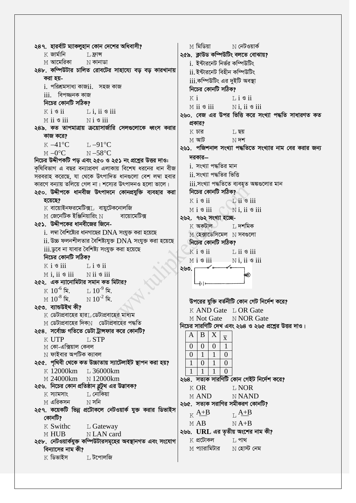২৪৭. হারর্বাট ম্যাকলুহান কোন দেশের অধিবাসী? M মিডিয়া N নেটওয়ার্ক  $K$  জার্মানি ২৫৯. ক্লাউড কম্পিউটিং বলতে বোঝায়?  $L$  ফ্রান্স M **আমেরিকা**  $N$  কানাডা i. ইন্টারনেট নির্ভর কম্পিউটিং ২৪৮, কম্পিউটার চালিত রোবটের সাহায্যে বড বড কারখানায় ii ইন্টারনেট বিহীন কম্পিউটিং করা হয়iii.কম্পিউটিং এর দুইটি অবস্থা  $i$ . পরিশ্রমসাধ্য কাজ $ii$ . সহজ কাজ নিচের কোনটি সঠিক?  $iii.$  বিপজ্জনক কাজ  $K$  i  $Li$   $S$   $ii$ নিচের কোনটি সঠিক? M ii 9 iii  $N$  i, ii  $\circ$  iii  $K$  i  $S$  ii  $L$  i. ii  $\circ$  iii ২৬০. বেজ এর উপর ভিত্তি করে সংখ্যা পদ্ধতি সাধারণত কত  $M$  ii  $\mathcal S$  iii  $N$  i  $\mathcal S$  iii প্রকার? ২৪৯. কত তাপমাত্রায় ক্রয়োসার্জারি সেলগুলোকে ধ্বংস করার  $K$  চার ⊺। ছয় কাজ করে?  $M$  আট  $N$  দশ  $K - 41$ °C  $T - 91$ °C ২৬১. পজিশনাল সংখ্যা পদ্ধতিতে সংখ্যার নাম বের করার জন্য  $M - 0^{\circ}C$  $N - 58^{\circ}C$ দরকার— নিচের উদ্দীপকটি পড এবং ২৫০ ও ২৫১ নং প্রশ্নের উত্তর দাও: i. সংখ্যা পদ্ধতির মান কৃষিবিভাগ এ বছর বন্যাপ্রবণ এলাকায় বিশেষ ধরনের ধান বীজ ii. সংখ্যা পদ্ধতির ভিত্তি সরবরাহ করেছে, যা থেকে উৎপাদিত ধানগুলো বেশ লম্বা হবার কারণে বন্যায় তলিয়ে গেল না। শস্যের উৎপাদনও হলো ভালে। <u>iii.সংখ্যা পদ্ধতিতে ব্যবহৃত অঙ্কগুলোর মান</u> ২৫০. উদ্দীপকে ধানবীজ উৎপাদনে কোনপ্রযুক্তি ব্যবহার করা নিচের কোনটি সঠিক? হয়েছে?  $K$  i  $S$  ii  $Li$   $\ddot{\circ}$  iii  $K$  বায়োইনফরমেটিক্সা, বায়টেকনোলজি  $M i$  s iii  $\overline{N}$  i. ii  $\overline{S}$  iii  $\,$  শ জেনেটিক ইঞ্জিনিয়ারিং  $\rm N$ বায়োমেটিক্স ২৬২. ৭৬২ সংখ্যা হচ্ছে-২৫১. উদ্দীপকের ধানবীজের জিনে- $K$  অকটাল ⊺, দশমিক  $i$ . লম্বা বৈশিষ্ট্যের ধানগাছের  $DNA$  সংযুক্ত করা হয়েছে  $M$  হেক্সাডেসিমেল  $N$  সবগুলো  $ii$ . উচ্চ ফলনশীলতার বৈশিষ্ট্যযুক্ত  $DNA$  সংযুক্ত করা হয়েছে নিচের কোনটি সঠিক? <u>iii.ডুবে না যাবার বৈশিষ্ট্য সংযুক্ত করা হয়েছে</u>  $K$  i  $\mathcal S$  ii  $L$  ii  $\circ$  iii নিচের কোনটি সঠিক? Misii  $N$ i. ii  $\mathcal S$  iii  $K$  i  $\mathcal S$  iii  $Li$  s ii ২৬৩.  $M$  i. ii  $\circ$  iii  $N$  ii  $\circ$  iii ২৫২. এক ন্যানোমিটার সমান কত মিটার?  $\,$  K  $\,$   $10^{-6}$  মি.  $1.10^{-9}$  মি.  $\rm M~10^{-8}$  মি.  $\rm\,M\,10^{\text{-2}}$  মি উপরের যুক্তি বর্তনীটি কোন গেট নির্দেশ করে? ২৫৩. ব্যান্ডউইথ কী? K AND Gate L OR Gate  $\,$  ডেটাপ্রবাহের হার $\,$  ডেটাপ্রবাহের মাধ্যম M Not Gate N NOR Gate  $M$  ডেটাপ্রবাহের দিক $N$  ডেটাপ্রবাহের পদ্ধতি নিচের সারণিটি দেখ এবং ২৬৪ ও ২৬৫ প্রশ্নের উত্তর দাও। ২৫৪. সর্বোচ্চ গতিতে ডেটা ট্রান্সফার করে কোনটি? B X A  $\overline{\mathbf{x}}$ **K UTP** L STP  $\theta$  $\Omega$  $\Omega$  $\mathbf{1}$  $\rm{M}$  কো-এক্সিয়াল কেবল  $\,\mathrm{N}\,$  ফাইবার অপটিক ক্যাবল  $\mathbf{1}$  $\mathbf{1}$  $\overline{0}$  $\overline{0}$ ২৫৫. পৃথিবী থেকে কত উচ্চাতায় স্যাটেলাইট স্থাপন করা হয়?  $\mathbf{1}$  $\overline{0}$  $\mathbf{1}$  $\overline{0}$ K 12000km L 36000km  $\mathbf{1}$  $\mathbf{1}$  $\mathbf{1}$  $\theta$ M 24000km N 12000km ২৬৪. সত্যক সারণিটি কোন গেইট নির্দেশ করে? ২৫৬. নিচের কোন প্রতিষ্ঠান ব্লটুথ এর উদ্ভাবক? **K OR T. NOR** ा, নোকিয়া  $K$  স্যামসাং **N NAND MAND**  $N$  সনি  $\mathbb M$  এরিকসন ২৬৫. সত্যক সরাণির সমীকরণ কোনটি? ২৫৭. কয়েকটি ভিন্ন প্রটোকলে নেটওয়ার্ক যুক্ত করার ডিভাইস  $K \frac{A+B}{B}$  $L \frac{A+B}{A}$ কোনটি?  $MAB$  $NA+B$ K Swithc L Gateway ২৬৬. URL এর তৃতীয় অংশের নাম কী? M HUB N LAN card  $K$  প্ৰটোকল  $L$  পাথ ২৫৮. নেটওয়ার্কযুক্ত কম্পিউটারসমূহের অবস্থানগত এবং সংযোগ M প্যারামিটার  $N$  হোস্ট নেম বিন্যাসের নাম কী?  $K$  ডিভাইস ∐ টপোলজি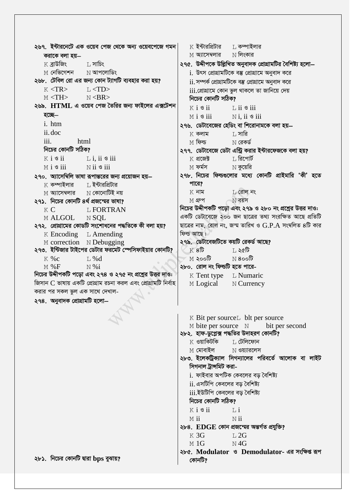২৬৭. ইন্টারনেটে এক ওয়েব পেজ থেকে অন্য ওয়েবপেজে গমন<sup>।</sup>  $\rm K$  ইন্টারপ্রিটার ⊺, কম্পাইলার M **অ্যাসেম্বলার**  $N$  লিংকার করাকে বলা হয়—  $K$  বাউজিং  $T.$ সাচিং ২৭৫. উদ্দীপকে উল্লিখিত অনুবাদক প্ৰোগ্ৰামটির বৈশিষ্ট্য হলো— M নেভিগেশন া **আপ**লোডিং i. উৎস প্রোগ্রামটিকে বম্ভ প্রোগ্রামে অনুবাদ করে ২৬৮. টেবিল রো এর জন্য কোন ট্যাগটি ব্যবহার করা হয়? ii. সম্পৰ্ক প্ৰোগ্ৰামটিকে বম্ভ প্ৰোগ্ৰামে অনুবাদ করে  $K < TR$  $L<$ TD> iii.প্ৰোগ্ৰামে কোন ভুল থাকলে তা জানিয়ে দেয়  $M < TH$  $N <$ BR $>$ নিচের কোনটি সঠিক? ২৬৯. HTML এ ওয়েব পেজ তৈরির জন্য ফাইলের এক্সটেশন  $K$  i  $S$  ii  $\overline{1}$ , ii  $\overline{9}$  iii হচ্ছে–  $M$  i  $\mathcal S$  iii  $N$ *i*. ii  $\mathcal S$  iii i. htm ২৭৬. ডেটাবেজের হেডিং বা শিরোনামকে বলা হয় ii.doc ⊺, সারি  $K$  কলাম  $iii.$ html  $M$  ফিল্ড  $N$  রেকর্ড নিচের কোনটি সঠিক? ২৭৭. ডেটাবেজে ডেটা এন্ট্রি করার ইন্টারফেজকে বলা হয়?  $K$  i  $\mathcal{S}$  ii  $L$  i, ii  $\circ$  iii ⊺ রিপোর্ট  $K$  প্ৰজেক্ট  $M$  ফর্মস  $N$  কুয়েরি  $N$  ii  $\mathcal S$  iii  $M i$  s iii ২৭৮. নিচের ফিল্ডগুলোর মধ্যে কোনটি প্রাইমারি 'কী' হতে ২৭০. অ্যাসেম্বিলি ভাষা রূপান্তরের জন্য প্রয়োজন হয়— পারে?  $\boldsymbol{\mathrm{K}}$  কম্পাইলার ⊺। ইন্টারপ্রিটার  $K$  নাম  $L$  রোল নং M **অ্যাসেম্বলার** N কোনোটিই নয়  $M$  গ্রুপ  $\overline{N}$  বয়স ২৭১ নিচের কোনটি ৪র্থ প্রজন্মের ভাষা? নিচের উদ্দীপকটি পড়ো এবং ২৭৯ ও ২৮০ নং প্রশ্নের উত্তর দাও:  $K_{\mathbb{C}}$ L FORTRAN একটি ডেটাবেজে ২০০ জন ছাত্রের তথ্য সংরক্ষিত আছে প্রতিটি M ALGOL N<sub>SOL</sub> ২৭২. প্রোগ্রামের কোডটি সংশোধনের পদ্ধতিকে কী বলা হয়? ছাত্রের নাম, রোল নং, জন্ম তারিখ ও G.P.A সংমলিত ৪টি কার ফিল্ড আছে।  $K$  Encoding  $L$  Amending M correction N Debugging ২৭৯. ডেটাবেজটিতে কয়টি রেকর্ড আছে? ২৭৩. ইন্টিজার টাইপের ডেটার ফরমেট স্পেসিফাইয়ার কোনটি?  $K80$ া, ২৫টি  $K$  %  $c$  $M \geqslant 0$ টি  $N8$ oolt  $L\%d$  $M\%F$  $N%$ ২৮০. রোল নং ফিল্ডটি হতে পারে-নিচের উদ্দীপকটি পড়ো এবং ২৭৪ ও ২৭৫ নং প্রশ্নের উত্তর দাও: K Tent type L Numaric জিসান C ভাষায় একটি প্রোগ্রাম রচনা করল এবং প্রোগ্রামটি নির্বাহ M Logical N Currency করার পর সকল ভুল এক সাথে দেখাল-২৭৪. অনুবাদক প্ৰোগ্ৰামটি হলো— K Bit per source L blt per source M bite per source N bit per second ২৮২. হাফ-ডুপ্লেক্স পদ্ধতির উদাহরণ কোনটি?  $K$  ওয়াকিটকি ⊺। টেলিফোন  $M$  মোবাইল  $N$  ওয়্যারলেস ২৮৩. ইলেকট্রিক্যাল সিগন্যালের পরিবর্তে আলোক বা লাইট সিগনাল ট্রান্সমিট করাi. ফাইবার অপটিক কেবলের বড় বৈশিষ্ট্য ii. এসটিপি কেবলের বড় বৈশিষ্ট্য iii.ইউটিপি কেবলের বড় বৈশিষ্ট্য নিচের কোনটি সঠিক?  $K$  i  $\mathcal S$  ii  $Li$  $M$  ii  $N$  ii ২৮৪. EDGE কোন প্ৰজন্মের অন্তৰ্গত প্ৰযুক্তি?  $L2G$  $K \overline{3}G$  $M<sub>1</sub>G$  $N4G$ ২৮৫. Modulator ও Demodulator- এর সংক্ষিপ্ত রূপ ২৮১. নিচের কোনটি দ্বারা bps বুঝায়? কোনটি?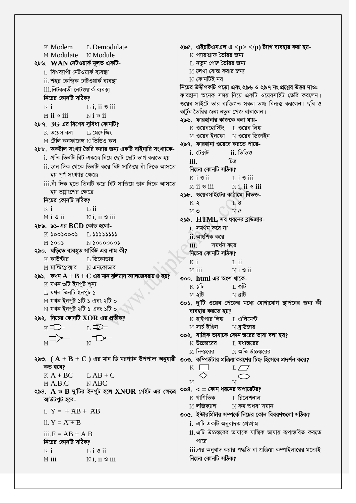$K$  Modem  $I$ , Demodulate ২৯৫. এইচটিএমএল এ $<$ p> $<$ /p) ট্যাগ ব্যবহার করা হয়-M Modulate N Module K প্যারাগ্রাফ তৈরির জন্য ২৮৬.  $WAN$  নেটওয়ার্ক মূলত একটি-। নতন পেজ তৈরির জন্য M লেখা বোল্ড করার জন্য i. বিশ্বব্যাপী নেটওয়ার্ক ব্যবস্থা  $N$  কোনটিই নয় ii. শহর কেন্দ্রিক নেটওয়ার্ক ব্যবস্থা নিচের উদ্দীপকটি পড়ো এবং ২৯৬ ও ২৯৭ নং প্রশ্নের উত্তর দাও: <u>iii নিটকবৰ্তী নেটওয়াৰ্ক ব্যবস্থা</u> ফারহানা অনেক সময় নিয়ে একটি ওয়েবসাইট তেরি করলেন। নিচের কোনটি সঠিক? ওয়েব সাইটে তার ব্যক্তিগত সকল তথ্য বিন্যস্ত করলেন। ছবি ও  $K$  i  $L$  i. ii  $\circ$  iii কার্টুন তৈরির জন্য নতুন পেজ বানালেন।  $N$ *i*  $\mathcal{S}$ *ii*  $M$  ii  $\mathcal S$  iii ২৯৬. ফারহানার কাজকে বলা যায়-২৮৭. 3G এর বিশেষ সুবিধা কোনটি?  $K$  ওয়েবহোস্টিং  $T$ , ওয়েব লিঙ্ক  $K$  ভয়েস কল  $K$ । মেসেজিং M ওয়েব ইনফো N ওয়েব ডিজাইন  $M$  টেলি কনফারেন্স  $N$  ভিডিও কল ২৯৭. ফারহানা ওয়েবে করতে পারে-২৮৮. অকটাল সংখ্যা তৈরি করার জন্য একটি বাইনারি সংখ্যাকেi. টেক্সট ii ভিডিও <u>i. প্ৰতি তিনটি বিট একত্ৰে নিয়ে ছোট ছোট ভাগ করতে হয়</u>  $\mathbf{iii}$ চিত্ৰ ii ডান দিক থেকে তিনটি করে বিট সাজিয়ে বাঁ দিকে আসতে নিচের কোনটি সঠিক? হয় পূর্ণ সংখ্যার ক্ষেত্রে  $K$  i  $\mathcal S$  ii  $\mathbb{L}$  i  $\mathbb{S}$  iii iii.বাঁ দিক হতে তিনটি করে বিট সাজিয়ে ডান দিকে আসতে  $M$  ii  $\mathcal S$  iii  $N$  i ii  $\frac{1}{2}$  iii হয় ভগ্নাংশের ক্ষেত্রে ২৯৮. ওয়েবসাইটের কাঠামো বিভক্ত-নিচের কোনটি সঠিক?  $K$   $\lambda$  $T.8$  $K$  i  $L$  ii  $M$  ৩ N¢  $M i$  s ii  $N i$ , ii s iii ২৯৯. HTML সব ধরনের ব্রাউজার-২৮৯. ৯১-এর BCD কোড হলোi সমর্থন করে না  $K$  SooSoooS  $L$  SSSSSSSS ii. আংশিক করে  $N$  $>$ 000000 $\prime$  $300$ সমৰ্থন কৱে iii) ২৯০. ঘড়িতে ব্যবহৃত সার্কিট এর নাম কী? নিচের কোনটি সঠিক?  $K$  কাউন্টার  $\,$  $\,$  ডিকোডার  $K$  i  $T_i$  ii  $\mathbb M$  মাল্টপ্লেক্সার  $\qquad \mathbb N$  এনকোডার  $N$ i  $\mathcal{S}$  ii  $M$  iii ২৯১. কখন  $A + B + C$  এর মান বুলিয়ান অ্যালজেবরায়  $0$  হয়? ৩০০. html এর অংশ থাকে- $K$  যখন ৩টি ইনপুট শূন্য  $K \mathcal{S}$ া ৩টি ∐ যখন তিনটি ইনপুট ১  $M \triangleleft \mathbb{G}$  $N8\overline{b}$  $M$  যখন ইনপুট ১টি ১ এবং ২টি ০ ৩০১. দু'টি ওয়েব পেজের মধ্যে যোগাযোগ স্থাপনের জন্য কী  $\rm N$  যখন ইনপুট ২টি ১ এবং ১টি ০ ব্যবহার করতে হয়? ২৯২. নিচের কোনটি  $XOR$  এর প্রতীক?  $K$  হাইপার লিঙ্ক $L$  এলিমেন্ট  $\le$  সাৰ্চ ইঞ্জিন  $\rm N$  ব্রাউজার ৩০২. যান্ত্রিক ভাষাকে কোন স্তরের ভাষা বলা হয়?  $\begin{picture}(180,10) \put(0,0){\line(1,0){10}} \put(10,0){\line(1,0){10}} \put(10,0){\line(1,0){10}} \put(10,0){\line(1,0){10}} \put(10,0){\line(1,0){10}} \put(10,0){\line(1,0){10}} \put(10,0){\line(1,0){10}} \put(10,0){\line(1,0){10}} \put(10,0){\line(1,0){10}} \put(10,0){\line(1,0){10}} \put(10,0){\line(1,0){10}} \put(10,0){\line($ K উচ্চস্তরের ∐ মধ্যস্তরের M **নিল্স্তরের**  $\hbox{N}$  অতি উচ্চস্তরের ২৯৩.  $(A + B + C)$  এর মান ডি মরগ্যান উপপাদ্য অনুযায়ী ৩০৩. কম্পিউটার প্রক্রিয়াকরণের চিহ্ন হিসেবে প্রদর্শন করে? কত হবে?  $K$   $\Gamma$  $L/7$  $K A + BC$  $LAB + C$ M  $\overline{\mathbf{M}}$  $M$  A.B.C.  $N$  ABC ৩০৪.  $\lt$  = কোন ধরনের অপারেটর? ২৯৪. A ও B দু'টির ইনপুট হলে XNOR গেইট এর ক্ষেত্রে  $\,$  মাণিতিক ⊺. রিলেশনাল আউটপুট হবে- $M$  লজিক্যাল  $N$  কম অথবা সমান i.  $Y = +AB + AB$ ৩০৫. ইন্টারপ্রিটার সম্পর্কে নিচের কোন বিবরণগুলো সঠিক? ii.  $Y = \overline{A + B}$ i. এটি একটি অনুবাদক প্রোগ্রাম  $ii$  এটি উচ্চস্তরের ভাষাকে যান্ত্রিক ভাষায় রূপান্তরিত করতে  $iii.F = AB + \overline{A} \overline{B}$ নিচের কোনটি সঠিক? পারে <u>iii.এর অনুবাদ করার পদ্ধতি বা প্রক্রিয়া কম্পাইলারের মতোই</u>  $K$  i  $\mathbb{L}$  i  $\mathbb{S}$  ii নিচের কোনটি সঠিক?  $N$ i. ii  $\mathcal S$  iii  $M$  iii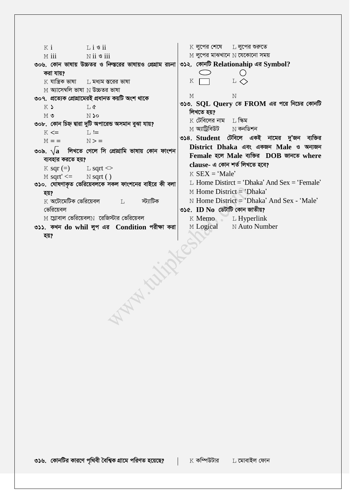```
K লুপের শেষে L লুপের শুরুতে
   K i
                  \overline{1} i \overline{3} ii
                                                            M লুপের মাঝখানে N যেকোনো সময়
   M iii
                   N ii \mathcal S iii
৩০৬. কোন ভাষায় উচ্চতর ও ন্সিস্তরের ভাষায়ও প্রেগ্রাম রচনা \mid৩১২. কোনটি Relationahip এর Symbol?
   করা যায়?
                                                               \bigcirc\bigcircK যান্ত্রিক ভাষা \quad \quad \quad মধ্যম স্তরের ভাষা
                                                            K \BoxL \LeftrightarrowM অ্যাসেম্বলি ভাষা N উচ্চতর ভাষা
                                                            M
                                                                            \mathbf{N}৩০৭. প্ৰত্যেক প্ৰোগ্ৰামেৱই প্ৰধানত কয়টি অংশ থাকে
                                                        ৩১৩. SQL Query তে FROM এর পরে নিচের কোনটি
   K)
                   T_{1} \sigmaলিখতে হয়?
                   N So
   M O
                                                            K টেবিলের নাম T, স্কিম
৩০৮. কোন চিহ্ন দ্বারা দুটি অপারেন্ড অসমান বুঝা যায়?
                                                            M অ্যাটিবিউট
                                                                           \hbox{N} কনডিশন
   K \leq 1L :=৩১৪. Student টেবিলে একই নামের দু'জন ব্যক্তির
   M = 1N > 1District Dhaka এবং একজন Male ও অন্যজন
৩০৯. \sqrt{\mathbf{a}} লিখতে গেলে সি প্ৰোগ্ৰামি ভাষায় কোন ফাংশন
                                                            Female হলে Male ব্যক্তির DOB জানতে where
   ব্যবহার করতে হয়?
                                                            clause- এ কোন শর্ত লিখতে হবে?
   K sqr (=)\mathbb{L} sqrt\llK SEX = 'Male'
   M \text{ sqrt}' \leq M \text{ sqrt}L. Home Distirct = 'Dhaka' And Sex = 'Female'
৩১০. ঘোষণাকৃত ভেরিয়েবলকে সকল ফাংশনের বাইরে কী বলা
                                                            M Home District = 'Dhaka'
   হয়?
                                                            N Home District = 'Dhaka' And Sex - 'Male'
   \boldsymbol{\mathrm{K}} অটোমেটিক ভেরিয়েবল
                                         স্ট্যাটিক
                                 \mathsf{T}_{\perp}৩১৫. ID No ডেটাটি কোন জাতীয়?
   ভেৱিয়েবল
   M গ্লোবাল ভেরিয়েবলN রেজিস্টার ভেরিয়েবল
                                                            K Memo L Hyperlink
৩১১. কখন do whil লুপ এর Condition পরীক্ষা করা
                                                            M Logical
                                                                          N Auto Number
   হয়?
                            MAN. Girls
```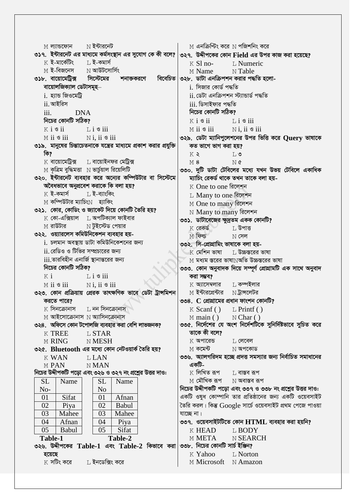$M$  এনক্রিপ্টিং করে  $N$  পজিশনিং করে  $N$  ইন্টারনেট M ল্যান্ডফোন ৩১৭. ইন্টারনেট এর মাধ্যমে কর্মসংস্থান এর সুযোগ কে কী বলে?  $\mid$ ৩২৭. উদ্দীপকের কোন Field এর উপর কাজ করা হয়েছে?  $K$  ই-মার্কেটিং ⊺, ই-কমাৰ্স L Numeric  $K$  S1 no-M ই-বিজনেস  $N$  আউটসোর্সিং M Name N Table ৩১৮. বায়োমেট্রিক্স সিস্টেমের বিবেচিত ৩২৮. ডাটা এনক্রিপশন করার পদ্ধতি হলো-শনাক্তকরণে বায়োলজিক্যাল ডেটাসমূহ– i. সিজার কোর্ড পদ্ধতি ii ডেটা এনক্ৰিপশন স্টাান্ডাৰ্ড পদ্ধতি  $i.$  হ্যান্ড জিওমেটি ii আইরিস iii ডিসাইফার পদ্ধতি নিচের কোনটি সঠিক?  $iii.$ **DNA** নিচের কোনটি সঠিক?  $K$  i  $S$  ii  $Li$   $\ddot{\circ}$  iii  $K$  i  $S$  ii  $Li$   $\sigma$  iii  $M$  ii  $\mathcal S$  iii  $N$ *i*. ii  $\mathcal S$  iii ৩২৯. ডেটা ম্যানিপুলেশনের উপর ভিত্তি করে Ouery ভাষাকে  $N$ i. ii  $\mathcal S$  iii  $M$  ii  $\mathcal S$  iii ৩১৯. মানুষের চিন্তাচেতনাকে যন্ত্রের মাধ্যমে প্রকাশ করার প্রযুক্তি কত ভাগে ভাগ করা হয়? কি?  $K$   $\geq$  $T \cdot \mathcal{P}$ ∐ বায়োইনফর মেট্রিক্স  $\boldsymbol{\mathrm{K}}$  বায়োমেট্রিক্স  $\overline{M}$   $\alpha$  $M8$  $M$  কৃত্রিম বুদ্ধিমত্তা  $N$  ভার্চুয়াল রিয়েলিটি ৩৩০. দুটি ডাটা টেবিলের মধ্যে যখন উভয় টেবিলে একাধিক ৩২০. ইন্টারনেট ব্যবহার করে অন্যের কম্পিউটার বা সিস্টেমে ম্যাচিং রেকর্ড থাকে তখন তাকে বলা হয়-অবৈধভাবে অনুপ্ৰবেশ করাকে কি বলা হয়? K One to one রিলেশন  $K$  ই-কমাৰ্স ⊺, ই-ব্যাংকিং L Many to one রিলেশন M কম্পিউটার ম্যাচিং $N$  হ্যাকিং M One to many রিলেশন ৩২১. কোর. কোডিং ও জ্যাকেট দিয়ে কোনটি তৈরি হয়? N Many to many রিলেশন  $K$  কো-এক্সিয়াল  $\;$ া, অপটিক্যাল ফাইবার ৩৩১. ডাটাবেজের ক্ষুদ্রতম একক কোনটি? M রাউটার  $N$ টইস্টেড পেয়ার  $K$  রেকর্ড ⊺, উপাত্ত ৩২২. ওয়্যারলেস কমিউনিকেশন ব্যবহার হয়- $M$  ফিল্ড  $N$  সেল i. চলমান অবস্থায় ডাটা কমিউনিকেশনের জন্য ৩৩২. সি-প্ৰোগ্ৰামিং ভাষাকে বলা হয়ii. রেডিও ও টিভির সম্প্রচারের জন্য  $K$  মেশিন ভাষা া, উচ্চস্তরের ভাষা iii তারবিহীন এনার্জি স্থানান্তরের জন্য M মধ্যম স্তরের ভাষা $N$ অতি উচ্চস্তরের ভাষা নিচের কোনটি সঠিক? ৩৩৩. কোন অনুবাদক দিয়ে সম্পূৰ্ণ প্ৰোগ্ৰামটি এক সাথে অনুবাদ  $K$  i  $Li$   $\sigma$  iii করা সম্ভব?  $K$  আসেম্বলার ⊺, কম্পইলার M ii 9 iii  $N$  i. ii  $\mathcal S$  iii ৩২৩. কোন প্রক্রিয়ায় প্রেরক তাৎক্ষণিক ভাবে ডেটা ট্রান্সমিশন M ইন্টারপ্রেন্টার  $N$ টান্সলেটর করতে পারে? ৩৩৪.  $C$  প্রোগ্রামের প্রধান ফাংশন কোনটি?  $\boldsymbol{\mathrm{K}}$  সিনক্রোনাস ∐ নন সিনক্রোনাস  $K$  Scanf()  $L$  Printf ()  $M$  আইসোক্রোনাস  $N$  অ্যাসিনক্রোনাস  $M$  main ()  $N$  Char () ৩৩৫. নির্দেশের যে অংশ নির্দেশটিকে সুনির্দিষ্টভাবে সুচিত করে ৩২৪. অফিসে কোন টপোলজি ব্যবহার করা বেশি লাভজনক? তাকে কী বলে? **K TREE LSTAR**  $K$  অপারেন্ড **M RING** N MESH T. লেবেল ৩২৫. Bluetooth এর মধ্যে কোন নেটওয়ার্ক তৈরি হয়?  $M$  কমেন্ট  $N$  অপকোড ৩৩৬. অ্যালগরিদম হচ্ছে প্রদত্ত সমস্যার জন্য নির্বাচিত সমাধানের **K WAN LLAN** একটি-M PAN **NMAN** নিচের উদ্দীপকটি পড়ো এবং ৩২৬ ও ৩২৭ নং প্রশ্নের উত্তর দাও:  $K$  লিখিত রূপ  $L$  বাস্তব রূপ M মৌখিক রূপ **SL** Name **SL** Name  $\,\mathrm{N}$  অবাস্তব রূপ নিচের উদ্দীপকটি পড়ো এবং ৩৩৭ ও ৩৩৮ নং প্রশ্নের উত্তর দাও:  $No-$ N<sub>o</sub> একটি ওষধ কোম্পানি তার প্রতিষ্ঠানের জন্য একটি ওয়েবসাইট  $01$ Sifat  $01$ Afnan Piva Babul তৈরি করল। কিন্তু Google সার্চে ওয়েবসাইট প্রথম পেজে পাওয়া 02 02 Mahee Mahee যাচ্ছে না। 03 03  $\overline{04}$ Afnan  $\overline{04}$ Piya ৩৩৭. ওয়েবসাইটটিতে কোন  $HTML$  ব্যবহার করা হয়নি?  $\overline{0.5}$ Babul  $\overline{05}$ Sifat **K HEAD LBODY** Table-1 Table-2 M META N SEARCH ৩২৬. উদ্দীপকের  $\rm {Table{\text{-}1}}$  এবং  $\rm {Table{\text{-}2}}$  কিভাবে করা $|$ ৩৩৮. নিচের কোনটি সার্চ ইঞ্জিন? L Norton হয়েছে K Yahoo  $K$  সটিং করে ⊺, ইনডেক্সিং করে M Microsoft N Amazon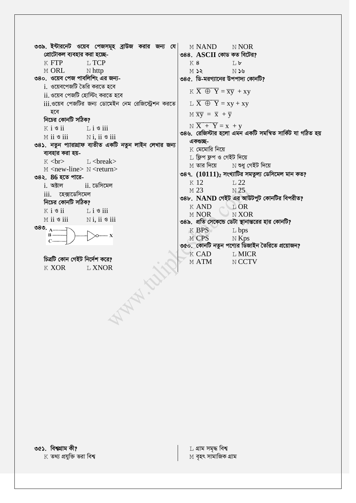৩৩৯. ইন্টারনেট ওয়েব পেজসমূহ ব্রাউজ করার জন্য যে| M NAND N NOR ৩৪৪. ASCII কোড কত বিটের? প্রোটোকল ব্যবহার করা হচ্ছে- $K$  FTP L TCP **K8**  $\overline{L}$ M ORL  $N$  http  $M$  ss  $N$   $N<sub>2</sub>$ ৩৪০. ওয়েব পেজ পাবলিশিং এর জন্য-৩৪৫. ডি-মরগ্যানের উপপাদ্য কোনটি? <u>i. ওয়েবপেজটি তৈরি করতে হবে</u>  $K \overline{X \oplus Y} = \overline{xy} + xy$ <u>ii. ওয়েব পেজটি হোস্টিং করতে হবে</u> iii.ওয়েব পেজটির জন্য ডোমেইন নেম রেজিস্ট্রেশন করতে  $L X \oplus Y = xy + xy$ হবে  $M \overline{xy} = \overline{x} + \overline{y}$ নিচের কোনটি সঠিক?  $N\overline{X+Y}=x+y$  $K$  i  $\mathcal{S}$  ii  $\overline{1}$  i  $\overline{3}$  iii ৩৪৬. রেজিস্টার হলো এমন একটি সমন্বিত সার্কিট যা গঠিত হয়  $M$  ii  $\bullet$  iii  $N$  i, ii  $\bullet$  iii একগুচ্চ-৩৪১. নতুন প্যারাগ্রাফ ব্যতীত একটি নতুন লাইন লেখার জন্য  $K$  মেমোরি নিয়ে ব্যবহার করা হয়-। ফ্লিপ ফ্লপ ও গেইট দিয়ে  $K$  <br>  $L$  <br/>break>  $M$  তার দিয়ে  $N$  শুধু গেইট দিয়ে  $M$  <new-line>  $N$  <return> ৩৪৭.  $(10111)$ ূ সংখ্যাটির সমতুল্য ডেসিমেল মান কত? ৩৪২. 86 হতে পারে-K 12  $L22$  $i$ . অক্টাল ii. ডেসিমেল  $M<sub>23</sub>$  $N<sub>25</sub>$ iii. হেক্সাডেসিমেল ৩৪৮. NAND গেইট এর আউটপুট কোনটির বিপরীত? নিচের কোনটি সঠিক? KAND LOR  $K$  i  $\mathcal S$  ii  $\mathbb{L}$  i  $\mathbb{S}$  iii  $\rightarrow$  N XOR M NOR  $M$  ii  $\mathcal S$  iii  $N$  i. ii  $\circ$  iii ৩৪৯. প্রতি সেকেন্ডে ডেটা স্থানান্তরের হার কোনটি? ৩৪৩.  $_A$ K BPS  $L$  bps M CPS  $N$  Kps ৩৫০. কোনটি নতুন পণ্যের ডিজাইন তৈরিতে প্রয়োজন? K CAD **LMICR** চিত্রটি কোন গেইট নির্দেশ করে? M ATM N CCTV **K XOR LXNOR WANN CL** 

৩৫১. বিশ্বগ্রাম কী?  $K$  তথ্য প্ৰযুক্তি ভরা বিশ্ব

 $\mathbb L$  গ্ৰাম সমৃদ্ধ বিশ্ব M বৃহৎ সামাজিক গ্ৰাম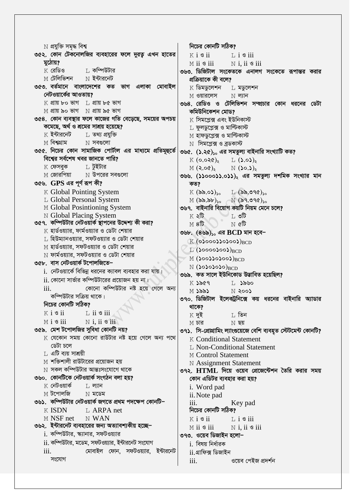$\rm N$  প্ৰযুক্তি সমৃদ্ধ বিশ্ব নিচের কোনটি সঠিক? ৩৫২. কোন টেকনোলজির ব্যবহারের ফলে দুরত্ব এখন হাতের  $K$  i  $S$  ii  $\overline{1}$ ,  $i \otimes ii$ মঠোয়? M ii 8 iii  $N$  i. ii  $\mathcal S$  iii <sub>I</sub>, কম্পিউটার k রেডিও ৩৬৩. ডিজিটাল সংকেতকে এনালগ সংকেতে রূপান্তর করার M টেলিভিশন  $\hbox{N}$  ইন্টারনেট প্ৰক্ৰিয়াকে কী বলে? ৩৫৩. বর্তমানে বাংলাদেশের কত ভাগ এলাকা মোবাইল  $K$  ডিমডুলেশন L মডুলেশন নেটওয়ার্কের আওতায়? M ওয়ারলেস  $N$  লানি  $K$  প্ৰায়  $k$ ০ ভাগ  $K$  প্ৰায়  $k$ ৫ ভাগ ৩৬৪. রেডিও ও টেলিভিশন সম্প্রচার কোন ধরনের ডেটা  $M$  প্ৰায় ৯০ ভাগ  $N$  প্ৰায় ৯৫ ভাগ কমিউনিকেশন মোড? ৩৫৪. কোন ব্যবস্থার ফলে কাজের গতি বেড়েছে, সময়ের অপচয়  $\boldsymbol{\mathrm{K}}$  সিমপ্লেক্স এবং ইউনিকাস্ট কমেছে, অৰ্থ ও শ্ৰমের সাশ্রয় হয়েছে? L ফুলডুপ্লেক্স ও মাল্টিকাস্ট  $K$  ইন্টারনেট <sub>T</sub>, তথ্য প্ৰযুক্তি M হাফডপ্লেক্স ও মাল্টিকাস্ট M বিশ্বগ্রাম  $N$  সবগুলো  $N$  সিমপ্লেক্স ও ব্রডকাস্ট ৩৫৫. নিচের কোন সামাজিক পোর্টাল এর মাধ্যমে প্রতিমূহুর্তে ৩৬৫. (১.২৫), এর সমতুল্য বাইনারি সংখ্যাটি কত? বিশ্বের সর্বশেষ খবর জানতে পারি?  $K(0.020)$ <sub>3</sub> L  $(5.05)$ <sub>3</sub>  $K$  ফেসবুক  $\;$ ার্টইটার  $M(2.00)$  $N(\infty, \mathcal{S})$ M জোরপিয়া  $\hbox{N}$  উপরের সবগুলো ৩৬৬. (১১০০০১১.০১১), এর সমতুল্য দশমিক সংখ্যার মান ৩৫৬. GPS এর পূর্ণ রূপ কী? কত? K Global Pointing System  $L$  (৯৯.৩৭৫) $_{50}$  $K(\delta\delta.0)_{\infty}$ L Global Personal System  $M$   $(\delta \delta . \delta b)_{so}$  N  $(\delta 9.090)_{so}$ M Global Posintioning System ৩৬৭. বাইনারি বিয়োগ কয়টি নিয়ম মেনে চলে? N Global Placing System  $K \triangleleft \mathbb{G}$ া ৩টি ৩৫৭. কম্পিউটার নেটওয়ার্ক স্থাপনের উদ্দেশ্য কী করা?  $N$   $\alpha$ <sup>16</sup>  $M8\overline{b}$  $K$  হার্ডওয়্যার, ফার্মওয়্যার ও ডেটা শেয়ার ৩৬৮.  $(8\bar{b})_{50}$  এর  $BCD$  মান হবে- $\rm L$  হিউম্যানওয়্যার, সফটওয়্যার ও ডেটা শেয়ার  $K(\odot$ 0000) 000) RCD M হার্ডওয়্যার, সফটওয়্যার ও ডেটা শেয়ার  $L$  (SooooSooS)<sub>RCD</sub>  $N$  ফার্মওয়্যার, সফটওয়্যার ও ডেটা শেয়ার  $M$  (SooSSoSooS)<sub>BCD</sub> ৩৫৮. বাস নেটওয়ার্ক টপোলজিতে–  $N(303030)_{\rm RCD}$  $i$ . নেটওয়ার্কে বিভিন্ন ধরনের ক্যাবল ব্যবহার করা যায়। ৩৬৯. কত সালে ইউনিকোড উদ্ভাবিত হয়েছিল?  $\,$ ii. কোনো সার্ভার কম্পিউটারের প্রয়োজন হয় না $_{\rm J}$  $K$  ১৯৫৭  $L$  ১৯৬০ কোনো কম্পিউটার নষ্ট হয়ে গেলে অন্য  $iii$  $M$  ১৯৯১  $N \geqslant$ 00) কম্পিউটার সক্রিয় থাকে। ৩৭০. ডিজিটাল ইলেকট্রনিক্সে কয় ধরনের বাইনারি অ্যাডার নিচের কোনটি সঠিক? থাকে?  $K$  i  $S$  ii  $\overline{1}$ , ii  $\overline{9}$  iii ⊺, তিন  $K$  দই  $N$  i, ii  $\circ$  iii  $M i S ii$  $M$  চার  $N$  ছয় ৩৫৯. মেশ টপোলজির সুবিধা কোনটি নয়? ৩৭১. সি-প্রোগ্রামিং ল্যাংগুয়েজে বেশি ব্যবহৃত স্টেটমেন্ট কোনটি?  $K$  যেকোন সময় কোনো রাউটার নষ্ট হয়ে গেলে অন্য পথে **K** Conditional Statement ডেটা চলে **L. Non-Conditional Statement**  $L$  এটি ব্যয় সাশ্রয়ী M Control Statement  $\le$  শক্তিশালী রাউটারের প্রয়োজন হয় **N** Assignment Statement  $\,\mathrm{N}\,$  সকল কম্পিউটার আন্তঃসংযোগে থাকে ৩৭২. HTML দিয়ে ওয়েব প্রেজেন্টেশন তৈরি করার সময় ৩৬০. কোনটিকে নেটওয়ার্ক সংগঠন বলা হয়? কোন এডিটর ব্যবহার করা হয়?  $\boldsymbol{\mathrm{K}}$  নেটওয়ার্ক  $T<sub>1</sub>$  ল্যান i. Word pad  $M$  টপোলজি  $N$  মডেম ii. Note pad ৩৬১. কম্পিউটার নেটওয়ার্ক জগতে প্রথম পদক্ষেপ কোনটি–  $\overline{111}$ . Key pad  $K$  ISDN L ARPA net নিচের কোনটি সঠিক? M NSF net N WAN  $K$  i  $\mathcal S$  ii  $L$  i  $\circ$  iii ৩৬২. ইন্টারনেট ব্যবহারের জন্য অত্যাবশ্যকীয় হচ্ছে– M ii <sup>9</sup> iii  $N$  i, ii  $\circ$  iii i. কম্পিউটার, স্ক্যানার, সফটওয়্যার ৩৭৩. ওয়েব ডিজাইন হলো−  $ii.$  কম্পিউটার, মডেম, সফটওয়্যার, ইন্টারনেট সংযোগ i. বিষয় নিৰ্ধারক মোবাইল ফোন, সফটওয়্যার, ইন্টারনেট  $\overline{111}$ . ii.গ্ৰাফিক্স ডিজাইন সংযোগ iii. ওয়েব পেইজ প্রদর্শন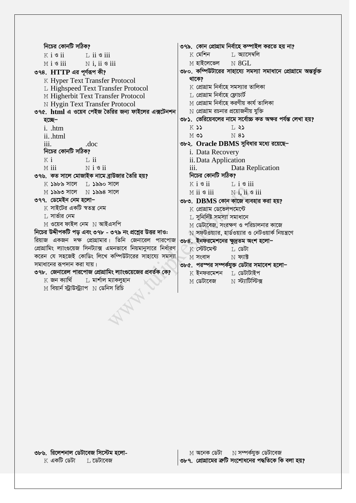নিচের কোনটি সঠিক? ৩৭৯. কোন প্রোগ্রাম নির্বাহে কম্পাইল করতে হয় না?  $K$  মেশিন ⊺। আসেম্বলি  $K$  i  $\mathcal{S}$  ii  $\overline{1}$ , ii  $\overline{9}$  iii  $M$  i  $S$  iii  $N$  i. ii  $\mathcal S$  iii M হাইলেভেল  $N$  8GL ৩৮০. কম্পিউটারের সাহায্যে সমস্যা সমাধানে প্রোগ্রামে অন্তর্ভুক্ত ৩৭৪. HTTP এর পূর্ণরূপ কী? থাকে? K Hyper Text Transfer Protocol L Highspeed Text Transfer Protocol  $K$  প্রোগ্রাম নির্বাহে সমস্যার তালিকা  $\;$  প্ৰোগ্ৰাম নিৰ্বাহে ফ্লোচাৰ্ট M Higherbit Text Transfer Protocol  $\,\mathrm{M}$  প্রোগ্রাম নির্বাহে করণীয় কার্য তালিকা **N Hygin Text Transfer Protocol**  $\overline{\rm N}$  প্রোগ্রাম রচনার প্রয়োজনীয় যুক্তি ৩৭৫. html এ ওয়েব পেইজ তৈরির জন্য ফাইলের এক্সটেনশন ৩৮১. ভেরিয়েবলের নামে সর্বোচ্চ কত অক্ষর পর্যন্ত লেখা হয়? হচেছ–  $K$  55  $T<sub>1</sub>35$ i. .htm  $N8$  $MO$ ii. html iii. ৩৮২. Oracle DBMS সুবিধার মধ্যে রয়েছে-.doc নিচের কোনটি সঠিক? i. Data Recovery  $K$  i  $\overline{1}$ , ii ii. Data Application  $M$  iii  $N$  i  $\mathcal S$  ii  $\mathbf{iii}$ Data Replication নিচের কোনটি সঠিক? ৩৭৬. কত সালে মোজাইক নামে ব্রাউজার তৈরি হয়?  $K$  ১৯৮৯ সালে  $L$  ১৯৯০ সালে  $K$  i  $\mathcal{S}$  ii  $\mathbb{L}$  i  $\mathcal{S}$  iii  $M$  ১৯৯৩ সালে  $N$  ১৯৯৪ সালে  $M$  ii  $\mathcal S$  iii  $N$  i, ii  $\circ$  iii ৩৭৭. ডেমেইন নেম হলো-৩৮৩. DBMS কোন কাজে ব্যবহার করা হয়?  $\,$  সাইটের একটি স্বতন্ত্র নেম  $K$  প্ৰোগ্ৰাম ডেভেলপমেন্টে ⊺, সার্ভার নেম  $\,$  সুনির্দিষ্ট সমস্যা সমাধানে  $M$  ওয়েব ফাইল নেম  $N$  আইএসপি  $M$  ডেটাবেজ, সংরক্ষণ ও পরিচালনার কাজে নিচের উদ্দীপকটি পড় এবং ৩৭৮ - ৩৭৯ নং প্রশ্নের উত্তর দাও:  $\overline{\rm N}$  সফটওয়্যার, হার্ডওয়্যার ও নেটওয়ার্ক নিয়ন্ত্রণে রিয়াজ একজন দক্ষ প্রোগ্রামার। তিনি জেনারেল পারপোজ ৩৮৪. ইনফরমেশনের ক্ষুদ্রতম অংশ হলো− প্রোগ্রামিং ল্যাংগুয়েজ সিনট্যাক্স এমনভাবে নিয়মানুসারে নির্ধারণ  $K$  স্টেটমেন্ট া ডেটা করেন যে সহজেই কোডিং লিখে কম্পিউটারের সাহায্যে সমস্যা  $N$  ফাার  $M$  সংবাদ সমাধানের রূপদান করা যায়। ৩৮৫. পরস্পর সম্পর্কযুক্ত ডেটার সমাবেশ হলো– ৩৭৮. জেনারেল পারপোজ প্রোগ্রামিং ল্যাংগুয়েজের প্রবর্তক কে?  $K$  ইনফরমেশন  $T$ , ডেটাটাইপ  $\boldsymbol{\mathrm{K}}$  জন ক্যাৰ্থি ∐ মাৰ্শাল ম্যাকলুহান া স্টার্<del>তি</del> দ M ডেটাবেজ  $M$  বিয়ার্ন স্ট্রাউস্ট্যাপ  $N$  ডেনিস রিচি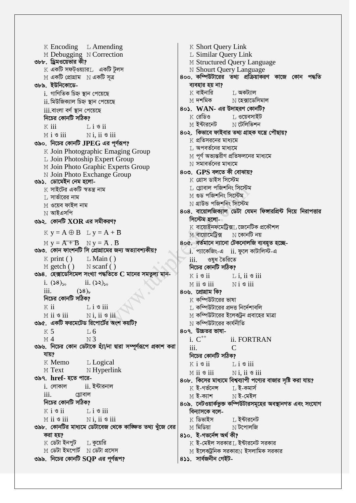$K$  Encoding  $L$  Amending K Short Query Link M Debugging N Correction L Similar Query Link ৩৮৮. ড্রিমওয়েভার কী? M Structured Query Language  $K$  একটি সফটওয়্যার $L$  একটি টুলস N Shourt Query Language ৪০০. কম্পিউটারের তথ্য প্রক্রিয়াকরণ কাজে কোন পদ্ধতি  $M$  একটি প্রোগ্রাম  $N$  একটি সত্র ৩৮৯. ইউনিকোডে-ব্যবহার হয় না? K বাইনারি ⊺, অকট্যাল i. গাণিতিক চিহ্ন স্থান পেয়েছে  $M$  দশমিক  $\hbox{N}$  হেক্সাডেসিমাল <u>ii. মিউজিক্যাল চিহ্ন স্থান পেয়েছে</u>  $80$ ১.  $WAN$ - এর উদাহরণ কোনটি?  $iii$ .বাংলা বর্ণ স্থান পেয়েছে  $\boldsymbol{\mathrm{K}}$  রেডিও ।, ওয়েবসাইট নিচের কোনটি সঠিক? N টেলিভিশন M **ইন্টাৱনেট**  $K$  iii  $Li$   $S$   $ii$ ৪০২. কিভাবে ফাইবার তথ্য গ্রাহক যন্ত্রে পৌছায়?  $M$  i  $\mathcal S$  iii  $N$  i. ii  $\mathcal S$  iii  $\boldsymbol{\mathrm{K}}$  প্রতিসরনের মাধ্যমে ৩৯০. নিচের কোনটি JPEG এর পূর্ণরূপ? ⊺, অপবর্তনের মাধ্যমে K Join Photographic Emaging Group  $\le$  পূর্ণ অভ্যন্তরীণ প্রতিফলনের মাধ্যমে L Join Photoship Expert Group  $\overline{N}$  সমাবর্তনের মাধ্যমে M Join Photo Graphic Experts Group ৪০৩. GPS বলতে কী বোঝায়? N Join Photo Exchange Group  $K$  গ্ৰোস ডাইস সিস্টেম ৩৯১. ডোমেইন নেম হলো-T. গ্লোবাল পজিশনিং সিস্টেম K সাইটের একটি স্বতন্ত্র নাম M গুড পজিশনিং সিস্টেম ⊺, সার্ভারের নাম  $N$  গ্ৰাউন্ড পজিশনিং সিস্টেম  $\le$  ওয়েব ফাইল নাম ৪০৪. বায়োলজিক্যাল ডেটা যেমন ফিঙ্গারপ্রিন্ট দিয়ে নিরাপত্তার  $N$  আইএসপি সিস্টেম হলো-৩৯২. কোনটি  $XOR$  এর সমীকরণ?  $K$  বায়োইনফমেটিক্সা জেনেটিক প্রকৌশল  $K y = A \oplus B$   $L y = A + B$ M বায়োমেটিক্স  $\hbox{N}$  কোনটি নয় ৪০৫. বর্তমানে ন্যানো টেকনোলজি ব্যবহৃত হচ্ছে- $M y = A + B$   $N y = A$ . B ৩৯৩. কোন ফাংশনটি সি প্রোগ্রামের জন্য অত্যাবশ্যকীয়? i. প্যাকেজিং-এ ii. ফুলে কাটালিস্ট-এ  $L$  Main ()  $K$  print () ওষুধ তৈরিতে  $\overline{111}$ .  $M$  getch ()  $N$  scanf() নিচের কোনটি সঠিক? ৩৯৪. হেক্সাডেসিমেল সংখ্যা পদ্ধতিতে C মানের সমতুল্য মান- $K$  i  $\mathcal S$  ii  $\mathbb{L}$  i, ii  $\mathcal{S}$  iii i.  $(38)_{50}$ ii.  $(52)_{50}$ M ii 9 iii  $N$ i  $\mathcal S$  iii iii.  $(58)_{r}$ ৪০৬ প্ৰোগ্ৰাম কি? নিচের কোনটি সঠিক?  $K$  কম্পিউটারের ভাষা  $\;$ ্র কম্পিউটারের প্রদত্ত নির্দেশাবলি  $K$  ii  $\overline{1}$ ,  $\overline{1}$   $\overline{9}$  iii  $N$ i. ii  $\mathcal S$  iii  $M$  ii  $\mathcal S$  iii  $\le$  কম্পিউটারের ইলেকট্রন প্রবাহের মাত্রা ৩৯৫. একটি ফরমেটেড রিপোর্টের অংশ কয়টি?  $N$  কম্পিউটারের কার্যনীতি  $K<sub>5</sub>$ ৪০৭. উচ্চতর ভাষা- $T.6$  $M_4$  $N<sup>3</sup>$  $i \thinspace C^{++}$ ii. FORTRAN ৩৯৬. নিচের কোন ডেটাকে হ্যা/না দ্বারা সম্পূর্ণরূপে প্রকাশ করা  $\mathcal{C}$ iii. যায়? নিচের কোনটি সঠিক? K Memo L Logical  $K$  i  $S$  ii  $\overline{1}$ ,  $\overline{1}$   $\overline{8}$  iii M Text  $N$  Hyperlink  $M$  ii  $\mathcal S$  iii  $N$  i, ii  $\mathcal S$  iii ৩৯৭. href- হতে পারে-৪০৮. কিসের মাধ্যমে বিশ্বব্যাপী পণ্যের বাজার সৃষ্টি করা যায়?  $i.$  লোকাল  $ii.$  ইন্টারনাল  $K$  ই-গৰ্ভনেন্স  $L$  ই-কমাৰ্স  $\mathbf{iii}$ গ্লোবাল  $N$  ই-মেইল  $M$  ই-ক্যাশ নিচের কোনটি সঠিক? ৪০৯. নেটওয়ার্কভুক্ত কম্পিউটারসমূহের অবস্থানগত এবং সংযোগ  $K$  i  $\mathcal S$  ii  $\overline{1}$ ,  $\overline{1}$   $\overline{9}$  iii বিন্যাসকে বলে- $N$  i. ii  $\mathcal S$  iii  $M$  ii  $\mathcal S$  iii k ডিভাইস ⊺, ইন্টারনেট ৩৯৮. কোনটির মাধ্যমে ডেটাবেজ থেকে কাজ্কিত তথ্য খুঁজে বের  $M$  মিডিয়া  $\mathrm{N}$  টপোলজি ৪১০. ই-গভৰ্নেন্স অৰ্থ কী? করা হয়?  $K$  ডেটা ইনপুট  $K$  ই-মেইল সরকার $\mathbb L$  ইন্টারনেট সরকার ∐ কয়েরি  $M$  ডেটা ইমপোর্ট  $M$  ডেটা প্রসেস  $\le$  ইলেকট্রনিক সরকার $\le$  ইসলামিক সরকার ৩৯৯. নিচের কোনটি  $SQP$  এর পূর্ণরূপ? ৪১১. সার্বজনীন গেইট-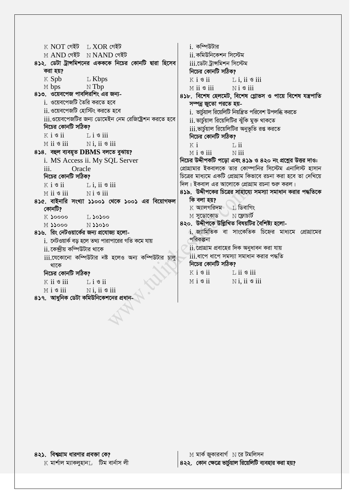$K$  NOT গেইট  $K$  T. XOR গেইট i. কম্পিউটার M AND গেইট NNAND গেইট ii. কমিউনিকেশন সিস্টেম ৪১২. ডেটা ট্রান্সমিশনের একককে নিচের কোনটি দ্বারা হিসেব iii.ডেটা ট্ৰান্সমিশন সিস্টেম করা হয়? নিচের কোনটি সঠিক? K Spb  $K$  i  $\mathcal S$  ii  $L$  Kbps  $L$  i. ii  $\circ$  iii  $N$  Tbp  $M$  bps  $M$  ii  $\mathcal S$  iii  $N i$  3 iii ৪১৩. ওয়েবপেজ পাবলিরশিং এর জন্য-৪১৮. বিশেষ হেলমেট, বিশেষ গ্লোভস ও পায়ে বিশেষ যন্ত্রপাতি <u>i. ওয়েবপেজটি তৈরি করতে হবে</u> সম্পন্ন জুতো পরতে হয়ii. ওয়েবপেজটি হোস্টিং করতে হবে i. ভার্চুয়াল রিয়েলিটি নিয়ন্ত্রিত পরিবেশ উপলব্ধি করতে <u>iii.ওয়েবপেজটির জন্য ডোমেইন নেম রেজিষ্ট্রেশন করতে হবে</u> ii. ভার্চয়াল রিয়েলিটির ঝুঁকি মুক্ত থাকতে নিচের কোনটি সঠিক? iii.ভার্চুয়াল রিয়েলিটির অনুভূতি রপ্ত করতে  $K$  i  $S$  ii  $\overline{1}$ ,  $\overline{1}$   $\overline{9}$  iii নিচের কোনটি সঠিক?  $M$  ii  $\mathcal S$  iii  $N$  i, ii  $\circ$  iii  $K$  i  $\overline{1}$ , ii 8১৪. বহুল ব্যবহৃত DBMS বলতে বুঝায়?  $N$  iii  $M$  i  $\mathcal S$  iii নিচের উদ্দীপকটি পড়ো এবং ৪১৯ ও ৪২০ নং প্রশ্নের উত্তর দাও: i. MS Access ii. My SQL Server প্রোগ্রামার ইকবালকে তার কোম্পানির সিস্টেম এনালিস্ট হাসান  $iii.$ Oracle নিচের কোনটি সঠিক? চিত্রের মাধ্যমে একটি প্রোগ্রাম কিভাবে রচনা করা হবে তা দেখিয়ে দিল। ইকবাল এর আলোকে প্রোগ্রাম রচনা শুরু করল।  $K$  i  $\mathcal{S}$  ii  $L$  i, ii  $\circ$  iii ৪১৯. উদ্দীপকের চিত্রের সাহায্যে সমস্যা সমাধান করার পদ্ধতিকে  $M$  ii  $\mathcal S$  iii  $N i$  3 iii কি বলা হয়? ৪১৫. বাইনারি সংখ্যা ১১০০১ থেকে ১০০১ এর বিয়োগফল  $K$  অ্যালগরিদম  $\top$ , ডিবাগিং কোনটি?  $M$  সুডোকোড К Јоооо  $\Gamma$  20200 ৪২০. উদ্দীপকে উল্লিখিত বিষয়টির বৈশিষ্ট্য হলো-**M** 22000  $N$  $3$  $3$  $0$  $3$  $0$ i জ্যামিতিক বা সাংকেতিক চিহ্নের মাধ্যমে প্রোগ্রামের ৪১৬. রিং নেটওয়ার্কের জন্য প্রযোজ্য হলো-পরিকল্পনা  $i$ . নেটওয়ার্ক বড় হলে তথ্য পারাপারের গতি কমে যায়  $ii$  প্রোগ্রাম প্রবাহের দিক অনুধাবন করা যায় ii. কেন্দ্রীয় কম্পিউটার থাকে  $\overline{\text{iii}}$ .ধাপে ধাপে সমস্যা সমাধান করার পদ্ধতি iii.যেকোনো কম্পিউটার নষ্ট হলেও অন্য কম্পিউটার চালু নিচের কোনটি সঠিক? থাকে  $K$  i  $\mathcal{S}$  ii নিচের কোনটি সঠিক?  $\mathbb{L}$  ii  $\mathscr{S}$  iii  $M i$  s ii  $N$  i. ii  $\mathcal S$  iii  $K$  ii  $\mathcal S$  iii  $Li$  3  $ii$  $N$ i. ii  $\mathcal S$  iii  $M i$  s iii ৪১৭. আধুনিক ডেটা কমিউনিকেশনের প্রধান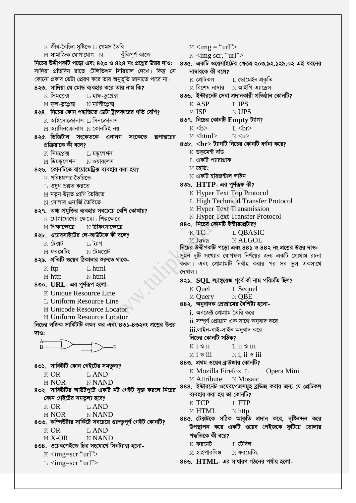$K$  জীব-বৈচিত্ৰ সষ্টিতে  $L$  গেমস তৈরি  $M <$   $\langle$  img = "url">  $M$  সামাজিক যোগাযোগ  $N$ ঝুঁকিপূৰ্ণ কাজে  $\mathbb N$  <img scr, "url"> নিচের উদ্দীপকটি পডো এবং ৪২৩ ও ৪২৪ নং প্রশ্নের উত্তর দাও: ৪৩৫. একটি ওয়েসাইটের ক্ষেত্রে ২০৩.৯২.১২৯.০২ এই ধরনের সাদিয়া প্রতিদিন রাতে টেলিভিশন সিরিয়াল দেখে। কিন্তু সে নাম্বারকে কী বলে? কোনো প্রকার ডেটা প্রেরণ করে তার অনুভূতি জানাতে পারে না।  $K$  প্রোটকল  $\,$  ডোমেইন প্ৰকৃতি ৪২৩. সাদিয়া যে মোড ব্যবহার করে তার নাম কি?  $M$  বিশেষ নাম্বার  $M$  আইপি এ্যাড্রেস L হাফ-ডুপ্লেক্স ৪৩৬. ইন্টারনেট সেবা প্রদানকারী প্রতিষ্ঠান কোনটি? k সিমপ্লেক্স **T. IPS** M ফুল-ডুপ্লেক্স  $\hbox{N}$  মাল্টিপ্লেক্স  $K$  ASP ৪২৪. নিচের কোন পদ্ধতিতে ডেটা ট্রান্সফারের গতি বেশি? M ISP N UPS ৪৩৭. নিচের কোনটি Empty ট্যাগ?  $K$  আইসোক্রোনাস $\top$ , সিনক্রোনাস  $M$  অ্যাসিনক্রোনাস  $N$  কোনটিই নয়  $K$   $$  $L <sub>br></sub>$ ৪২৫ ডিজিটাল সংকেতকে এনালগ সংকেতে রূপান্তরের  $M <$ html $>$  $N < 11$  $8$ ৩৮.  $\langle$ hr $>$  ট্যাগটি নিচের কোনটি বর্ণনা করে? প্ৰক্ৰিয়াকে কী বলে?  $K$  ডকুমেন্ট বডি  $K$  সিমপ্লেক্স  $L$  মডুলেশন  $\;$  একটি প্যারাগ্রাফ  $M$  ডিমডুলেশন  $N$  ওয়ারলেস M হেডিং ৪২৬. কোনটিতে বায়োমেট্রিক্স ব্যবহার করা হয়?  $\,\mathrm{N}\,$  একটি হরিজন্টাল লাইন  $K$  পরিচয়পত্র তৈরিতে  $8$ ৩৯.  $HTTP$ - এর পূর্ণরূফ কী? ∐ ওষুধ প্ৰস্তুত করতে K Hyper Text Top Protocol M নতুন উন্নত প্ৰাণি তৈরিতে L High Technical Transfer Protocol  $\hbox{N}$  সোলার এনার্জি তৈরিতে M Hyper Text Transmission ৪২৭. তথ্য প্রযুক্তির ব্যবহার সবচেয়ে বেশি কোথায়? **N Hyper Text Transfer Protocol**  $K$  যোগাযোগের ক্ষেত্রে $L$  শিল্পক্ষেত্রে 880. নিচের কোনটি ইন্টারপ্রেটার? M শিক্ষাক্ষেত্রে  $N$  চিকিৎসাক্ষেত্রে  $KTC$ L OBASIC ৪২৮. ওয়েবসাইটের লে-আউটকে কী বলে? N ALGOL M Java া, ট্যাগ  $\,$  (টেক্সট নিচের উদ্দীপকটি পড়ো এবং ৪৪১ ও ৪৪২ নং প্রশ্নের উত্তর দাও: M ফরমেটিং  $N$  টেমপ্লেট সুমন দুটি সংখ্যার যোগফল নির্ণয়ের জন্য একটি প্রোগ্রাম রচনা ৪২৯. প্রতিটি ওয়েব ঠিকানার শুরুতে থাকে-করল। এবং প্রোগ্রামটি নির্বাহ করার পর সব ভুল একসাথে  $K$  ftp  $L$  html দেখাল। M http  $N$  html 8২১. SQL ল্যাঙ্গুয়েজ পূৰ্বে কী নাম পরিচতি ছিল? 8৩০. URL- এর পূর্ণরূপ হলো-K Quel  $L$  Sequel K Unique Resource Line M Query N OBE L Uniform Resource Line ৪৪২. অনুবাদক প্রোগ্রামের বৈশিষ্ট্য হলো-M Unicode Resource Locator i. অবজেক্ট প্রোগ্রাম তৈরি করে N Uniform Resource Locator ii. সম্পূর্ণ প্রোগ্রাম এক সাথে অনুবাদ করে নিচের লজিক সার্কিটটি লক্ষ্য কর এবং ৪৩১-৪৩২নং প্রশ্নের উত্তর  $iii.$ লাইন-বাই-লাইন অনুবাদ করে দাও: নিচের কোনটি সঠিক?  $K$  i  $S$  ii  $\overline{1}$ , ii  $\overline{9}$  iii  $N$  i. ii  $\mathcal S$  iii  $M$  i  $\mathcal S$  iii ৪৪৩. প্রথম ওয়েব ব্রাউজার কোনটি? ৪৩১. সার্কিটটি কোন গেইটের সমতুল্য? K Mozilla Firefox L Opera Mini  $K$  OR **T. AND** M Attribute N Mosaic **M NOR NNAND** ৪৪৪. ইন্টারনেট ওযেবপেজসমূহ ব্রাউজ করার জন্য যে প্রোটকল ৪৩২. সার্কিটটর আউটপুটে একটি নট গেইট যুক্ত করলে নিচের ব্যবহার করা হয় তা কোনটি? কোন গেইটের সমতুল্য হবে?  $K$  TCP L FTP  $K$  OR L AND M HTML  $N$  http **M NOR N NAND** ৪৪৫. টেক্সটকে সঠিক আকৃতি প্রদান করে, দৃষ্টিনন্দন করে ৪৩৩. কম্পিউটার সার্কিটে সবচেয়ে গুরুতুপূর্ণ গেইট কোনটি? উপস্থাপন করে একটি ওয়েব পেইজকে ফুটিয়ে তোলার K OR **LAND** পদ্ধতিকে কী বরে?  $M X-OR$ **NNAND** ⊺। টেবিল  $K$  ফরমেট ৪৩৪. ওয়েবপেইজে চিত্র সংযোগে সিনট্যাক্স হলো- $M$  হাইপারলিঙ্ক  $\hbox{N}$  ফরমেটিং  $K \leq m$ g=scr "url">  $88$ ৬.  $HTML$ - এর সাধারণ গঠনের পর্যায় হলো- $L$  <img=scr "url">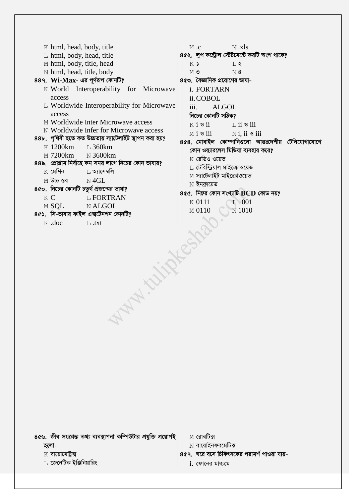K html, head, body, title  $N$   $x$   $\vert s \vert$  $M$ .c ৪৫২. লুপ কন্ট্রোল স্টেটমেন্টে কয়টি অংশ থাকে? L html, body, head, title M html, body, title, head  $K$   $\lambda$  $T_{1}$ N html, head, title, body  $M$  ৩  $N8$ 889. Wi-Max- এর পূর্ণরূপ কোনটি? ৪৫৩. বৈজ্ঞানিক প্রয়োগের ভাষা-K World Interoperability for Microwave i. FORTARN access ii.COBOL L Worldwide Interoperability for Microwave  $iii.$ **ALGOL** access নিচের কোনটি সঠিক? M Worldwide Inter Microwave access  $K$  i  $\mathcal{S}$  ii  $L$  ii  $\circ$  iii N Worldwide Infer for Microwave access  $M$  i  $\mathcal S$  iii  $N$ i. ii  $\mathcal S$  iii ৪৪৮. পৃথিবী হতে কত উচ্চতায় স্যাটেলাইট স্থাপন করা হয়? ৪৫৪. মোবাইল কোম্পানিগুলো আন্তঃদেশীয় টেলিযোগাযোগে K 1200km  $L_{360km}$ কোন ওয়্যারলেস মিডিয়া ব্যবহার করে?  $N$  3600km M 7200km K রেডিও ওয়েভ ৪৪৯. প্রোগ্রাম নির্বাহে কম সময় লাগে নিচের কোন ভাষায়? । টেরিস্ট্রিয়াল মাইক্রোওয়েভ  $K$  মেশিন T. **অ**াসেম্বলি M স্যাটেলাইট মাইক্রোওয়েভ  $M$  উচ্চ স্তর  $N4GL$  $N$  ইনফ্রায়েড ৪৫০. নিচের কোনটি চতুর্থ প্রজন্মের ভাষা?  $8c$ ে. নিহের কোন সংখ্যাটি  $BCD$  কোড নয়? K C L FORTRAN  $\times$  0111  $T.1001$ M SOL N ALGOL  $\times$  0110  $N$ 1010 ৪৫১. সি-ভাষায় ফাইল এক্সটেনশন কোনটি? **WAN CHANGE** K .doc  $L$ .txt

৪৫৬. জীব সংক্রান্ত তথ্য ব্যবস্থাপনা কম্পিউটার প্রযুক্তি প্রয়োগই হলো-

 $K$  বায়োমেট্রিক্স

⊺, জেনেটিক ইঞ্জিনিয়ারিং

 $M$  রোবটিক্স

 $N$  বায়োইনফরমেটিক্স

- ৪৫৭. ঘরে বসে চিকিৎসকের পরামর্শ পাওয়া যায়
	- $i.$  ফোনের মাধ্যমে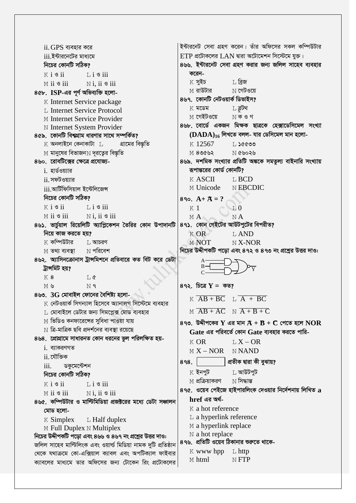ইন্টারনেট সেবা গ্রহণ করেন। তাঁর অফিসের সকল কম্পিউটার  $ii$  GPS ব্যবহার করে  $ETP$  প্রটোকলের  $LAN$  দ্বারা অটোমেশন সিস্টেমে যুক্ত। iii ইন্টারনেটের মাধ্যমে নিচের কোনটি সঠিক? ৪৬৬. ইন্টারনেট সেবা গ্রহণ করার জন্য জলিল সাহেব ব্যবহার করেন- $K$  i  $\mathcal S$  ii  $L$  i  $\circ$  iii  $L$  বিজ  $K$  সুইচ  $M$  ii  $\mathcal S$  iii  $N$  i. ii  $\mathcal S$  iii M রাউটার  $N$  গেটওয়ে 8৫৮. ISP-এর পূর্ণ অভিব্যক্তি হলো-৪৬৭. কোনটি নেটওয়ার্ক ডিভাইস? K Internet Service package  $K$  মডেম  $\mathbb L$  ব্লটথ L Internet Service Protocol  $N \Phi$ ও গ M গেইটওয়ে M Internet Service Provider ৪৬৮. বোর্ডে একজন মিক্ষক ছাত্রকে হেক্সাডেসিমেল সংখ্যা N Internet System Provider ৪৫৯. কোনটি বিশ্বগ্রাম ধারণার সাথে সম্পর্কিত?  $(DADA)$ 16 লিখতে বলল- যার ডেসিমেল মান হলো- $K$  অনলাইনে কেনাকাটা  $L$ গ্রামের বিস্তৃতি  $K$  12567  $L$  ১৫৫৩৩  $M$  মানুষের বিভাজন $N$  দূরত্বের বিস্তৃতি  $M89692$  $N$  ( $8029$ ৪৬০. রোবটিক্সের ক্ষেত্রে প্রযোজ্য-৪৬৯. দশমিক সংখ্যার প্রতিটি অঙ্ককে সমতুল্য বাইনারি সংখ্যায় রূপান্তরের কোর্ড কোনটি?  $i$ . হার্ডওয়্যার ii সফটওয়ার **K ASCII LBCD** M Unicode **N EBCDIC**  $iii.$ আর্টিফিসিয়াল ইন্টেলিজেন্স নিচের কোনটি সঠিক? 890.  $A + \overline{A} = ?$  $K$  i  $\mathcal S$  ii  $\overline{1}$ ,  $\overline{1}$   $\overline{9}$  iii  $K<sub>1</sub>$  $\neg$ .0  $N$  i. ii  $\mathcal S$  iii  $M$  ii  $\mathcal S$  iii  $MA$  $N A$ ৪৭১. কোন গেইটের আউটপুটের বিপরীত? ৪৬১. ভার্চুয়াল রিয়েলিটি অ্যাপ্লিকেশন তৈরির কোন উপাদানটি নিয়ে কাজ করতে হয়?  $KOR$ **T. AND**  $K$  কম্পিউটার T. আচরণ **MNOT**  $N X-NOR$ M **তথ্য ব্যবস্থা**  $\,\mathrm{N}$  পরিবেশ নিচের উদ্দীপকটি পড়ো এবং ৪৭২ ও ৪৭৩ নং প্রশ্নের উত্তর দাও: ৪৬২. অ্যাসিনক্রোনাস ট্রান্সমিশনে প্রতিবারে কত বিট করে ডেটা ট্ৰান্সমিট হয়?  $K8$  $T_{1}$   $\sigma$  $893.$  চিত্রে  $Y = \overline{489}$  $M_{\nu}$  $M<sub>q</sub>$ ৪৬৩. 3G মোবাইল ফোনের বৈশিষ্ট্য হলো- $K\overline{AB+BC}$   $I\overline{A+BC}$  $K$  নেটওয়ার্ক সিগন্যাল হিসেবে অ্যানালগ সিস্টেমে ব্যবহার  $M\overline{AB+AC}$   $N\overline{A+B+C}$ T. মোবাইলে ডেটার জন্য সিমপ্লেক্স মোড ব্যবহার  $\,\mathbb{M}\,$  ভিডিও কনফারেঙ্গের সুবিধা পাওয়া যায় ৪৭৩. উদ্দীপকের Y এর মান  $A + B + C$  পেতে হলে  $NOR$  $\,\mathrm{N}\,$  ত্রি-মাত্রিক ছবি প্রদর্শনের ব্যবস্থা রয়েছে Gate এর পরিবর্তে কোন Gate ব্যবহার করতে পারি-৪৬৪. প্রোগ্রামে সাধারনত কোন ধরনের ভুল পরিলক্ষিত হয়- $L X - OR$  $K$  OR <u>i</u> ব্যাকরণগত  $M X - NOR$   $N NAND$ ii. যৌক্তিক | প্ৰতীক দ্বারা কী বুঝায়?  $898.$ iii. ডকুমেন্টেশন  $L$  আউটপুট  $K$  ইনপুট নিচের কোনটি সঠিক?  $N$  সিদ্ধান্ত  $\le$  প্রক্রিয়াকরণ  $K$  i  $S$  ii  $\overline{1}$ ,  $\overline{1}$   $\overline{3}$  iii ৪৭৫. ওয়েব পেইজে হাইপারলিংক দেওয়ার নির্দেশনায় লিখিত  $\bf a$  $N$  i. ii  $\mathcal S$  iii  $M$  ii  $\mathcal S$  iii href এর অর্থ-৪৬৫. কম্পিউটার ও মাল্টিমিডিয়া প্রজষ্টরের মধ্যে ডেটা সঞ্চালন K a hot reference মোড হলো- $L$  a hyperlink reference  $K$  Simplex  $L$  Half duplex M a hyperlink replace M Full Duplex N Multiplex N a hot replace নিচের উদ্দীপকটি পড়ো এবং ৪৬৬ ও ৪৬৭ নং প্রশ্নের উত্তর দাও: ৪৭৬. প্রতিটি ওয়েব ঠিকানার শুরুতে থাকে-জলিল সাহেব মাল্টিলিংক এবং ওয়াৰ্ল্ড মিডিয়া নামক দুটি প্ৰতিষ্ঠান K www hpp L http থেকে যথাক্রমে কো-এক্সিয়াল ক্যাবল এবং অপটিক্যাল ফাইবার N FTP M html ক্যাবলের মাধ্যমে তার অফিসের জন্য টোকেন রিং প্রটোকলের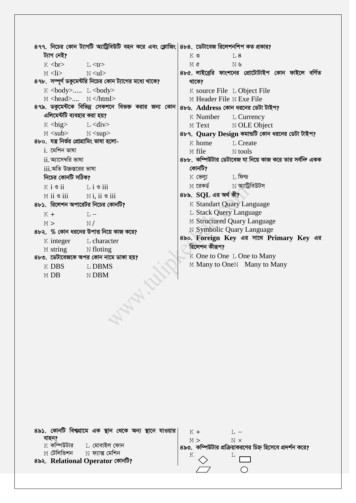|                                                       | $8$ ৭৭.  নিচের কোন ট্যাগটি অ্যাট্রিবিউটি বহন করে এবং ক্লোজিং $ 8$ ৮৪.  ডেটাবেজ রিলেশনশিপ কত প্রকার? |                           |           |                                                          |  |  |
|-------------------------------------------------------|-----------------------------------------------------------------------------------------------------|---------------------------|-----------|----------------------------------------------------------|--|--|
| ট্যাগ নেই?                                            |                                                                                                     | $K$ $\circ$               | L8        |                                                          |  |  |
| $K$ $str>$                                            | $\top$ $\lt$ tr $>$                                                                                 | M¢                        | N &       |                                                          |  |  |
| M < i >                                               | N < u l >                                                                                           |                           |           | ৪৮৫. লাইব্রেরি ফাংশনের প্রোটোটাইপ কোন ফাইলে বর্ণিত       |  |  |
|                                                       | ৪৭৮. সম্পূর্ণ ডকুমেন্টরি নিচের কোন ট্যাগের মধ্যে থাকে?                                              | থাকে?                     |           |                                                          |  |  |
| $K <$ body> $L <$ body>                               |                                                                                                     |                           |           | K source File L Object File                              |  |  |
| M <head> N </head>                                    |                                                                                                     | M Header File N Exe File  |           |                                                          |  |  |
|                                                       | ৪৭৯. ডকুমেন্টকে বিভিন্ন সেকশনে বিভক্ত করার জন্য কোন                                                 |                           |           | ৪৮৬. Address কোন ধরনের ডেটা টাইপ?                        |  |  |
| এলিমেন্টটি ব্যবহার করা হয়?                           |                                                                                                     |                           |           | K Number L Currency                                      |  |  |
| $K <$ big $>$                                         | $L <$ div $>$                                                                                       | M Text                    |           | N OLE Object                                             |  |  |
| M <sub>sub&gt;</sub>                                  | N <sup>sup&gt;</sup>                                                                                |                           |           | ৪৮৭. Quary Design কমান্ডটি কোন ধরনের ডেটা টাইপ?          |  |  |
| ৪৮০. যন্ত্ৰ নিৰ্ভৱ প্ৰোগ্ৰামিং ভাষা হলো-              |                                                                                                     | K home                    |           | L Create                                                 |  |  |
| $i$ . মেশিন ভাষা                                      |                                                                                                     | M file                    | $N$ tools |                                                          |  |  |
| $ii$ . অ্যাসেম্বরি ভাষা                               |                                                                                                     |                           |           | ৪৮৮. কম্পিউটার ডেটাবেজ যা নিয়ে কাজ করে তার সর্বন্দি একক |  |  |
| $iii$ অতি উচ্চস্তরের ভাষা                             |                                                                                                     | কোনটি?                    |           |                                                          |  |  |
| নিচের কোনটি সঠিক?                                     |                                                                                                     | $K$ ভেল্য $L$ ফিল্ড       |           |                                                          |  |  |
| $K$ i $\bullet$ ii $\qquad$ $\qquad$ ii $\bullet$ iii |                                                                                                     | $M$ রেকর্ড $\blacksquare$ |           | $\,\mathrm{N}$ অ্যাট্রিবিউটস                             |  |  |
| $M$ ii $\bullet$ iii $N$ i, ii $\bullet$ iii          |                                                                                                     | $8b$ ৯. $SQL$ এর অর্থ কী? |           |                                                          |  |  |
| ৪৮১. রিলেশন অপারেটর নিচের কোনটি?                      |                                                                                                     |                           |           | K Standart Quary Language                                |  |  |
| $K +$                                                 | $\mathbb{L}$                                                                                        | L Stack Query Language    |           |                                                          |  |  |
| M >                                                   | N/                                                                                                  |                           |           | M Structured Quary Language                              |  |  |
|                                                       | ৪৮২. % কোন ধরনের উপাত্ত নিয়ে কাজ করে?                                                              |                           |           | N Symbolic Quary Language                                |  |  |
| $K$ integer                                           | L character                                                                                         |                           |           | 8৯०. Foreign Key এর সাথে Primary Key এর                  |  |  |
| M string N floting                                    |                                                                                                     | রিলেশন কীরূপ?             |           |                                                          |  |  |
|                                                       | ৪৮৩. ডেটাবেজকে অপর কোন নামে ডাকা হয়?                                                               |                           |           | K One to One L One to Many                               |  |  |
| K DBS                                                 | L DBMS                                                                                              |                           |           | M Many to OneN Many to Many                              |  |  |
| M DB                                                  | $N$ DBM                                                                                             |                           |           |                                                          |  |  |
|                                                       |                                                                                                     |                           |           |                                                          |  |  |
|                                                       |                                                                                                     |                           |           |                                                          |  |  |

| ৪৯১. কোনটি বিশ্বগ্রামে এক স্থান থেকে অন্য স্থানে যাওয়ার | $K +$                                                     |
|----------------------------------------------------------|-----------------------------------------------------------|
| বাহন?                                                    | M ><br>N x                                                |
| $K$ কম্পিউটার<br>⊡ মোবাইল ফোন                            | ৪৯৩. কম্পিউটার প্রক্রিয়াকরণের চিহ্ন হিসেবে প্রদর্শন করে? |
| M <b>টেলিভিশন</b><br>$\hbox{N}$ ফ্যাক্স মেশিন            |                                                           |
| ৪৯২. Relational Operator কোনটি?                          |                                                           |
|                                                          |                                                           |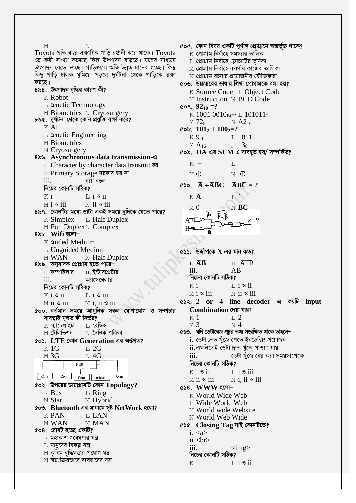৫০৫. কোন বিষয় একটি পূর্ণাঙ্গ প্রোগ্রামে অন্তর্ভূক্ত থাকে? M  $\mathbf{M}$  $\overline{\mathrm{T}}$ oyota প্রতি বছর লক্ষাধিক গাড়ি রপ্তানী করে থাকে।  $\overline{\mathrm{T}}$ oyota  $K$  প্রোগ্রাম নির্বাহে সমস্যার তালিকা তে কৰ্মী সংখ্যা কমেছে কিন্তু উৎপাদন বাড়ছে। যন্ত্ৰের মাধ্যমে  $\;$  প্রোগ্রাম নির্বাহে ফ্লোচার্টের ভূমিকা উৎপাদন বেড়ে চলছে। গাড়িগুলো অতি উন্নত মানের হচ্ছে। কিন্তু  $\,\mathrm{M}$  প্রোগ্রাম নির্বাহে করণীয় কাজের তালিকা কিছু গাড়ি চালক ঘুমিয়ে পড়লে দুৰ্ঘটনা থেকে গাড়িকে রক্ষা  $\,\mathrm{N}\,$  প্রোগ্রাম রচনার প্রয়োজনীয় যৌক্তিকতা করছে। ৫০৬. উচ্চস্তরের ভাষায় লিখা প্রোগ্রামকে বলা হয়? ৪৯৪. উৎপাদন বৃদ্ধির কারণ কী? K Source Code L Object Code K Robot M Instruction N BCD Code L cenetic Technology ૯૦૧.  $92_{10} = ?$ M Biometrics N Cryosurgery K 1001 0010<sub>BCD</sub> L 101011<sub>2</sub> ৮৯৫. দুৰ্ঘটনা থেকে কোন প্ৰযুক্তি রক্ষা করে?  $M$  72<sub>8</sub>  $N$  A2<sub>16</sub> K AI  $\omega$  cob.  $101_2 + 100_2 = ?$  $L$  cenetic Engineering  $K9_{10}$  $L$  1011<sub>2</sub> M Biometrics  $_{\text{N}}$  13<sub>8</sub>  $MA<sub>16</sub>$  $N$  Cryosurgery ৫০৯.  $HA$  এর  $SUM$  এ ব্যবহৃত হয়/ সম্পর্কিত? 8৯৬. Asynchronous data transmission-এ  $K \pm$  $T_{L}$  – i. Character by character data transmit रश ii. Primary Storage দরকার হয় না M A  $N \oplus$  $\overline{111}$ . ব্যয় বহুল  $\infty$ .  $\overline{A} + \overline{A}BC + \overline{A}BC = ?$ নিচের কোনটি সঠিক?  $K$   $\overline{A}$  $K_i$  $L$  i  $\mathcal{S}$  ii  $T_1$  $M$  i  $\mathcal S$  iii  $N$  ii  $\mathcal S$  iii  $\mathbb{N}$  BC  $M<sub>0</sub>$ ৪৯৭. কোনটির মধ্যে ডাটা একই সময়ে দুদিকে যেতে পারে?  $K$  Simplex  $L$  Half Duplex M Full Duplex N Complex B٩ ৪৯৮. Wifi হলো− K cuided Medium L Unguided Medium ৫১১. উদ্দীপকে  $\bf{X}$  এর মান কত? M WAN N Half Duplex i.  $\overline{AB}$ ii.  $\overline{A+B}$ 8৯৯. অনুবাদক প্রোগ্রাম হতে পারে–  $\mathbf{iii}$  $AB$  $i$ . কম্পাইলার <u>ii. ইন্টারপ্রেটার</u> নিচের কোনটি সঠিক? আসেম্বেলার  $\mathbf{i}$ Κi  $L$  i  $\mathcal{S}$  ii নিচের কোনটি সঠিক?  $M i$  s iii  $N$  ii  $\mathcal{F}$  iii  $K$  i  $\mathcal{B}$  ii  $L$  i  $\mathcal{S}$  iii ৫১২. 2 or 4 line decoder a कशणि input M ii <sup>s</sup> iii  $N$  i, ii  $\circ$  iii Combination দেয়া যায়? ৫০০. বৰ্তমান সময়ে আধুনিক সকল যোগাযোগ ও সম্প্ৰচার ব্যবস্থাই মূলত কী নিৰ্ভর?  $K<sub>1</sub>$  $T<sub>1</sub>$  2  $K$  স্যাটেলাইট  $M<sub>3</sub>$  $\mathbb{N}$  4 া, রেডিও ৫১৩. যদি ডেটাবেজপ্ৰচুৱ তথ্য সংৱক্ষিত থাকে তাহলে−  $M$  টেলিভিশন  $\,\mathrm{N}$  দৈনিক পত্ৰিকা <u>i. ডেটা দ্ৰুত খুঁজে পেতে ইনডেক্সিং প্ৰয়োজন</u> ৫০১.  $\overline{\text{LTE}}$  কোন  $\overline{\text{Generation}}$  এর অর্ন্তগত? ii. এমনিতেই ডেটা দ্ৰুত খুঁজে পাওয়া যায়  $K$  1G  $T<sub>1</sub> 2G$  $M<sub>3G</sub>$  $N$  4G iii. ডেটা খুঁজে বের করা সময়সাপেক্ষে নিচের কোনটি সঠিক? HUB  $K$  i  $\mathcal{S}$  ii  $\mathbb{L}$  i  $\mathcal{S}$  iii Com Com Com printer Com  $M$  ii  $\mathcal S$  iii  $N$  i, ii  $\mathcal S$  iii  $\cos$ . উপরের ডায়াগ্রামটি কোন  $\operatorname{Topology}?$  $\epsilon$ ১৪. WWW হলো- $K$  Bus  $L$  Ring K World Wide Web M Star  $\mathbb N$  Hybrid L Wide World Web ৫০৩. Bluetooth এর মাধ্যমে সৃষ্ট NetWork হলো? M World wide Website **K PAN LAN** N World Web Wide M WAN N MAN ৫১৫. Closing Tag নাই কোনটিতে? ৫০৪. রোবট হচ্ছে একটি?  $i.$  $\boldsymbol{\mathrm{K}}$  মহাকাশ গবেষণার যন্ত্র  $ii.   
 **br**$  $\,$  মানুষের বিকল্প যন্ত্র iii.  $\langle \text{img} \rangle$  $\le$  কৃত্রিম বৃদ্ধিমত্তার প্রয়োগ যন্ত্র নিচের কোনটি সঠিক?  $\overline{\rm N}$  স্বয়ংক্রিয়ভাবে ব্যবহারের যন্ত্র Κi  $L$  i  $\mathcal S$  ii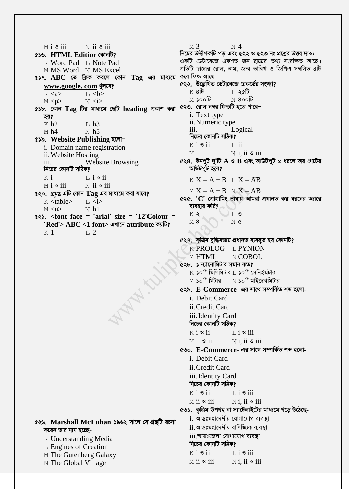$M i$  s iii  $N$  ii s iii  $M<sub>3</sub>$  $N<sub>4</sub>$ নিচের উদ্দীপকটি পড় এবং ৫২২ ও ৫২৩ নং প্রশ্নের উত্তর দাও: ৫১৬. HTML Editior কোনটি? একটি ডেটাবেজে একশত জন ছাত্রের তথ্য সংরক্ষিত আছে। K Word Pad L Note Pad প্রতিটি ছাত্রের রোল, নাম, জন্ম তারিখ ও জিপিএ সম্বলিত ৪টি M MS Word N MS Excel করে ফিল্ড আছে।  $\epsilon$ ১৭. ABC তে ক্লিক করলে কোন  $Taq$  এর মাধ্যমে ৫২২. উল্লেখিত ডেটাবেজে রেকর্ডের সংখ্যা? www.google.com খুলবে?  $K8\overline{b}$ া, ২৫টি  $K \langle a \rangle$  $L < b>$ া **Jooট**  $\overline{\rm M}$  8০০টি  $M$  <p>  $N \lt i$ ৫২৩. রোল নম্বর ফিল্ডটি হতে পারে− ৫১৮. কোন Tag টির মাধ্যমে ছোট heading প্রকাশ করা i. Text type তয়? ii. Numeric type  $K$  h<sub>2</sub>  $\bar{L}$  h<sub>3</sub> Logical iii.  $M h4$  $N h5$ নিচের কোনটি সঠিক? ৫১৯. Website Publishing হলো−  $K$  i  $\mathcal{S}$  ii  $\mathbb{L}$  ii i. Domain name registration  $M$  iii  $N$  i. ii  $\circ$  iii ii. Website Hosting  $\epsilon$ ২৪. ইনপুট দু'টি A ও B এবং আউটপুট x ধরলে অর গেটের Website Browsing  $\overline{111}$ . আউটপুট হবে? নিচের কোনটি সঠিক?  $K$  i  $\overline{1}$ ,  $\overline{1}$   $\overline{3}$   $\overline{1}$  $K X = A + B$  L  $X = \overline{AB}$ N ii 9 iii  $M i$  s iii  $M X = A + B N X = AB$ ৫২০.  $xvz$  এটি কোন  $Taz$  এর মাধ্যমে করা যাবে? ৫২৫. 'C' প্রোগ্রামিং ভাষায় আমরা প্রধানত কয় ধরনের অ্যারে  $K$  <table>  $\overline{1}$ ,  $\overline{1}$ ব্যবহার করি?  $M < u$  $N$  h<sub>1</sub>  $K$   $\zeta$ ) ⊺. ৩  $\leftrightarrow$ . <font face = 'arial' size = '12'Colour =  $M8$  $N$   $\alpha$ 'Red'> ABC <1 font> এখানে attribute কয়টি?  $K<sub>1</sub>$  $T<sub>1</sub>$  2. ৫২৭. কৃত্রিম বুদ্ধিমত্তায় প্রধানত ব্যবহৃত হয় কোনটি? K PROLOG L PYNION N COBOL M HTML ৫২৮. ১ ন্যানোমিটার সমান কত?  $K$  ১০ $^{\circ}$  মিলিমিটার  $L$  ১০ $^{\circ}$  সেনিইমটার  $M$  ১০ $^{-8}$  মিটার  $- N$  ১০ $^{-8}$  মাইক্রোমিটার ৫২৯. E-Commerce- এর সাথে সম্পর্কিত শব্দ হলোi. Debit Card ii. Credit Card iii. Identity Card নিচের কোনটি সঠিক?  $K$  i  $S$  ii  $L$  i  $\circ$  iii  $M$  ii  $\mathcal S$  ii  $N$  i, ii  $\circ$  iii ৫৩০. E-Commerce- এর সাথে সম্পর্কিত শব্দ হলোi. Debit Card ii. Credit Card iii. Identity Card নিচের কোনটি সঠিক?  $K$  i  $\mathcal S$  ii  $L$  i  $\mathcal S$  iii  $M$  ii  $\mathcal S$  iii  $N$  i, ii  $\circ$  iii ৫৩১. কৃত্রিম উপগ্রহ বা স্যাটেলাইটের মাধ্যমে গড়ে উঠেছেi. আন্তঃমহাদেশীয় যোগাযোগ ব্যবস্থা ৫২৬. Marshall McLuhan ১৯৬২ সালে যে গ্রন্থটি রচনা ii. আন্তঃমহাদেশীয় বাণিজ্যিক ব্যবস্থা করেন তার নাম হচ্ছেiii.আন্তঃজেলা যোগাযোগ ব্যবস্থা K Understanding Media নিচের কোনটি সঠিক? L Engines of Creation  $K$  i  $\mathcal{S}$  ii  $Li$   $\sim$  iii M The Gutenberg Galaxy  $M$  ii  $\mathcal S$  iii  $N$  i. ii  $\circ$  iii N The Global Village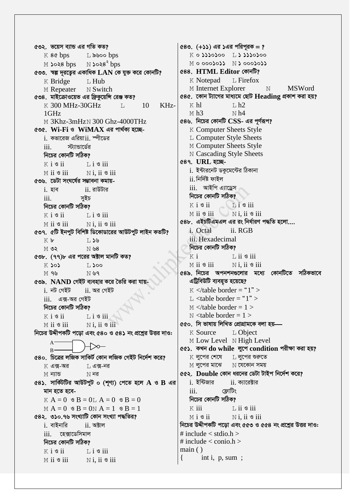৫৩২. ভয়েস ব্যান্ড এর গতি কত? K 8¢ bps L 2000 bps  $N$   $\searrow$   $8^{\circ}$  bps  $M$   $3038$  bps ৫৩৩. স্বল্প দূরত্বের একাধিক  $LAN$  কে যুক্ত করে কোনটি? K Bridge L Hub M Repeater N Switch ৫৩৪. মাইক্রোওয়েভ এর ফ্রিকুয়েন্সি রেঞ্জ কত? K 300 MHz-30GHz KHz- $T_{\perp}$ 10  $1$ GHz M 3Khz-3mHzN 300 Ghz-4000THz ৫৩৫. Wi-Fi ও WiMAX এর পার্থকা হচ্ছেi. কভারেজ এরিয়াii. স্পীডের স্ট্যান্ডার্ডের iii. নিচের কোনটি সঠিক?  $K$  i  $S$  ii  $\overline{1}$ ,  $\overline{1}$   $\overline{3}$  iii  $M$  ii  $\mathcal S$  iii  $N$  i. ii  $\circ$  iii ৫৩৬. ডেটা সংঘৰ্ষের সম্ভাবনা কমায়ii রাউটার <u>i</u> হাব  $\overline{\mathbf{i}}$ সূইচ নিচের কোনটি সঠিক?  $K$  i  $\mathcal S$  ii  $Li$   $\sigma$  iii  $M$  ii  $\mathcal S$  iii  $N$  i, ii  $\circ$  iii ৫৩৭. ৫টি ইনপুট বিশিষ্ট ডিকোডারের আউটপুট লাইন কতটি? Kb  $T, 39$  $MO^2$ N 38 ৫৩৮. (৭৭)৮ এর পরের অক্টাল মানটি কত?  $K$  sos  $L$   $>$ 00  $M$  9 $U_2$  $N_{\nu}$ 9 ৫৩৯. NAND গেইট ব্যবহার করে তৈরি করা যায়i নট গেইট  $ii.$  অর গেইট  $iii.$  এক্স-অর গেইট নিচের কোনটি সঠিক?  $K$  i  $\mathcal{S}$  ii  $L$  i  $\circ$  iii  $M$  ii  $S$  iii Ni. ii 9 iii নিচের উদ্দীপকটি পড়ো এবং ৫৪০ ও ৫৪১ নং প্রশ্নের উত্তর দাও:  $A \overline{R}$ ৫৪০. চিত্রের লজিক সাকির্ট কোন লজিক গেইট নির্দেশ করে?  $K$  এক্স-অর T, এক্স-নর  $M$  ন্যান্ড  $N$  নর  $68$ ১. সার্কিটির আউটপুট ০ (শৃণ্য) পেতে হলে A ও B এর মান হতে হবে- $K A = 0$   $S = 0$   $A = 0$   $S = 0$  $M A = 0$   $\& B = 0N A = 1$   $\& B = 1$ ৫৪২. ৩১০.৭৬ সংখ্যাটি কোন সংখ্যা পদ্ধতির?  $i.$  বাইনারি  $ii.$  অক্টাল iii. হেক্সাডেসিমাল নিচের কোনটি সঠিক?  $K$  i  $S$  ii  $Li$   $\circ$  iii  $M$  ii  $\mathcal S$  iii  $N$ i. ii  $\mathcal S$  iii

 $(80. (+)$ ১) এর ১এর পরিপরক = ?  $K$  o  $\Omega$  $\Omega$ o $\Omega$ oo  $L$  $\Omega$  $\Omega$  $\Omega$ o $\Omega$ oo  $M$  o ooo $\omega$ o $\Omega$   $N$   $\Omega$  ooo $\omega$ 688. HTML Editor কোনটি? K Notepad  $L$  Firefox **MSWord** M Internet Explorer  $\overline{N}$ ৫৪৫. কোন ট্যাগের মাধ্যমে ছোট Heading প্রকাশ করা হয়?  $K$  hl  $L<sub>h2</sub>$  $M h3$  $N<sub>h4</sub>$ ৫৪৬. নিচের কোনটি  $CSS$ - এর পূর্ণরূপ? **K Computer Sheets Style** L Computer Style Sheets M Computer Sheets Style **N** Cascading Style Sheets ৫৪৭. URL হচ্ছেi. ইন্টারনেট ডকুমেন্টের ঠিকানা  $ii$ . নিৰ্দিষ্ট ফাইল iii আইপি এ্যাডেস নিচের কোনটি সঠিক?  $Li$  s iii  $K$  i  $\mathcal{S}$  ii  $\log$  N i. ii  $\sin$  $M$  ii  $\mathcal{S}$  iii ৫৪৮. এইচটিএমএল এর রং নির্ধারণ পদ্ধতি হলো.... i. Octal ii. RGB iii. Hexadecimal নিচের কোনটি সঠিক?  $\overline{1}$ , ii  $\overline{9}$  iii  $K$  i  $N$ i. ii  $\mathcal S$  iii  $M$  ii  $\mathcal S$  iii ৫৪৯. নিচের অপনশনগুলোর মধ্যে কোনটিতে সঠিকভাবে এট্রিবিউটি ব্যবহৃত হয়েছে?  $K \leq$  table border = "1" > L  $\lt$ table border = "1" >  $M \leq$  /table border = 1 >  $N$  <table border = 1 > ৫৫০. সি ভাষায় লিখিত প্ৰোগ্ৰামকে বলা হয়— K Source L Object M Low Level N High Level ৫৫১. কখন do while লুপে condition পরীক্ষা করা হয়?  $K$  লপের শেষে ⊺, ল্পের শুরুতে  $M$  লুপের মাঝে  $N$  যেকোন সময় ৫৫২. Double কোন ধরনের ডেটা টাইপ নির্দেশ করে? i. ইন্টিজার  $ii.$  ক্যারেক্টার  $\ddot{i}$ ফ্রোটিং নিচের কোনটি সঠিক?  $K$  iii  $\overline{1}$ , ii  $\overline{9}$  iii  $N$ i. ii  $\mathcal S$  iii  $M$  i  $\mathcal S$  ii নিচের উদ্দীপকটি পড়ো এবং ৫৫৩ ও ৫৫৪ নং প্রশ্নের উত্তর দাও: # include  $\lt$  stdio.h  $>$ # include  $\langle$  conio.h  $>$  $main()$ int i, p, sum ;  $\{$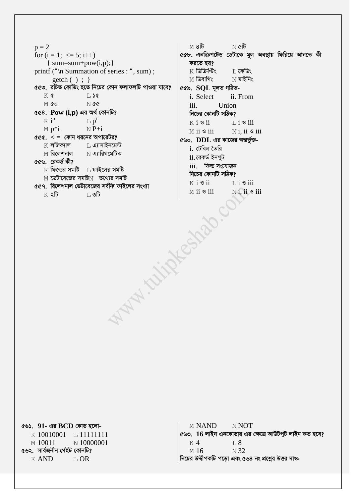$p = 2$ for  $(i = 1; \leq 5; i++)$  $\{ sum = sum + pow(i, p); \}$ printf ("\n Summation of series : ", sum) ;  $getch()$ ; } ৫৫৩. রচিত কোডিং হতে নিচের কোন ফলাফলটি পাওয়া যাবে?  $K$   $\alpha$  $T, 50$ M GO  $N$  &  $\alpha$ ৫৫৪.  $\bf{Pow}$   $(i,p)$  এর অর্থ কোনটি?  $K$  i<sup>p</sup>  $L p^i$  $M p^*i$  $\overline{N}P+i$  $ccc. < 2$  কোন ধরনের অপারেটর?  $\boldsymbol{\mathrm{K}}$  লজিক্যাল ⊡ এ্যাসাইনমেন্ট M রিলেশনাল  $\,$  N এ্যারিথমেটিক ৫৫৬. রেকর্ড কী?  $K$  ফিল্ডের সমষ্টি  $L$  ফাইলের সমষ্টি M ডেটাবেজের সমষ্টিN তথ্যের সমষ্টি ৫৫৭. রিলেশনাল ডেটাবেজের সর্বন্দি ফাইলের সংখ্যা MANIALISARIO া, ৩টি  $K \triangleleft \mathbb{G}$ 

 $M8\overline{b}$  $\mathbb N$  ৫টি ৫৫৮. এনক্রিপটেড ডেটাকে মূল অবস্থায় ফিরিয়ে আনতে কী করতে হয়?  $K$  ডিক্রিপ্টিং ⊺ কেডিং  $\le$  ডিবাগিং  $N$  মাইনিং ৫৫৯. SQL মূলত গঠিতi. Select ii. From  $iii$ Union নিচের কোনটি সঠিক?  $K$  i  $S$  ii  $\overline{1}$  i  $\overline{3}$  iii  $M$  ii  $\mathcal S$  iii  $N$  i. ii  $\mathcal S$  iii ৫৬০. DDL এর কাজের অন্তর্ভুক্তi. টেবিল তৈরি ii রেকর্ড ইনপট iii. ফিল্ড সংযোজন নিচের কোনটি সঠিক?  $K$  i  $\mathcal{S}$  ii  $\overline{1}$ ,  $\overline{1}$   $\overline{9}$  iii  $M$  ii  $\mathcal S$  iii Ni, ii 9 iii

৫৬১.  $91 - 47$  BCD কোড হলো-K 10010001 L 11111111 N 10000001  $M$  10011 ৫৬২. সার্বজনীন গেইট কোনটি? **K AND**  $LOR$ 

**M NAND** N NOT ৫৬৩. 16 লাইন এনকোডার এর ক্ষেত্রে আউটপুট লাইন কত হবে?  $K<sub>4</sub>$  $T.8$  $N<sub>32</sub>$ M 16 নিচের উদ্দীপকটি পড়ো এবং ৫৬৪ নং প্রশ্নের উত্তর দাও: